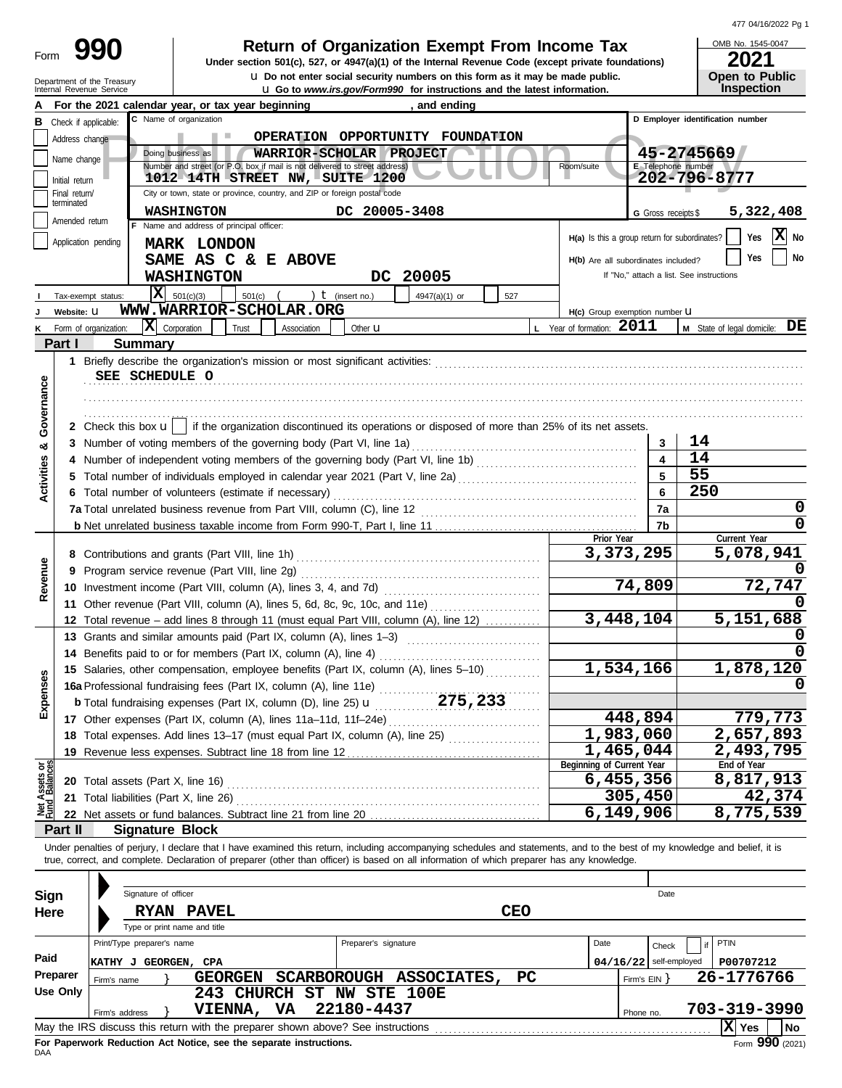| 477 04/16/2022 Pg 1 |  |
|---------------------|--|
|                     |  |

| 990<br>Return of Organization Exempt From Income Tax<br>Form<br>Under section 501(c), 527, or 4947(a)(1) of the Internal Revenue Code (except private foundations) |                                                                                                                                                                   |  |                                     |  |
|--------------------------------------------------------------------------------------------------------------------------------------------------------------------|-------------------------------------------------------------------------------------------------------------------------------------------------------------------|--|-------------------------------------|--|
| Department of the Treasury<br>Internal Revenue Service                                                                                                             | La Do not enter social security numbers on this form as it may be made public.<br><b>u</b> Go to www.irs.gov/Form990 for instructions and the latest information. |  | Open to Public<br><b>Inspection</b> |  |
| A For the 2021 calendar year, or tax year beginning                                                                                                                | and ending                                                                                                                                                        |  |                                     |  |
| <b>D</b> Check if applicable. <b>IC</b> Name of organization                                                                                                       |                                                                                                                                                                   |  | D Emplover identification number    |  |

| в                              |                                                                                                           | Check if applicable:                               | C Name of organization                                                                                                                                                                                                                                                                          |                               |                          | D Employer identification number         |  |  |
|--------------------------------|-----------------------------------------------------------------------------------------------------------|----------------------------------------------------|-------------------------------------------------------------------------------------------------------------------------------------------------------------------------------------------------------------------------------------------------------------------------------------------------|-------------------------------|--------------------------|------------------------------------------|--|--|
|                                |                                                                                                           | OPERATION OPPORTUNITY FOUNDATION<br>Address change |                                                                                                                                                                                                                                                                                                 |                               |                          |                                          |  |  |
|                                |                                                                                                           | Name change                                        | 45-2745669<br>Doing business as<br>WARRIOR-SCHOLAR PROJECT                                                                                                                                                                                                                                      |                               |                          |                                          |  |  |
|                                | Initial return                                                                                            |                                                    | Number and street (or P.O. box if mail is not delivered to street address)<br>E Telephone number<br>Room/suite<br>202-796-8777<br>1012 14TH STREET NW, SUITE 1200                                                                                                                               |                               |                          |                                          |  |  |
|                                | City or town, state or province, country, and ZIP or foreign postal code<br>Final return/                 |                                                    |                                                                                                                                                                                                                                                                                                 |                               |                          |                                          |  |  |
|                                | terminated                                                                                                |                                                    | DC 20005-3408<br><b>WASHINGTON</b>                                                                                                                                                                                                                                                              |                               | G Gross receipts \$      | 5,322,408                                |  |  |
|                                |                                                                                                           | Amended return                                     | F Name and address of principal officer:                                                                                                                                                                                                                                                        |                               |                          |                                          |  |  |
|                                | X No<br>H(a) Is this a group return for subordinates?<br>Yes<br>Application pending<br><b>MARK LONDON</b> |                                                    |                                                                                                                                                                                                                                                                                                 |                               |                          |                                          |  |  |
|                                | No<br>Yes<br>SAME AS C & E ABOVE<br>H(b) Are all subordinates included?                                   |                                                    |                                                                                                                                                                                                                                                                                                 |                               |                          |                                          |  |  |
|                                |                                                                                                           |                                                    | DC 20005<br><b>WASHINGTON</b>                                                                                                                                                                                                                                                                   |                               |                          | If "No," attach a list. See instructions |  |  |
|                                |                                                                                                           | Tax-exempt status:                                 | X<br>501(c)(3)<br>501(c)<br>) $t$ (insert no.)<br>4947(a)(1) or<br>527                                                                                                                                                                                                                          |                               |                          |                                          |  |  |
|                                |                                                                                                           | Website: U                                         | WWW.WARRIOR-SCHOLAR.ORG                                                                                                                                                                                                                                                                         | H(c) Group exemption number U |                          |                                          |  |  |
|                                |                                                                                                           | Form of organization:                              | $ \mathbf{X} $ Corporation<br>Trust<br>Association<br>Other $\mathbf u$                                                                                                                                                                                                                         | L Year of formation: 2011     |                          | $M$ State of legal domicile: $DE$        |  |  |
|                                | Part I                                                                                                    |                                                    | Summary                                                                                                                                                                                                                                                                                         |                               |                          |                                          |  |  |
|                                |                                                                                                           |                                                    |                                                                                                                                                                                                                                                                                                 |                               |                          |                                          |  |  |
|                                |                                                                                                           |                                                    | SEE SCHEDULE O                                                                                                                                                                                                                                                                                  |                               |                          |                                          |  |  |
|                                |                                                                                                           |                                                    |                                                                                                                                                                                                                                                                                                 |                               |                          |                                          |  |  |
| Governance                     |                                                                                                           |                                                    | 2 Check this box $\mathbf{u}$   if the organization discontinued its operations or disposed of more than 25% of its net assets.                                                                                                                                                                 |                               |                          |                                          |  |  |
|                                |                                                                                                           |                                                    |                                                                                                                                                                                                                                                                                                 |                               | 3                        | 14                                       |  |  |
| ಯ                              |                                                                                                           |                                                    |                                                                                                                                                                                                                                                                                                 |                               | 4                        | 14                                       |  |  |
|                                |                                                                                                           |                                                    |                                                                                                                                                                                                                                                                                                 |                               | 5                        | 55                                       |  |  |
| Activities                     |                                                                                                           |                                                    | 6 Total number of volunteers (estimate if necessary)                                                                                                                                                                                                                                            |                               | 6                        | 250                                      |  |  |
|                                |                                                                                                           |                                                    |                                                                                                                                                                                                                                                                                                 |                               | 7a                       | 0                                        |  |  |
|                                |                                                                                                           |                                                    |                                                                                                                                                                                                                                                                                                 |                               | 7b                       | 0                                        |  |  |
| Revenue                        |                                                                                                           |                                                    |                                                                                                                                                                                                                                                                                                 | Prior Year                    |                          | Current Year                             |  |  |
|                                |                                                                                                           |                                                    |                                                                                                                                                                                                                                                                                                 | 3,373,295                     |                          | 5,078,941                                |  |  |
|                                |                                                                                                           |                                                    | 9 Program service revenue (Part VIII, line 2g)                                                                                                                                                                                                                                                  |                               |                          |                                          |  |  |
|                                |                                                                                                           |                                                    | 10 Investment income (Part VIII, column (A), lines 3, 4, and 7d)                                                                                                                                                                                                                                |                               | 74,809                   | 72,747                                   |  |  |
|                                |                                                                                                           |                                                    | 11 Other revenue (Part VIII, column (A), lines 5, 6d, 8c, 9c, 10c, and 11e)                                                                                                                                                                                                                     | 3,448,104                     |                          | 5,151,688                                |  |  |
|                                |                                                                                                           |                                                    | 12 Total revenue - add lines 8 through 11 (must equal Part VIII, column (A), line 12)<br>13 Grants and similar amounts paid (Part IX, column (A), lines 1-3)                                                                                                                                    |                               |                          |                                          |  |  |
|                                |                                                                                                           |                                                    | 14 Benefits paid to or for members (Part IX, column (A), line 4)                                                                                                                                                                                                                                |                               |                          |                                          |  |  |
|                                |                                                                                                           |                                                    | 15 Salaries, other compensation, employee benefits (Part IX, column (A), lines 5-10)                                                                                                                                                                                                            | 1,534,166                     |                          | 1,878,120                                |  |  |
| Expenses                       |                                                                                                           |                                                    | 15 Salaries, other components, etc., 2001<br>16a Professional fundraising fees (Part IX, column (A), line 11e)<br>275, 233                                                                                                                                                                      |                               |                          |                                          |  |  |
|                                |                                                                                                           |                                                    |                                                                                                                                                                                                                                                                                                 |                               |                          |                                          |  |  |
|                                |                                                                                                           |                                                    | 17 Other expenses (Part IX, column (A), lines 11a-11d, 11f-24e)                                                                                                                                                                                                                                 |                               | 448,894                  | 779,773                                  |  |  |
|                                |                                                                                                           |                                                    | 18 Total expenses. Add lines 13-17 (must equal Part IX, column (A), line 25) [                                                                                                                                                                                                                  | 1,983,060                     |                          | 2,657,893                                |  |  |
|                                |                                                                                                           |                                                    | 19 Revenue less expenses. Subtract line 18 from line 12                                                                                                                                                                                                                                         | 1,465,044                     |                          | 2,493,795                                |  |  |
| Net Assets or<br>Fund Balances |                                                                                                           |                                                    |                                                                                                                                                                                                                                                                                                 | Beginning of Current Year     |                          | End of Year                              |  |  |
|                                |                                                                                                           |                                                    | 20 Total assets (Part X, line 16) <b>CONVERTED ASSETS</b>                                                                                                                                                                                                                                       | 6,455,356                     | 305,450                  | 8,817,913                                |  |  |
|                                |                                                                                                           |                                                    | 21 Total liabilities (Part X, line 26) Mathematic Contract Contract Contract Contract Contract Contract Contract Contract Contract Contract Contract Contract Contract Contract Contract Contract Contract Contract Contract C<br>22 Net assets or fund balances. Subtract line 21 from line 20 | 6,149,906                     |                          | 42,374<br>8,775,539                      |  |  |
|                                | Part II                                                                                                   |                                                    | <b>Signature Block</b>                                                                                                                                                                                                                                                                          |                               |                          |                                          |  |  |
|                                |                                                                                                           |                                                    | Under penalties of perjury, I declare that I have examined this return, including accompanying schedules and statements, and to the best of my knowledge and belief, it is                                                                                                                      |                               |                          |                                          |  |  |
|                                |                                                                                                           |                                                    | true, correct, and complete. Declaration of preparer (other than officer) is based on all information of which preparer has any knowledge.                                                                                                                                                      |                               |                          |                                          |  |  |
|                                |                                                                                                           |                                                    |                                                                                                                                                                                                                                                                                                 |                               |                          |                                          |  |  |
| Sign                           |                                                                                                           |                                                    | Signature of officer                                                                                                                                                                                                                                                                            |                               | Date                     |                                          |  |  |
| Here                           |                                                                                                           |                                                    | <b>CEO</b><br><b>RYAN PAVEL</b>                                                                                                                                                                                                                                                                 |                               |                          |                                          |  |  |
|                                |                                                                                                           |                                                    | Type or print name and title                                                                                                                                                                                                                                                                    |                               |                          |                                          |  |  |
|                                |                                                                                                           |                                                    | Print/Type preparer's name<br>Preparer's signature                                                                                                                                                                                                                                              | Date                          | Check                    | <b>PTIN</b><br>if                        |  |  |
| Paid                           |                                                                                                           |                                                    | KATHY J GEORGEN, CPA                                                                                                                                                                                                                                                                            |                               | $04/16/22$ self-employed | P00707212                                |  |  |
|                                | Preparer                                                                                                  | Firm's name                                        | GEORGEN SCARBOROUGH ASSOCIATES,<br>PC                                                                                                                                                                                                                                                           |                               | Firm's $EIN$ }           | 26-1776766                               |  |  |
|                                | <b>Use Only</b>                                                                                           |                                                    | 243 CHURCH ST NW STE 100E                                                                                                                                                                                                                                                                       |                               |                          |                                          |  |  |
|                                |                                                                                                           | Firm's address                                     | 22180-4437<br>VIENNA,<br>VA                                                                                                                                                                                                                                                                     |                               | Phone no.                | 703-319-3990                             |  |  |
|                                |                                                                                                           |                                                    | May the IRS discuss this return with the preparer shown above? See instructions                                                                                                                                                                                                                 |                               |                          | $ X $ Yes<br>No                          |  |  |

| Sign     | Signature of officer                                                            |                           |            | Date                     |                   |
|----------|---------------------------------------------------------------------------------|---------------------------|------------|--------------------------|-------------------|
| Here     | <b>PAVEL</b><br><b>RYAN</b>                                                     | <b>CEO</b>                |            |                          |                   |
|          | Type or print name and title                                                    |                           |            |                          |                   |
|          | Print/Type preparer's name                                                      | Preparer's signature      | Date       | Check                    | PTIN              |
| Paid     | GEORGEN, CPA<br> KATIIY J                                                       |                           |            | $04/16/22$ self-employed | P00707212         |
| Preparer | <b>SCARBOROUGH</b><br>GEORGEN<br>Firm's name                                    | <b>ASSOCIATES,</b><br>PC. | Firm's EIN |                          | 26-1776766        |
| Use Only | CHURCH ST<br>243                                                                | NW STE 100E               |            |                          |                   |
|          | 22180-4437<br>VA.<br><b>VIENNA,</b><br>Firm's address                           |                           | Phone no.  |                          | 703-319-3990      |
|          | May the IRS discuss this return with the preparer shown above? See instructions |                           |            |                          | ΙXΙ<br>Yes<br>No. |
|          | For Paperwork Reduction Act Notice, see the separate instructions.              |                           |            |                          | Form $990(2021)$  |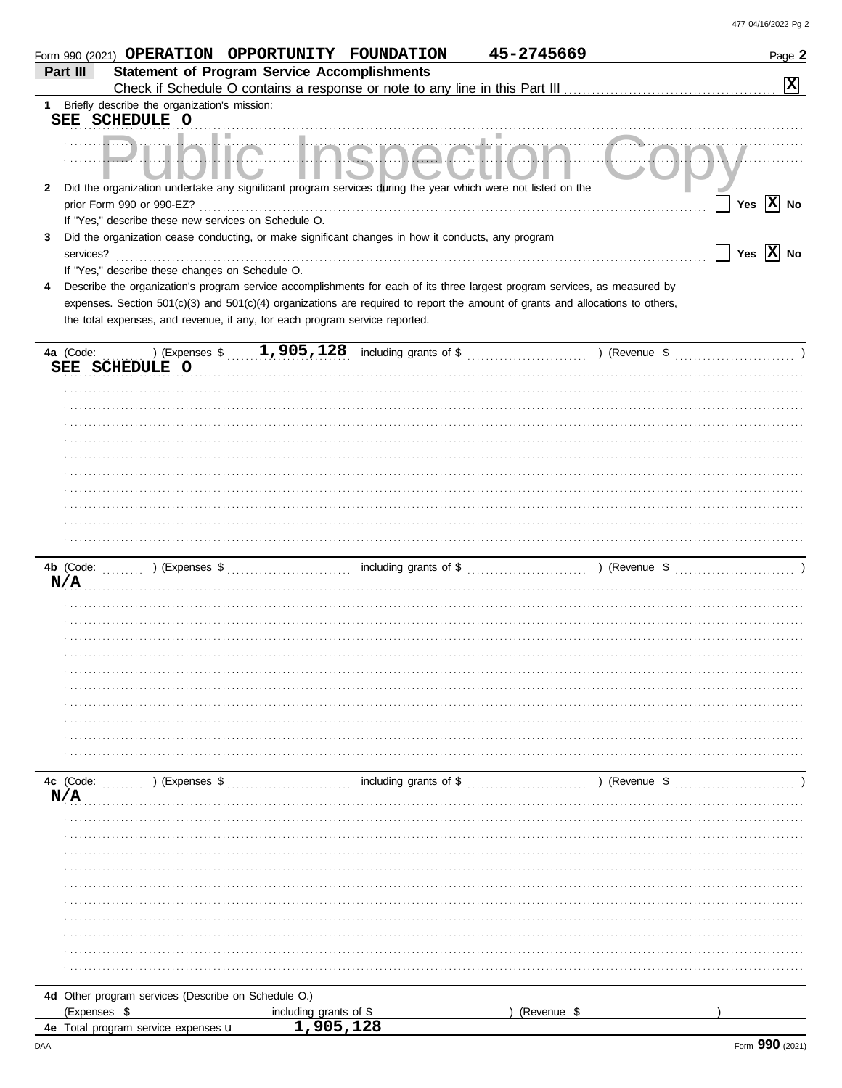|                  | Form 990 (2021) OPERATION OPPORTUNITY FOUNDATION                                                                                                                              |                                                     |                                      | 45-2745669  | Page 2                                                                    |
|------------------|-------------------------------------------------------------------------------------------------------------------------------------------------------------------------------|-----------------------------------------------------|--------------------------------------|-------------|---------------------------------------------------------------------------|
| Part III         |                                                                                                                                                                               | <b>Statement of Program Service Accomplishments</b> |                                      |             |                                                                           |
|                  |                                                                                                                                                                               |                                                     |                                      |             | $\boxed{\mathbf{x}}$                                                      |
| 1                | Briefly describe the organization's mission:                                                                                                                                  |                                                     |                                      |             |                                                                           |
|                  | SEE SCHEDULE O                                                                                                                                                                |                                                     |                                      |             |                                                                           |
|                  |                                                                                                                                                                               |                                                     |                                      |             |                                                                           |
|                  | 2 Did the organization undertake any significant program services during the year which were not listed on the                                                                |                                                     |                                      |             |                                                                           |
|                  | prior Form 990 or 990-EZ?                                                                                                                                                     |                                                     |                                      |             | Yes $\overline{X}$ No                                                     |
|                  | If "Yes," describe these new services on Schedule O.                                                                                                                          |                                                     |                                      |             |                                                                           |
| 3                | Did the organization cease conducting, or make significant changes in how it conducts, any program                                                                            |                                                     |                                      |             |                                                                           |
|                  | services?                                                                                                                                                                     |                                                     |                                      |             | $\Box$ Yes $\boxed{\text{X}}$ No                                          |
|                  | If "Yes," describe these changes on Schedule O.<br>Describe the organization's program service accomplishments for each of its three largest program services, as measured by |                                                     |                                      |             |                                                                           |
|                  | expenses. Section 501(c)(3) and 501(c)(4) organizations are required to report the amount of grants and allocations to others,                                                |                                                     |                                      |             |                                                                           |
|                  | the total expenses, and revenue, if any, for each program service reported.                                                                                                   |                                                     |                                      |             |                                                                           |
|                  |                                                                                                                                                                               |                                                     |                                      |             |                                                                           |
|                  |                                                                                                                                                                               |                                                     |                                      |             | 4a (Code: ) (Expenses \$ 1,905,128 including grants of \$ ) (Revenue \$ ) |
|                  | SEE SCHEDULE O                                                                                                                                                                |                                                     |                                      |             |                                                                           |
|                  |                                                                                                                                                                               |                                                     |                                      |             |                                                                           |
|                  |                                                                                                                                                                               |                                                     |                                      |             |                                                                           |
|                  |                                                                                                                                                                               |                                                     |                                      |             |                                                                           |
|                  |                                                                                                                                                                               |                                                     |                                      |             |                                                                           |
|                  |                                                                                                                                                                               |                                                     |                                      |             |                                                                           |
|                  |                                                                                                                                                                               |                                                     |                                      |             |                                                                           |
|                  |                                                                                                                                                                               |                                                     |                                      |             |                                                                           |
|                  |                                                                                                                                                                               |                                                     |                                      |             |                                                                           |
|                  |                                                                                                                                                                               |                                                     |                                      |             |                                                                           |
|                  |                                                                                                                                                                               |                                                     |                                      |             |                                                                           |
|                  |                                                                                                                                                                               |                                                     |                                      |             |                                                                           |
| N/A              |                                                                                                                                                                               |                                                     |                                      |             |                                                                           |
|                  |                                                                                                                                                                               |                                                     |                                      |             |                                                                           |
|                  |                                                                                                                                                                               |                                                     |                                      |             |                                                                           |
|                  |                                                                                                                                                                               |                                                     |                                      |             |                                                                           |
|                  |                                                                                                                                                                               |                                                     |                                      |             |                                                                           |
|                  |                                                                                                                                                                               |                                                     |                                      |             |                                                                           |
|                  |                                                                                                                                                                               |                                                     |                                      |             |                                                                           |
|                  |                                                                                                                                                                               |                                                     |                                      |             |                                                                           |
|                  |                                                                                                                                                                               |                                                     |                                      |             |                                                                           |
|                  |                                                                                                                                                                               |                                                     |                                      |             |                                                                           |
|                  |                                                                                                                                                                               |                                                     |                                      |             |                                                                           |
| 4c (Code:<br>N/A | $\ldots$ ) (Expenses \$                                                                                                                                                       |                                                     | $\frac{1}{2}$ including grants of \$ |             | ) (Revenue \$                                                             |
|                  |                                                                                                                                                                               |                                                     |                                      |             |                                                                           |
|                  |                                                                                                                                                                               |                                                     |                                      |             |                                                                           |
|                  |                                                                                                                                                                               |                                                     |                                      |             |                                                                           |
|                  |                                                                                                                                                                               |                                                     |                                      |             |                                                                           |
|                  |                                                                                                                                                                               |                                                     |                                      |             |                                                                           |
|                  |                                                                                                                                                                               |                                                     |                                      |             |                                                                           |
|                  |                                                                                                                                                                               |                                                     |                                      |             |                                                                           |
|                  |                                                                                                                                                                               |                                                     |                                      |             |                                                                           |
|                  |                                                                                                                                                                               |                                                     |                                      |             |                                                                           |
|                  |                                                                                                                                                                               |                                                     |                                      |             |                                                                           |
|                  |                                                                                                                                                                               |                                                     |                                      |             |                                                                           |
|                  | 4d Other program services (Describe on Schedule O.)<br>(Expenses \$                                                                                                           | including grants of \$                              |                                      | (Revenue \$ |                                                                           |
|                  | 4e Total program service expenses u                                                                                                                                           | 1,905,128                                           |                                      |             |                                                                           |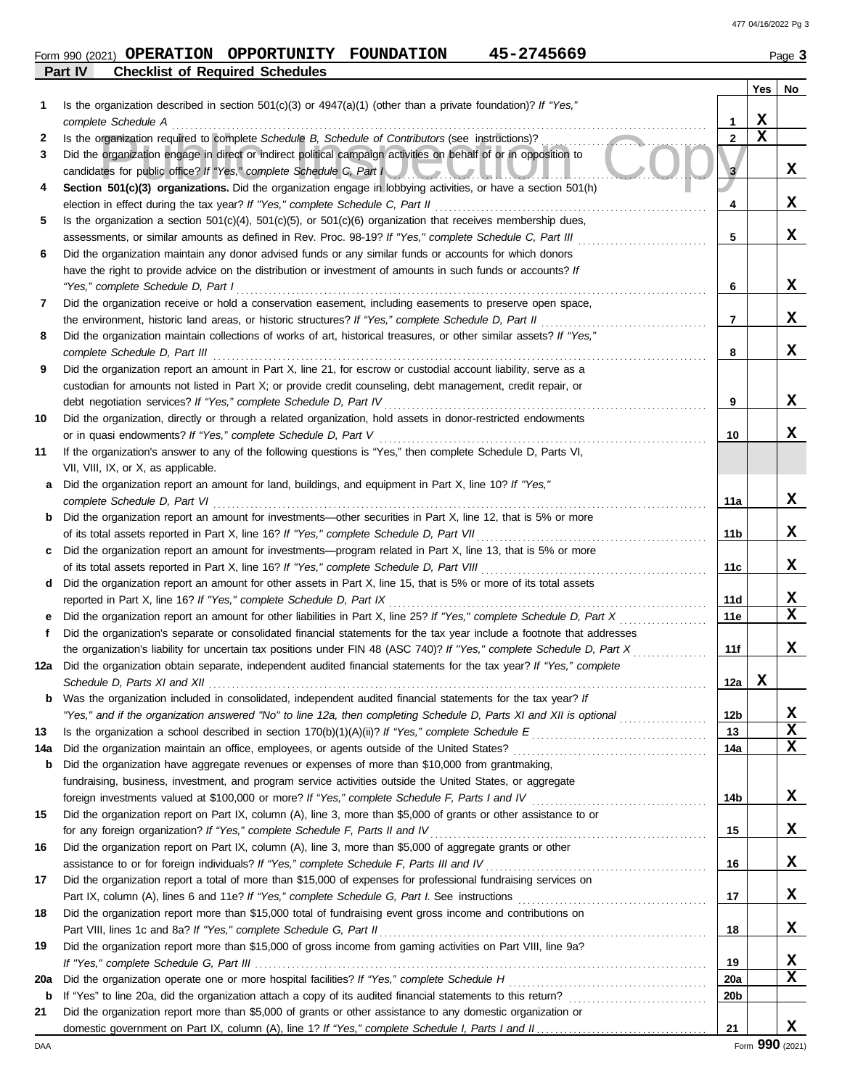## **Part IV Checklist of Required Schedules Form 990 (2021) OPERATION OPPORTUNITY FOUNDATION 45-2745669** Page 3

| -20<br>" |  |
|----------|--|

|          |                                                                                                                                                                                                        |                 | <b>Yes</b>  | No                         |
|----------|--------------------------------------------------------------------------------------------------------------------------------------------------------------------------------------------------------|-----------------|-------------|----------------------------|
|          | Is the organization described in section $501(c)(3)$ or $4947(a)(1)$ (other than a private foundation)? If "Yes,"                                                                                      |                 |             |                            |
|          | complete Schedule A                                                                                                                                                                                    | 1               | X           |                            |
| 2        | Is the organization required to complete Schedule B, Schedule of Contributors (see instructions)?                                                                                                      | $\overline{2}$  | $\mathbf x$ |                            |
| 3        | Did the organization engage in direct or indirect political campaign activities on behalf of or in opposition to<br>candidates for public office? If "Yes," complete Schedule C, Part I                | 3               |             | X                          |
| 4        | Section 501(c)(3) organizations. Did the organization engage in lobbying activities, or have a section 501(h)                                                                                          | 4               |             | X                          |
| 5        | election in effect during the tax year? If "Yes," complete Schedule C, Part II<br>Is the organization a section $501(c)(4)$ , $501(c)(5)$ , or $501(c)(6)$ organization that receives membership dues, |                 |             |                            |
|          | assessments, or similar amounts as defined in Rev. Proc. 98-19? If "Yes," complete Schedule C, Part III                                                                                                | 5               |             | X                          |
| 6        | Did the organization maintain any donor advised funds or any similar funds or accounts for which donors                                                                                                |                 |             |                            |
|          | have the right to provide advice on the distribution or investment of amounts in such funds or accounts? If                                                                                            |                 |             |                            |
|          | "Yes," complete Schedule D, Part I                                                                                                                                                                     | 6               |             | X                          |
| 7        | Did the organization receive or hold a conservation easement, including easements to preserve open space,                                                                                              |                 |             |                            |
|          | the environment, historic land areas, or historic structures? If "Yes," complete Schedule D, Part II                                                                                                   | $\overline{7}$  |             | X                          |
| 8        | Did the organization maintain collections of works of art, historical treasures, or other similar assets? If "Yes,"                                                                                    |                 |             |                            |
|          | complete Schedule D, Part III                                                                                                                                                                          | 8               |             | x                          |
| 9        | Did the organization report an amount in Part X, line 21, for escrow or custodial account liability, serve as a                                                                                        |                 |             |                            |
|          | custodian for amounts not listed in Part X; or provide credit counseling, debt management, credit repair, or                                                                                           |                 |             |                            |
|          | debt negotiation services? If "Yes," complete Schedule D, Part IV                                                                                                                                      | 9               |             | X                          |
| 10       | Did the organization, directly or through a related organization, hold assets in donor-restricted endowments                                                                                           |                 |             |                            |
|          | or in quasi endowments? If "Yes," complete Schedule D, Part V                                                                                                                                          | 10              |             | x                          |
| 11       | If the organization's answer to any of the following questions is "Yes," then complete Schedule D, Parts VI,                                                                                           |                 |             |                            |
|          | VII, VIII, IX, or X, as applicable.                                                                                                                                                                    |                 |             |                            |
| а        | Did the organization report an amount for land, buildings, and equipment in Part X, line 10? If "Yes,"                                                                                                 |                 |             | x                          |
| b        | complete Schedule D, Part VI<br>Did the organization report an amount for investments—other securities in Part X, line 12, that is 5% or more                                                          | 11a             |             |                            |
|          | of its total assets reported in Part X, line 16? If "Yes," complete Schedule D, Part VII                                                                                                               | 11b             |             | x                          |
| c        | Did the organization report an amount for investments-program related in Part X, line 13, that is 5% or more                                                                                           |                 |             |                            |
|          | of its total assets reported in Part X, line 16? If "Yes," complete Schedule D, Part VIII [[[[[[[[[[[[[[[[[[[[                                                                                         | 11c             |             | X                          |
| d        | Did the organization report an amount for other assets in Part X, line 15, that is 5% or more of its total assets                                                                                      |                 |             |                            |
|          | reported in Part X, line 16? If "Yes," complete Schedule D, Part IX                                                                                                                                    | 11d             |             | X                          |
|          | Did the organization report an amount for other liabilities in Part X, line 25? If "Yes," complete Schedule D, Part X                                                                                  | 11e             |             | $\overline{\mathbf{x}}$    |
| f        | Did the organization's separate or consolidated financial statements for the tax year include a footnote that addresses                                                                                |                 |             |                            |
|          | the organization's liability for uncertain tax positions under FIN 48 (ASC 740)? If "Yes," complete Schedule D, Part X                                                                                 | 11f             |             | x                          |
| 12a      | Did the organization obtain separate, independent audited financial statements for the tax year? If "Yes," complete                                                                                    |                 |             |                            |
|          |                                                                                                                                                                                                        | 12a             | X           |                            |
|          | Was the organization included in consolidated, independent audited financial statements for the tax year? If                                                                                           |                 |             |                            |
|          | "Yes," and if the organization answered "No" to line 12a, then completing Schedule D, Parts XI and XII is optional                                                                                     | 12 <sub>b</sub> |             | X                          |
| 13       |                                                                                                                                                                                                        | 13              |             | $\mathbf x$<br>$\mathbf x$ |
| 14a<br>b | Did the organization maintain an office, employees, or agents outside of the United States?<br>Did the organization have aggregate revenues or expenses of more than \$10,000 from grantmaking,        | 14a             |             |                            |
|          | fundraising, business, investment, and program service activities outside the United States, or aggregate                                                                                              |                 |             |                            |
|          | foreign investments valued at \$100,000 or more? If "Yes," complete Schedule F, Parts I and IV                                                                                                         | 14b             |             | X                          |
| 15       | Did the organization report on Part IX, column (A), line 3, more than \$5,000 of grants or other assistance to or                                                                                      |                 |             |                            |
|          | for any foreign organization? If "Yes," complete Schedule F, Parts II and IV                                                                                                                           | 15              |             | X                          |
| 16       | Did the organization report on Part IX, column (A), line 3, more than \$5,000 of aggregate grants or other                                                                                             |                 |             |                            |
|          | assistance to or for foreign individuals? If "Yes," complete Schedule F, Parts III and IV                                                                                                              | 16              |             | X                          |
| 17       | Did the organization report a total of more than \$15,000 of expenses for professional fundraising services on                                                                                         |                 |             |                            |
|          |                                                                                                                                                                                                        | 17              |             | X                          |
| 18       | Did the organization report more than \$15,000 total of fundraising event gross income and contributions on                                                                                            |                 |             |                            |
|          | Part VIII, lines 1c and 8a? If "Yes," complete Schedule G, Part II                                                                                                                                     | 18              |             | X                          |
| 19       | Did the organization report more than \$15,000 of gross income from gaming activities on Part VIII, line 9a?                                                                                           |                 |             |                            |
|          |                                                                                                                                                                                                        | 19              |             | х<br>$\mathbf x$           |
| 20a      | Did the organization operate one or more hospital facilities? If "Yes," complete Schedule H                                                                                                            | <b>20a</b>      |             |                            |
| b        | Did the organization report more than \$5,000 of grants or other assistance to any domestic organization or                                                                                            | 20b             |             |                            |
| 21       |                                                                                                                                                                                                        | 21              |             | x                          |
|          |                                                                                                                                                                                                        |                 |             |                            |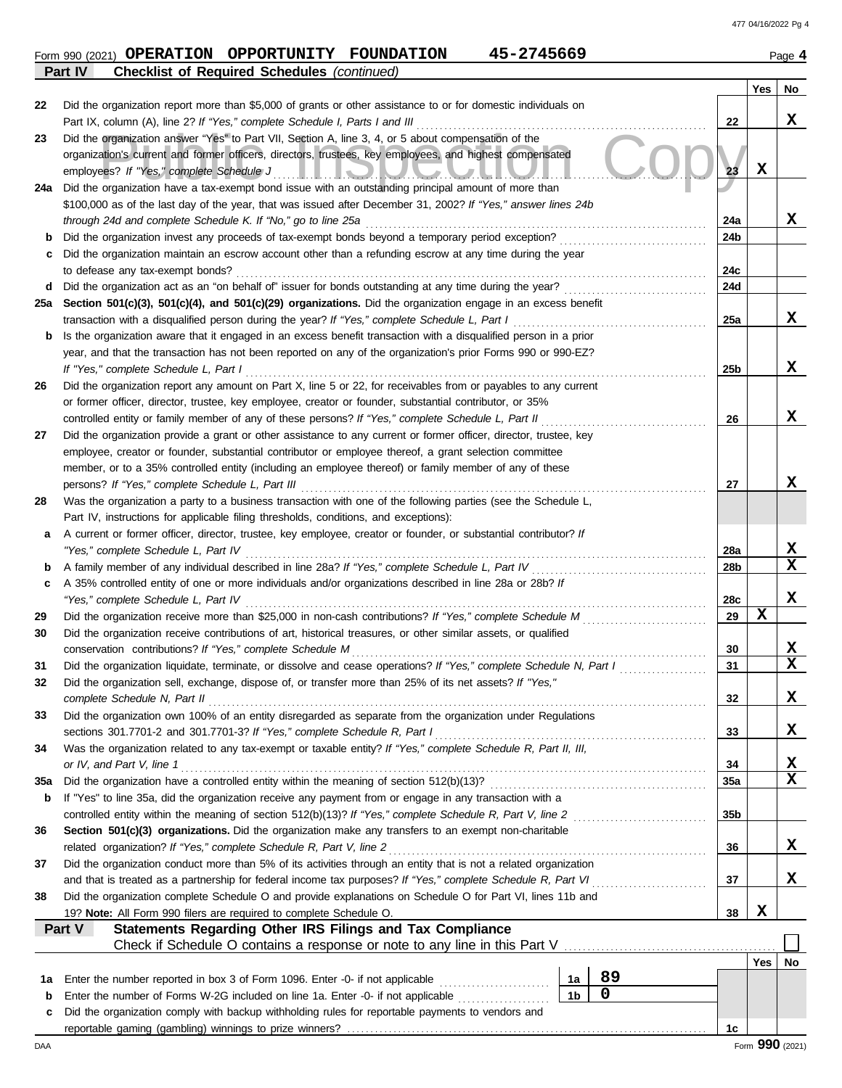477 04/16/2022 Pg 4

|         | Form 990 (2021) OPERATION OPPORTUNITY              | FOUNDATION | 45-2745669 | Page $4$ |
|---------|----------------------------------------------------|------------|------------|----------|
| Part IV | <b>Checklist of Required Schedules (continued)</b> |            |            |          |

| د |  |
|---|--|

|     |                                                                                                                                         |                 | Yes | No          |
|-----|-----------------------------------------------------------------------------------------------------------------------------------------|-----------------|-----|-------------|
| 22  | Did the organization report more than \$5,000 of grants or other assistance to or for domestic individuals on                           |                 |     |             |
|     | Part IX, column (A), line 2? If "Yes," complete Schedule I, Parts I and III                                                             | 22              |     | x           |
| 23  | Did the organization answer "Yes" to Part VII, Section A, line 3, 4, or 5 about compensation of the                                     |                 |     |             |
|     | organization's current and former officers, directors, trustees, key employees, and highest compensated                                 |                 |     |             |
|     | employees? If "Yes," complete Schedule J<br><u> HELLON ZAZAZITA ZIL</u>                                                                 | 23              | X   |             |
| 24a | Did the organization have a tax-exempt bond issue with an outstanding principal amount of more than                                     |                 |     |             |
|     | \$100,000 as of the last day of the year, that was issued after December 31, 2002? If "Yes," answer lines 24b                           |                 |     |             |
|     | through 24d and complete Schedule K. If "No," go to line 25a                                                                            | 24a             |     | x           |
| b   | Did the organization invest any proceeds of tax-exempt bonds beyond a temporary period exception?                                       | 24 <sub>b</sub> |     |             |
| c   | Did the organization maintain an escrow account other than a refunding escrow at any time during the year                               | 24c             |     |             |
| d   | to defease any tax-exempt bonds?                                                                                                        | 24d             |     |             |
| 25a | Section 501(c)(3), 501(c)(4), and 501(c)(29) organizations. Did the organization engage in an excess benefit                            |                 |     |             |
|     | transaction with a disqualified person during the year? If "Yes," complete Schedule L, Part I                                           | 25a             |     | x           |
| b   | Is the organization aware that it engaged in an excess benefit transaction with a disqualified person in a prior                        |                 |     |             |
|     | year, and that the transaction has not been reported on any of the organization's prior Forms 990 or 990-EZ?                            |                 |     |             |
|     | If "Yes," complete Schedule L, Part I                                                                                                   | 25 <sub>b</sub> |     | X           |
| 26  | Did the organization report any amount on Part X, line 5 or 22, for receivables from or payables to any current                         |                 |     |             |
|     | or former officer, director, trustee, key employee, creator or founder, substantial contributor, or 35%                                 |                 |     |             |
|     | controlled entity or family member of any of these persons? If "Yes," complete Schedule L, Part II                                      | 26              |     | x           |
| 27  | Did the organization provide a grant or other assistance to any current or former officer, director, trustee, key                       |                 |     |             |
|     | employee, creator or founder, substantial contributor or employee thereof, a grant selection committee                                  |                 |     |             |
|     | member, or to a 35% controlled entity (including an employee thereof) or family member of any of these                                  |                 |     |             |
|     | persons? If "Yes," complete Schedule L, Part III                                                                                        | 27              |     | x.          |
| 28  | Was the organization a party to a business transaction with one of the following parties (see the Schedule L,                           |                 |     |             |
|     | Part IV, instructions for applicable filing thresholds, conditions, and exceptions):                                                    |                 |     |             |
| a   | A current or former officer, director, trustee, key employee, creator or founder, or substantial contributor? If                        |                 |     |             |
|     | "Yes," complete Schedule L, Part IV                                                                                                     | 28a             |     | X           |
| b   | A family member of any individual described in line 28a? If "Yes," complete Schedule L, Part IV                                         | 28b             |     | X           |
| c   | A 35% controlled entity of one or more individuals and/or organizations described in line 28a or 28b? If                                |                 |     |             |
|     | "Yes," complete Schedule L, Part IV                                                                                                     | 28c             |     | x           |
| 29  |                                                                                                                                         | 29              | X   |             |
| 30  | Did the organization receive contributions of art, historical treasures, or other similar assets, or qualified                          |                 |     |             |
|     | conservation contributions? If "Yes," complete Schedule M                                                                               | 30              |     | x<br>x      |
| 31  | Did the organization liquidate, terminate, or dissolve and cease operations? If "Yes," complete Schedule N, Part I                      | 31              |     |             |
| 32  | Did the organization sell, exchange, dispose of, or transfer more than 25% of its net assets? If "Yes,"<br>complete Schedule N, Part II |                 |     |             |
| 33  | Did the organization own 100% of an entity disregarded as separate from the organization under Regulations                              | 32              |     | A           |
|     | sections 301.7701-2 and 301.7701-3? If "Yes," complete Schedule R, Part I                                                               | 33              |     | x           |
| 34  | Was the organization related to any tax-exempt or taxable entity? If "Yes," complete Schedule R, Part II, III,                          |                 |     |             |
|     | or IV, and Part V, line 1                                                                                                               | 34              |     | X           |
| 35a | Did the organization have a controlled entity within the meaning of section 512(b)(13)?                                                 | 35a             |     | $\mathbf x$ |
| b   | If "Yes" to line 35a, did the organization receive any payment from or engage in any transaction with a                                 |                 |     |             |
|     | controlled entity within the meaning of section 512(b)(13)? If "Yes," complete Schedule R, Part V, line 2                               | 35 <sub>b</sub> |     |             |
| 36  | Section 501(c)(3) organizations. Did the organization make any transfers to an exempt non-charitable                                    |                 |     |             |
|     | related organization? If "Yes," complete Schedule R, Part V, line 2                                                                     | 36              |     | x           |
| 37  | Did the organization conduct more than 5% of its activities through an entity that is not a related organization                        |                 |     |             |
|     | and that is treated as a partnership for federal income tax purposes? If "Yes," complete Schedule R, Part VI                            | 37              |     | x           |
| 38  | Did the organization complete Schedule O and provide explanations on Schedule O for Part VI, lines 11b and                              |                 |     |             |
|     | 19? Note: All Form 990 filers are required to complete Schedule O.                                                                      | 38              | X   |             |
|     | Statements Regarding Other IRS Filings and Tax Compliance<br>Part V                                                                     |                 |     |             |
|     | Check if Schedule O contains a response or note to any line in this Part V                                                              |                 |     |             |
|     |                                                                                                                                         |                 | Yes | No          |
| 1a  | 89<br>Enter the number reported in box 3 of Form 1096. Enter -0- if not applicable<br>1a                                                |                 |     |             |
| b   | 0<br>1 <sub>b</sub><br>Enter the number of Forms W-2G included on line 1a. Enter -0- if not applicable                                  |                 |     |             |
| c   | Did the organization comply with backup withholding rules for reportable payments to vendors and                                        |                 |     |             |
|     |                                                                                                                                         | 1c              |     |             |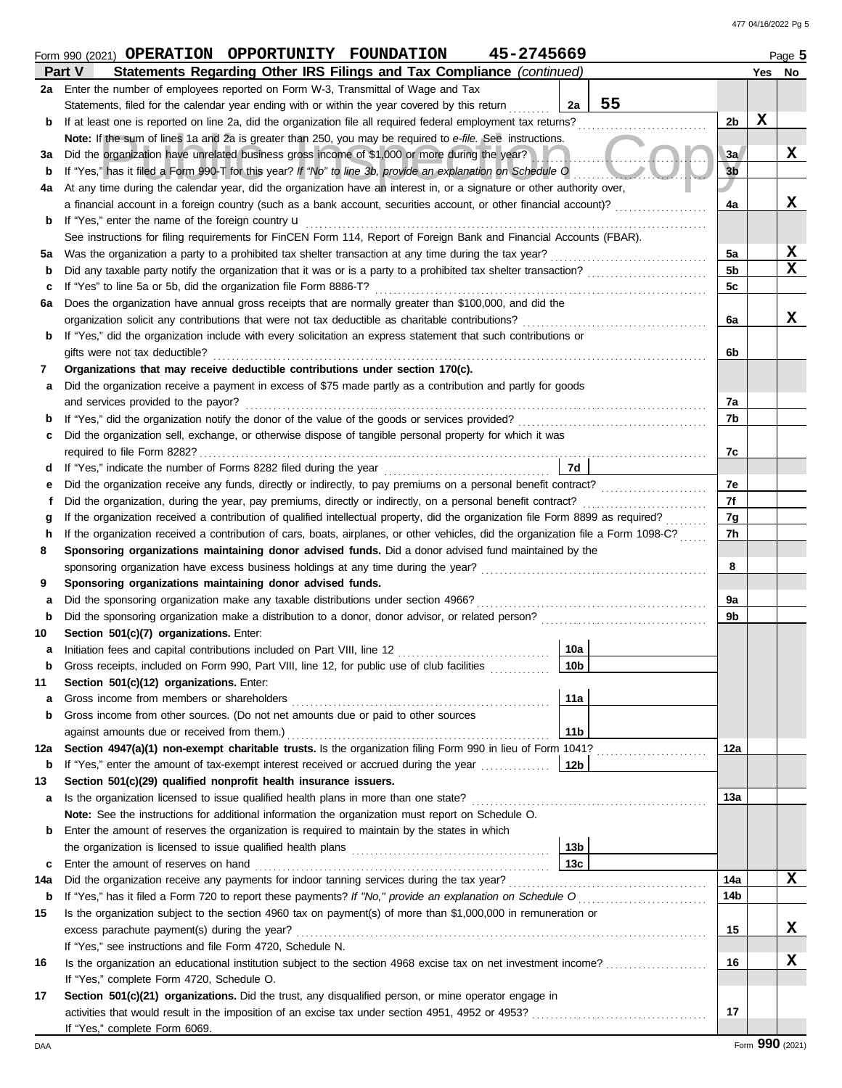|             | 45-2745669<br>Form 990 (2021) OPERATION OPPORTUNITY FOUNDATION                                                                                               |                 |   | Page 5 |
|-------------|--------------------------------------------------------------------------------------------------------------------------------------------------------------|-----------------|---|--------|
|             | Part V<br>Statements Regarding Other IRS Filings and Tax Compliance (continued)                                                                              |                 |   | Yes No |
|             | 2a Enter the number of employees reported on Form W-3, Transmittal of Wage and Tax                                                                           |                 |   |        |
|             | Statements, filed for the calendar year ending with or within the year covered by this return                                                                | 55<br>2a        |   |        |
| b           | If at least one is reported on line 2a, did the organization file all required federal employment tax returns?                                               | 2b              | X |        |
|             | Note: If the sum of lines 1a and 2a is greater than 250, you may be required to e-file. See instructions.                                                    |                 |   |        |
| За          | Did the organization have unrelated business gross income of \$1,000 or more during the year?                                                                | 3a              |   | X      |
| b           | If "Yes," has it filed a Form 990-T for this year? If "No" to line 3b, provide an explanation on Schedule O                                                  | 3 <sub>b</sub>  |   |        |
| 4a          | At any time during the calendar year, did the organization have an interest in, or a signature or other authority over,                                      |                 |   |        |
|             | a financial account in a foreign country (such as a bank account, securities account, or other financial account)?                                           | 4a              |   | x      |
| b           | If "Yes," enter the name of the foreign country u                                                                                                            |                 |   |        |
|             | See instructions for filing requirements for FinCEN Form 114, Report of Foreign Bank and Financial Accounts (FBAR).                                          |                 |   |        |
| 5а          | Was the organization a party to a prohibited tax shelter transaction at any time during the tax year?                                                        | 5a              |   | X      |
| b           | Did any taxable party notify the organization that it was or is a party to a prohibited tax shelter transaction?                                             | 5b              |   | X      |
| c           | If "Yes" to line 5a or 5b, did the organization file Form 8886-T?                                                                                            | 5c              |   |        |
| 6а          | Does the organization have annual gross receipts that are normally greater than \$100,000, and did the                                                       |                 |   |        |
|             | organization solicit any contributions that were not tax deductible as charitable contributions?                                                             | 6a              |   | X      |
| b           | If "Yes," did the organization include with every solicitation an express statement that such contributions or                                               |                 |   |        |
|             | gifts were not tax deductible?                                                                                                                               | 6b              |   |        |
| 7           | Organizations that may receive deductible contributions under section 170(c).                                                                                |                 |   |        |
| a           | Did the organization receive a payment in excess of \$75 made partly as a contribution and partly for goods                                                  |                 |   |        |
|             | and services provided to the payor?                                                                                                                          | 7a<br>7b        |   |        |
| b           |                                                                                                                                                              |                 |   |        |
| c           | Did the organization sell, exchange, or otherwise dispose of tangible personal property for which it was<br>required to file Form 8282?                      | 7c              |   |        |
| d           | If "Yes," indicate the number of Forms 8282 filed during the year                                                                                            | 7d              |   |        |
| е           | Did the organization receive any funds, directly or indirectly, to pay premiums on a personal benefit contract?                                              | 7e              |   |        |
| f           | Did the organization, during the year, pay premiums, directly or indirectly, on a personal benefit contract?                                                 | 7f              |   |        |
| g           | If the organization received a contribution of qualified intellectual property, did the organization file Form 8899 as required?                             | 7g              |   |        |
|             | If the organization received a contribution of cars, boats, airplanes, or other vehicles, did the organization file a Form 1098-C?<br>h                      |                 |   |        |
| 8           | Sponsoring organizations maintaining donor advised funds. Did a donor advised fund maintained by the                                                         |                 |   |        |
|             | sponsoring organization have excess business holdings at any time during the year?                                                                           | 8               |   |        |
| 9           | Sponsoring organizations maintaining donor advised funds.                                                                                                    |                 |   |        |
| а           | Did the sponsoring organization make any taxable distributions under section 4966?                                                                           | 9a              |   |        |
| b           | Did the sponsoring organization make a distribution to a donor, donor advisor, or related person?                                                            | 9b              |   |        |
| 10          | Section 501(c)(7) organizations. Enter:                                                                                                                      |                 |   |        |
| а           |                                                                                                                                                              | 10a             |   |        |
|             | Gross receipts, included on Form 990, Part VIII, line 12, for public use of club facilities                                                                  | $\sqrt{10b}$    |   |        |
| 11          | Section 501(c)(12) organizations. Enter:                                                                                                                     |                 |   |        |
| а           | Gross income from members or shareholders                                                                                                                    | 11a             |   |        |
| b           | Gross income from other sources. (Do not net amounts due or paid to other sources                                                                            |                 |   |        |
|             | against amounts due or received from them.)                                                                                                                  | 11 <sub>b</sub> |   |        |
| 12a         | Section 4947(a)(1) non-exempt charitable trusts. Is the organization filing Form 990 in lieu of Form 1041?                                                   | 12a             |   |        |
|             | <b>b</b> If "Yes," enter the amount of tax-exempt interest received or accrued during the year                                                               | l 12b           |   |        |
| 13          | Section 501(c)(29) qualified nonprofit health insurance issuers.                                                                                             |                 |   |        |
| a           | Is the organization licensed to issue qualified health plans in more than one state?                                                                         | 13a             |   |        |
|             | Note: See the instructions for additional information the organization must report on Schedule O.                                                            |                 |   |        |
| b           | Enter the amount of reserves the organization is required to maintain by the states in which                                                                 |                 |   |        |
|             |                                                                                                                                                              | 13b             |   |        |
| C           | Enter the amount of reserves on hand                                                                                                                         | 13 <sub>c</sub> |   |        |
| 14a         | Did the organization receive any payments for indoor tanning services during the tax year?                                                                   | 14a             |   | X      |
| $\mathbf b$ | If "Yes," has it filed a Form 720 to report these payments? If "No," provide an explanation on Schedule O                                                    | 14b             |   |        |
| 15          | Is the organization subject to the section 4960 tax on payment(s) of more than \$1,000,000 in remuneration or                                                |                 |   | X      |
|             | excess parachute payment(s) during the year?                                                                                                                 | 15              |   |        |
| 16          | If "Yes," see instructions and file Form 4720, Schedule N.                                                                                                   | 16              |   | х      |
|             | Is the organization an educational institution subject to the section 4968 excise tax on net investment income?<br>If "Yes," complete Form 4720, Schedule O. |                 |   |        |
| 17          | Section 501(c)(21) organizations. Did the trust, any disqualified person, or mine operator engage in                                                         |                 |   |        |
|             | activities that would result in the imposition of an excise tax under section 4951, 4952 or 4953?                                                            | 17              |   |        |
|             | If "Yes," complete Form 6069.                                                                                                                                |                 |   |        |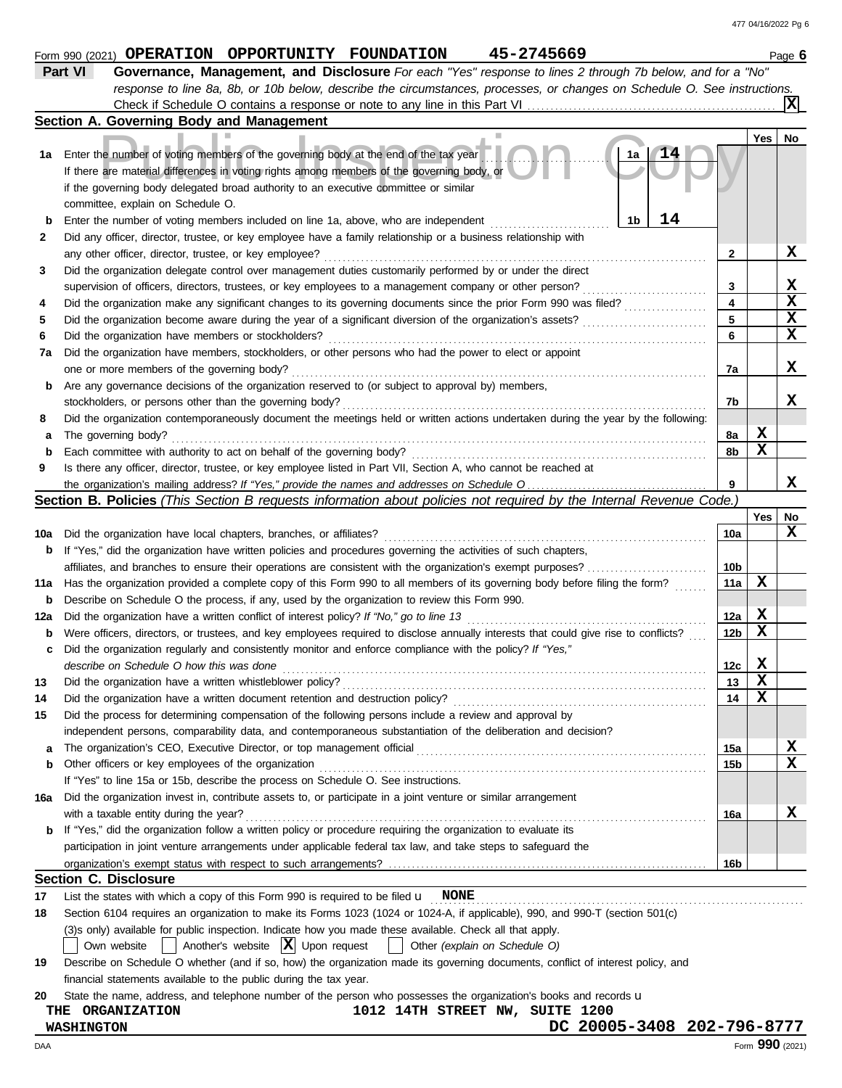477 04/16/2022 Pg 6

|             | 45-2745669<br>Form 990 (2021) OPERATION OPPORTUNITY FOUNDATION                                                                                                                    |              |             | Page 6          |
|-------------|-----------------------------------------------------------------------------------------------------------------------------------------------------------------------------------|--------------|-------------|-----------------|
|             | Part VI<br>Governance, Management, and Disclosure For each "Yes" response to lines 2 through 7b below, and for a "No"                                                             |              |             |                 |
|             | response to line 8a, 8b, or 10b below, describe the circumstances, processes, or changes on Schedule O. See instructions.                                                         |              |             |                 |
|             |                                                                                                                                                                                   |              |             |                 |
|             | Section A. Governing Body and Management                                                                                                                                          |              |             |                 |
|             |                                                                                                                                                                                   |              | Yes         | No              |
| 1а          | 1a<br>Enter the number of voting members of the governing body at the end of the tax year                                                                                         |              |             |                 |
|             | If there are material differences in voting rights among members of the governing body, or                                                                                        |              |             |                 |
|             | if the governing body delegated broad authority to an executive committee or similar                                                                                              |              |             |                 |
|             | committee, explain on Schedule O.                                                                                                                                                 |              |             |                 |
| b           | 14<br>1 <sub>b</sub><br>Enter the number of voting members included on line 1a, above, who are independent                                                                        |              |             |                 |
| 2           | Did any officer, director, trustee, or key employee have a family relationship or a business relationship with                                                                    |              |             |                 |
|             | any other officer, director, trustee, or key employee?                                                                                                                            | $\mathbf{2}$ |             | X               |
| 3           | Did the organization delegate control over management duties customarily performed by or under the direct                                                                         |              |             |                 |
|             | supervision of officers, directors, trustees, or key employees to a management company or other person?                                                                           | 3            |             | X               |
| 4           | Did the organization make any significant changes to its governing documents since the prior Form 990 was filed?                                                                  | 4            |             | $\mathbf x$     |
| 5           | Did the organization become aware during the year of a significant diversion of the organization's assets?                                                                        | 5            |             | $\mathbf x$     |
| 6           | Did the organization have members or stockholders?                                                                                                                                | 6            |             | $\mathbf x$     |
| 7a          | .<br>Did the organization have members, stockholders, or other persons who had the power to elect or appoint                                                                      |              |             |                 |
|             | one or more members of the governing body?                                                                                                                                        | 7а           |             | X               |
| b           | Are any governance decisions of the organization reserved to (or subject to approval by) members,                                                                                 |              |             |                 |
|             |                                                                                                                                                                                   | 7b           |             | X               |
|             | stockholders, or persons other than the governing body?                                                                                                                           |              |             |                 |
| 8           | Did the organization contemporaneously document the meetings held or written actions undertaken during the year by the following:                                                 |              | X           |                 |
| а           | The governing body?                                                                                                                                                               | 8а           | X           |                 |
| $\mathbf b$ | Each committee with authority to act on behalf of the governing body?                                                                                                             | 8b           |             |                 |
| 9           | Is there any officer, director, trustee, or key employee listed in Part VII, Section A, who cannot be reached at                                                                  |              |             |                 |
|             |                                                                                                                                                                                   | 9            |             | x               |
|             | <b>Section B. Policies</b> (This Section B requests information about policies not required by the Internal Revenue Code.)                                                        |              |             |                 |
|             |                                                                                                                                                                                   |              | Yes         | No              |
| 10a         | Did the organization have local chapters, branches, or affiliates?                                                                                                                | 10a          |             | X               |
| b           | If "Yes," did the organization have written policies and procedures governing the activities of such chapters,                                                                    |              |             |                 |
|             | affiliates, and branches to ensure their operations are consistent with the organization's exempt purposes?                                                                       | 10b          |             |                 |
| 11a         | Has the organization provided a complete copy of this Form 990 to all members of its governing body before filing the form?                                                       | 11a          | X           |                 |
| b           | Describe on Schedule O the process, if any, used by the organization to review this Form 990.                                                                                     |              |             |                 |
| 12a         | Did the organization have a written conflict of interest policy? If "No," go to line 13                                                                                           | 12a          | X           |                 |
| b           | Were officers, directors, or trustees, and key employees required to disclose annually interests that could give rise to conflicts?                                               | 12b          | X           |                 |
| с           | Did the organization regularly and consistently monitor and enforce compliance with the policy? If "Yes,"                                                                         |              |             |                 |
|             | describe on Schedule O how this was done                                                                                                                                          | 12c          | $\mathbf x$ |                 |
| 13          | Did the organization have a written whistleblower policy?                                                                                                                         | 13           | X           |                 |
| 14          | Did the organization have a written document retention and destruction policy?                                                                                                    | 14           | х           |                 |
| 15          | Did the process for determining compensation of the following persons include a review and approval by                                                                            |              |             |                 |
|             | independent persons, comparability data, and contemporaneous substantiation of the deliberation and decision?                                                                     |              |             |                 |
| а           | The organization's CEO, Executive Director, or top management official                                                                                                            | 15a          |             | X               |
| b           | Other officers or key employees of the organization                                                                                                                               | 15b          |             | X               |
|             | If "Yes" to line 15a or 15b, describe the process on Schedule O. See instructions.                                                                                                |              |             |                 |
| 16a         | Did the organization invest in, contribute assets to, or participate in a joint venture or similar arrangement                                                                    |              |             |                 |
|             | with a taxable entity during the year?                                                                                                                                            | 16a          |             | x               |
| b           | If "Yes," did the organization follow a written policy or procedure requiring the organization to evaluate its                                                                    |              |             |                 |
|             | participation in joint venture arrangements under applicable federal tax law, and take steps to safeguard the                                                                     |              |             |                 |
|             |                                                                                                                                                                                   | 16b          |             |                 |
|             | <b>Section C. Disclosure</b>                                                                                                                                                      |              |             |                 |
| 17          | List the states with which a copy of this Form 990 is required to be filed $\mathbf{u}$ NONE                                                                                      |              |             |                 |
| 18          | Section 6104 requires an organization to make its Forms 1023 (1024 or 1024-A, if applicable), 990, and 990-T (section 501(c)                                                      |              |             |                 |
|             | (3)s only) available for public inspection. Indicate how you made these available. Check all that apply.                                                                          |              |             |                 |
|             | Another's website $ \mathbf{X} $ Upon request<br>Own website<br>Other (explain on Schedule O)                                                                                     |              |             |                 |
| 19          | Describe on Schedule O whether (and if so, how) the organization made its governing documents, conflict of interest policy, and                                                   |              |             |                 |
|             |                                                                                                                                                                                   |              |             |                 |
|             | financial statements available to the public during the tax year.                                                                                                                 |              |             |                 |
| 20          | State the name, address, and telephone number of the person who possesses the organization's books and records u<br>1012 14TH STREET NW, SUITE 1200<br><b>ORGANIZATION</b><br>THE |              |             |                 |
|             | DC 20005-3408 202-796-8777                                                                                                                                                        |              |             |                 |
|             | <b>WASHINGTON</b>                                                                                                                                                                 |              |             |                 |
| DAA         |                                                                                                                                                                                   |              |             | Form 990 (2021) |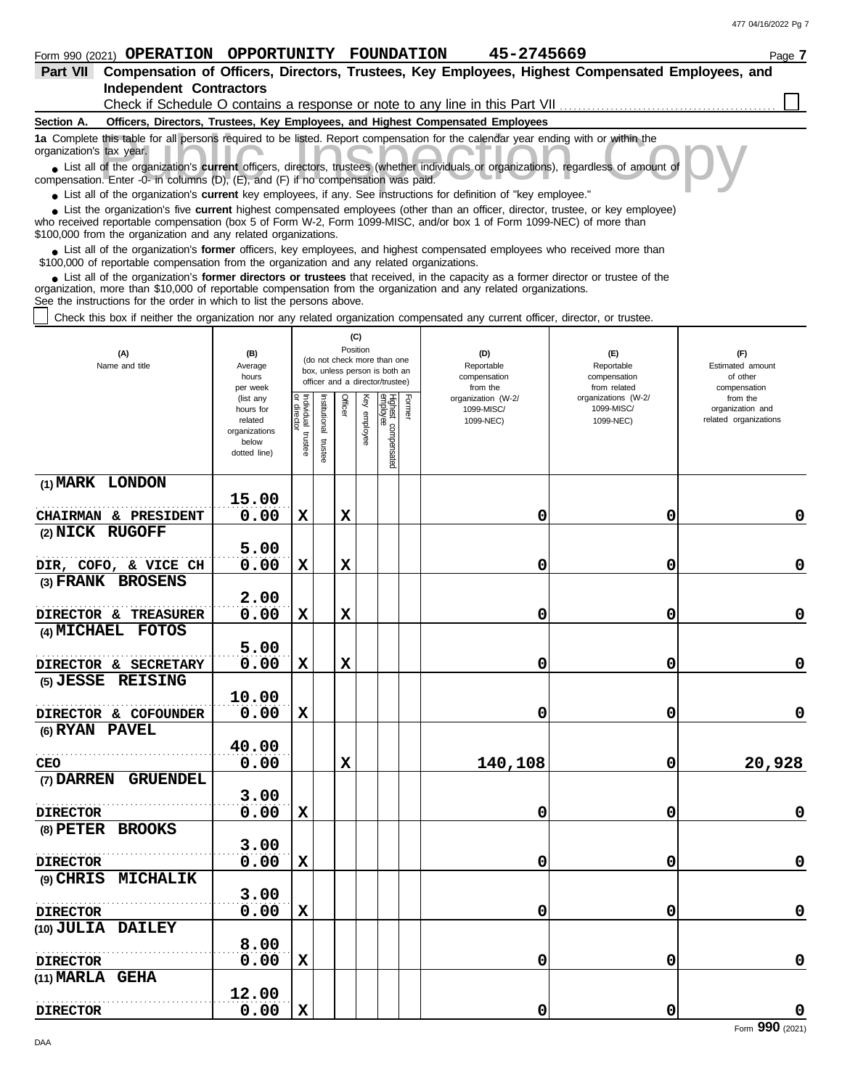Check if Schedule O contains a response or note to any line in this Part VII.

#### **Section A. Officers, Directors, Trustees, Key Employees, and Highest Compensated Employees**

**1a** Complete this table for all persons required to be listed. Report compensation for the calendar year ending with or within the organization's tax year.

this table for all persons required to be listed. Report compensation for the calendar year ending with or within the<br>tax year.<br>of the organization's **current** officers, directors, trustees (whether individuals or organiza ■ List all of the organization's **current** officers, directors, trustees (whether individuals or organizations), regardless of amount of compensation. Enter -0- in columns (D), (E), and (F) if no compensation was paid.

● List all of the organization's **current** key employees, if any. See instructions for definition of "key employee."

■ List the organization's five **current** highest compensated employees (other than an officer, director, trustee, or key employee)<br> **•** Preceived reportable compensation (boy 5 of Ferm M/2, Ferm 1000 MISC, and/or boy 1 of

who received reportable compensation (box 5 of Form W-2, Form 1099-MISC, and/or box 1 of Form 1099-NEC) of more than \$100,000 from the organization and any related organizations.

■ List all of the organization's **former** officers, key employees, and highest compensated employees who received more than<br> **•** 00,000 of reportable compensation from the ergonization and any related ergonizations \$100,000 of reportable compensation from the organization and any related organizations.

■ List all of the organization's **former directors or trustees** that received, in the capacity as a former director or trustee of the<br>paization, more than \$10,000 of reportable compensation from the organization and any r organization, more than \$10,000 of reportable compensation from the organization and any related organizations. See the instructions for the order in which to list the persons above.

Check this box if neither the organization nor any related organization compensated any current officer, director, or trustee.

| (A)<br>Name and title               | (B)<br>Average<br>hours<br>per week                                         |                                      | (C)<br>Position<br>(do not check more than one<br>box, unless person is both an<br>officer and a director/trustee) |             |                 |                                 |        | (D)<br>Reportable<br>compensation<br>from the | (F)<br>Reportable<br>compensation<br>from related | (F)<br>Estimated amount<br>of other<br>compensation   |  |
|-------------------------------------|-----------------------------------------------------------------------------|--------------------------------------|--------------------------------------------------------------------------------------------------------------------|-------------|-----------------|---------------------------------|--------|-----------------------------------------------|---------------------------------------------------|-------------------------------------------------------|--|
|                                     | (list any<br>hours for<br>related<br>organizations<br>below<br>dotted line) | Individual<br>or director<br>trustee | nstitutional<br>trustee                                                                                            | Officer     | Ķey<br>employee | Highest compensated<br>employee | Former | organization (W-2/<br>1099-MISC/<br>1099-NEC) | organizations (W-2/<br>1099-MISC/<br>1099-NEC)    | from the<br>organization and<br>related organizations |  |
| (1) MARK LONDON                     | 15.00                                                                       |                                      |                                                                                                                    |             |                 |                                 |        |                                               |                                                   |                                                       |  |
| CHAIRMAN & PRESIDENT                | 0.00                                                                        | $\mathbf x$                          |                                                                                                                    | $\mathbf x$ |                 |                                 |        | 0                                             | $\mathbf 0$                                       | $\mathbf 0$                                           |  |
| (2) NICK RUGOFF                     |                                                                             |                                      |                                                                                                                    |             |                 |                                 |        |                                               |                                                   |                                                       |  |
|                                     | 5.00                                                                        |                                      |                                                                                                                    |             |                 |                                 |        |                                               |                                                   |                                                       |  |
| DIR, COFO, & VICE CH                | 0.00                                                                        | $\mathbf x$                          |                                                                                                                    | $\mathbf x$ |                 |                                 |        | 0                                             | 0                                                 | $\mathbf 0$                                           |  |
| (3) FRANK BROSENS                   |                                                                             |                                      |                                                                                                                    |             |                 |                                 |        |                                               |                                                   |                                                       |  |
|                                     | 2.00                                                                        |                                      |                                                                                                                    |             |                 |                                 |        |                                               |                                                   |                                                       |  |
| DIRECTOR & TREASURER                | 0.00                                                                        | $\mathbf x$                          |                                                                                                                    | $\mathbf x$ |                 |                                 |        | 0                                             | $\mathbf 0$                                       | $\mathbf 0$                                           |  |
| (4) MICHAEL FOTOS                   |                                                                             |                                      |                                                                                                                    |             |                 |                                 |        |                                               |                                                   |                                                       |  |
|                                     | 5.00                                                                        |                                      |                                                                                                                    |             |                 |                                 |        |                                               |                                                   |                                                       |  |
| DIRECTOR & SECRETARY                | 0.00                                                                        | $\mathbf x$                          |                                                                                                                    | $\mathbf x$ |                 |                                 |        | 0                                             | 0                                                 | 0                                                     |  |
| (5) JESSE REISING                   |                                                                             |                                      |                                                                                                                    |             |                 |                                 |        |                                               |                                                   |                                                       |  |
|                                     | 10.00                                                                       |                                      |                                                                                                                    |             |                 |                                 |        |                                               |                                                   |                                                       |  |
| DIRECTOR & COFOUNDER                | 0.00                                                                        | $\mathbf x$                          |                                                                                                                    |             |                 |                                 |        | 0                                             | 0                                                 | $\mathbf 0$                                           |  |
| (6) RYAN PAVEL                      |                                                                             |                                      |                                                                                                                    |             |                 |                                 |        |                                               |                                                   |                                                       |  |
|                                     | 40.00                                                                       |                                      |                                                                                                                    |             |                 |                                 |        |                                               |                                                   |                                                       |  |
| <b>CEO</b>                          | 0.00                                                                        |                                      |                                                                                                                    | $\mathbf x$ |                 |                                 |        | 140,108                                       | 0                                                 | 20,928                                                |  |
| (7) DARREN<br><b>GRUENDEL</b>       | 3.00                                                                        |                                      |                                                                                                                    |             |                 |                                 |        |                                               |                                                   |                                                       |  |
|                                     | 0.00                                                                        | $\mathbf x$                          |                                                                                                                    |             |                 |                                 |        | 0                                             | 0                                                 | $\mathbf 0$                                           |  |
| <b>DIRECTOR</b><br>(8) PETER BROOKS |                                                                             |                                      |                                                                                                                    |             |                 |                                 |        |                                               |                                                   |                                                       |  |
|                                     | 3.00                                                                        |                                      |                                                                                                                    |             |                 |                                 |        |                                               |                                                   |                                                       |  |
| <b>DIRECTOR</b>                     | 0.00                                                                        | $\mathbf x$                          |                                                                                                                    |             |                 |                                 |        | 0                                             | 0                                                 | $\mathbf 0$                                           |  |
| (9) CHRIS MICHALIK                  |                                                                             |                                      |                                                                                                                    |             |                 |                                 |        |                                               |                                                   |                                                       |  |
|                                     | 3.00                                                                        |                                      |                                                                                                                    |             |                 |                                 |        |                                               |                                                   |                                                       |  |
| <b>DIRECTOR</b>                     | 0.00                                                                        | $\mathbf x$                          |                                                                                                                    |             |                 |                                 |        | 0                                             | 0                                                 | $\mathbf 0$                                           |  |
| (10) JULIA DAILEY                   |                                                                             |                                      |                                                                                                                    |             |                 |                                 |        |                                               |                                                   |                                                       |  |
|                                     | 8.00                                                                        |                                      |                                                                                                                    |             |                 |                                 |        |                                               |                                                   |                                                       |  |
| <b>DIRECTOR</b>                     | 0.00                                                                        | $\mathbf x$                          |                                                                                                                    |             |                 |                                 |        | 0                                             | 0                                                 | $\mathbf 0$                                           |  |
| (11) MARLA GEHA                     |                                                                             |                                      |                                                                                                                    |             |                 |                                 |        |                                               |                                                   |                                                       |  |
|                                     | 12.00                                                                       |                                      |                                                                                                                    |             |                 |                                 |        |                                               |                                                   |                                                       |  |
| <b>DIRECTOR</b>                     | 0.00                                                                        | $\mathbf x$                          |                                                                                                                    |             |                 |                                 |        | 0                                             | 0                                                 | 0                                                     |  |
|                                     |                                                                             |                                      |                                                                                                                    |             |                 |                                 |        |                                               |                                                   | Form 990 (2021)                                       |  |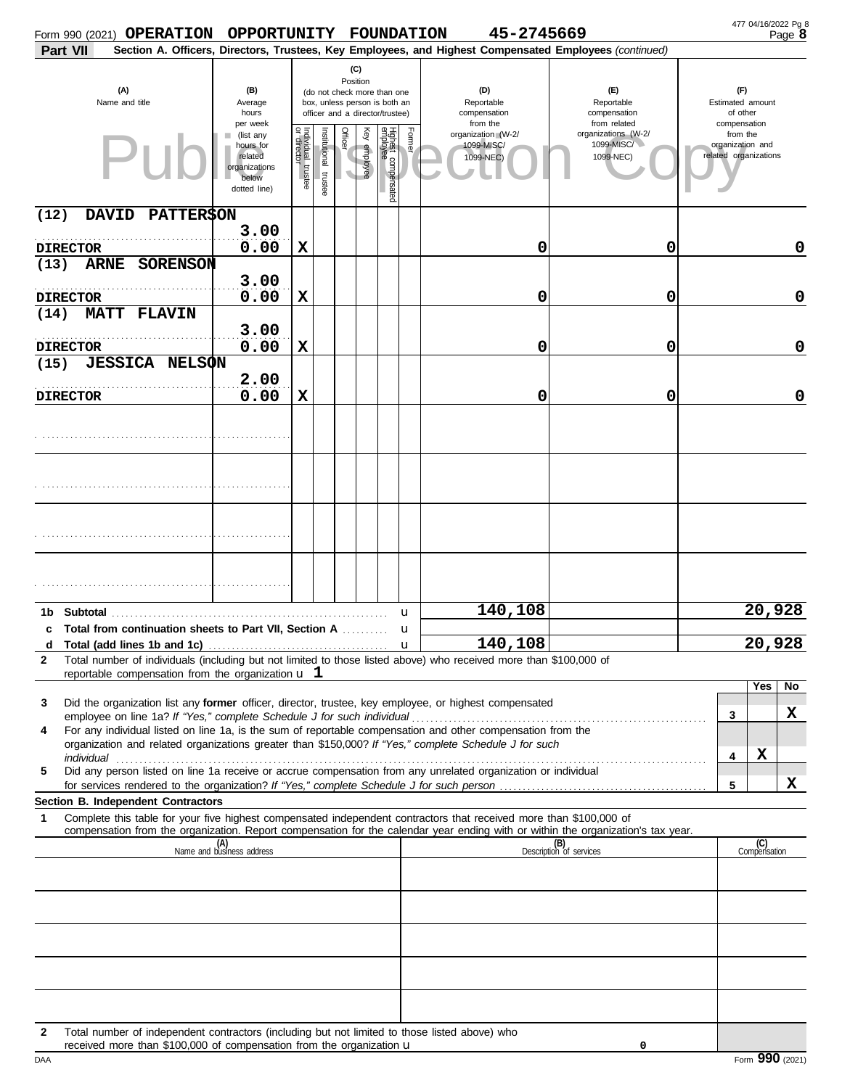|                         | Form 990 (2021) <b>OPERATION</b>                                                                                                                                                | OPPORTUNITY FOUNDATION                                                      |                                      |                      |                 |                 |                                                                                                 |              | 45-2745669                                                                                                                                                                                                           |                                                                                                                                  |                                 |                       | 477 04/16/2022 Pg 8<br>Page 8 |
|-------------------------|---------------------------------------------------------------------------------------------------------------------------------------------------------------------------------|-----------------------------------------------------------------------------|--------------------------------------|----------------------|-----------------|-----------------|-------------------------------------------------------------------------------------------------|--------------|----------------------------------------------------------------------------------------------------------------------------------------------------------------------------------------------------------------------|----------------------------------------------------------------------------------------------------------------------------------|---------------------------------|-----------------------|-------------------------------|
| <b>Part VII</b>         |                                                                                                                                                                                 |                                                                             |                                      |                      |                 |                 |                                                                                                 |              | Section A. Officers, Directors, Trustees, Key Employees, and Highest Compensated Employees (continued)                                                                                                               |                                                                                                                                  |                                 |                       |                               |
|                         | (A)<br>Name and title                                                                                                                                                           | (B)<br>Average<br>hours<br>per week                                         |                                      |                      | (C)<br>Position |                 | (do not check more than one<br>box, unless person is both an<br>officer and a director/trustee) |              | (D)<br>Reportable<br>compensation<br>from the                                                                                                                                                                        | (F)<br>Reportable<br>compensation<br>from related                                                                                | (F)<br>of other<br>compensation | Estimated amount      |                               |
|                         |                                                                                                                                                                                 | (list any<br>hours for<br>related<br>organizations<br>below<br>dotted line) | Individual<br>or director<br>trustee | nstitutional trustee | Officer         | Ķey<br>employee | Highest compensated<br>employee                                                                 | Former       | organization (W-2/<br>1099-MISC/<br>1099-NEC)                                                                                                                                                                        | organizations (W-2/<br>1099-MISC/<br>1099-NEC)                                                                                   | from the<br>organization and    | related organizations |                               |
| (12)                    | <b>DAVID</b><br><b>PATTER\$ON</b>                                                                                                                                               |                                                                             |                                      |                      |                 |                 |                                                                                                 |              |                                                                                                                                                                                                                      |                                                                                                                                  |                                 |                       |                               |
| <b>DIRECTOR</b>         |                                                                                                                                                                                 | 3.00<br>0.00                                                                | X                                    |                      |                 |                 |                                                                                                 |              | 0                                                                                                                                                                                                                    | 0                                                                                                                                |                                 |                       | 0                             |
| (13)                    | <b>ARNE</b><br>SORENSON                                                                                                                                                         | 3.00                                                                        |                                      |                      |                 |                 |                                                                                                 |              |                                                                                                                                                                                                                      |                                                                                                                                  |                                 |                       |                               |
| <b>DIRECTOR</b><br>(14) | <b>MATT</b><br><b>FLAVIN</b>                                                                                                                                                    | 0.00                                                                        | X                                    |                      |                 |                 |                                                                                                 |              | 0                                                                                                                                                                                                                    | 0                                                                                                                                |                                 |                       | 0                             |
| <b>DIRECTOR</b>         |                                                                                                                                                                                 | 3.00<br>0.00                                                                | X                                    |                      |                 |                 |                                                                                                 |              | 0                                                                                                                                                                                                                    | 0                                                                                                                                |                                 |                       | 0                             |
| (15)                    | <b>JESSICA NELSON</b>                                                                                                                                                           | 2.00                                                                        |                                      |                      |                 |                 |                                                                                                 |              |                                                                                                                                                                                                                      |                                                                                                                                  |                                 |                       |                               |
| <b>DIRECTOR</b>         |                                                                                                                                                                                 | 0.00                                                                        | X                                    |                      |                 |                 |                                                                                                 |              | 0                                                                                                                                                                                                                    | 0                                                                                                                                |                                 |                       | 0                             |
|                         |                                                                                                                                                                                 |                                                                             |                                      |                      |                 |                 |                                                                                                 |              |                                                                                                                                                                                                                      |                                                                                                                                  |                                 |                       |                               |
|                         |                                                                                                                                                                                 |                                                                             |                                      |                      |                 |                 |                                                                                                 |              |                                                                                                                                                                                                                      |                                                                                                                                  |                                 |                       |                               |
|                         |                                                                                                                                                                                 |                                                                             |                                      |                      |                 |                 |                                                                                                 |              |                                                                                                                                                                                                                      |                                                                                                                                  |                                 |                       |                               |
|                         |                                                                                                                                                                                 |                                                                             |                                      |                      |                 |                 |                                                                                                 |              |                                                                                                                                                                                                                      |                                                                                                                                  |                                 |                       |                               |
|                         |                                                                                                                                                                                 |                                                                             |                                      |                      |                 |                 |                                                                                                 | u            | 140,108                                                                                                                                                                                                              |                                                                                                                                  |                                 | 20,928                |                               |
|                         | c Total from continuation sheets to Part VII. Section A                                                                                                                         |                                                                             |                                      |                      |                 |                 |                                                                                                 | u            | 140,108                                                                                                                                                                                                              |                                                                                                                                  |                                 | 20,928                |                               |
| 2                       |                                                                                                                                                                                 |                                                                             |                                      |                      |                 |                 |                                                                                                 | $\mathbf{u}$ | Total number of individuals (including but not limited to those listed above) who received more than \$100,000 of                                                                                                    |                                                                                                                                  |                                 |                       |                               |
|                         | reportable compensation from the organization $\mathbf u$ 1                                                                                                                     |                                                                             |                                      |                      |                 |                 |                                                                                                 |              |                                                                                                                                                                                                                      |                                                                                                                                  |                                 | Yes                   | No                            |
| 3                       |                                                                                                                                                                                 |                                                                             |                                      |                      |                 |                 |                                                                                                 |              | Did the organization list any former officer, director, trustee, key employee, or highest compensated                                                                                                                |                                                                                                                                  | 3                               |                       | X                             |
| 4                       |                                                                                                                                                                                 |                                                                             |                                      |                      |                 |                 |                                                                                                 |              | For any individual listed on line 1a, is the sum of reportable compensation and other compensation from the<br>organization and related organizations greater than \$150,000? If "Yes," complete Schedule J for such |                                                                                                                                  |                                 |                       |                               |
|                         |                                                                                                                                                                                 |                                                                             |                                      |                      |                 |                 |                                                                                                 |              |                                                                                                                                                                                                                      |                                                                                                                                  | 4                               | X                     |                               |
| 5                       | for services rendered to the organization? If "Yes," complete Schedule J for such person                                                                                        |                                                                             |                                      |                      |                 |                 |                                                                                                 |              | Did any person listed on line 1a receive or accrue compensation from any unrelated organization or individual                                                                                                        |                                                                                                                                  | 5                               |                       | X                             |
| 1                       | Section B. Independent Contractors                                                                                                                                              |                                                                             |                                      |                      |                 |                 |                                                                                                 |              | Complete this table for your five highest compensated independent contractors that received more than \$100,000 of                                                                                                   |                                                                                                                                  |                                 |                       |                               |
|                         |                                                                                                                                                                                 |                                                                             |                                      |                      |                 |                 |                                                                                                 |              |                                                                                                                                                                                                                      | compensation from the organization. Report compensation for the calendar year ending with or within the organization's tax year. |                                 | (C)                   |                               |
|                         |                                                                                                                                                                                 | (A)<br>Name and business address                                            |                                      |                      |                 |                 |                                                                                                 |              |                                                                                                                                                                                                                      | (B)<br>Description of services                                                                                                   |                                 | Compensation          |                               |
|                         |                                                                                                                                                                                 |                                                                             |                                      |                      |                 |                 |                                                                                                 |              |                                                                                                                                                                                                                      |                                                                                                                                  |                                 |                       |                               |
|                         |                                                                                                                                                                                 |                                                                             |                                      |                      |                 |                 |                                                                                                 |              |                                                                                                                                                                                                                      |                                                                                                                                  |                                 |                       |                               |
|                         |                                                                                                                                                                                 |                                                                             |                                      |                      |                 |                 |                                                                                                 |              |                                                                                                                                                                                                                      |                                                                                                                                  |                                 |                       |                               |
|                         |                                                                                                                                                                                 |                                                                             |                                      |                      |                 |                 |                                                                                                 |              |                                                                                                                                                                                                                      |                                                                                                                                  |                                 |                       |                               |
|                         |                                                                                                                                                                                 |                                                                             |                                      |                      |                 |                 |                                                                                                 |              |                                                                                                                                                                                                                      |                                                                                                                                  |                                 |                       |                               |
|                         |                                                                                                                                                                                 |                                                                             |                                      |                      |                 |                 |                                                                                                 |              |                                                                                                                                                                                                                      |                                                                                                                                  |                                 |                       |                               |
| $\mathbf{2}$            | Total number of independent contractors (including but not limited to those listed above) who<br>received more than \$100,000 of compensation from the organization $\mathbf u$ |                                                                             |                                      |                      |                 |                 |                                                                                                 |              |                                                                                                                                                                                                                      | 0                                                                                                                                |                                 |                       |                               |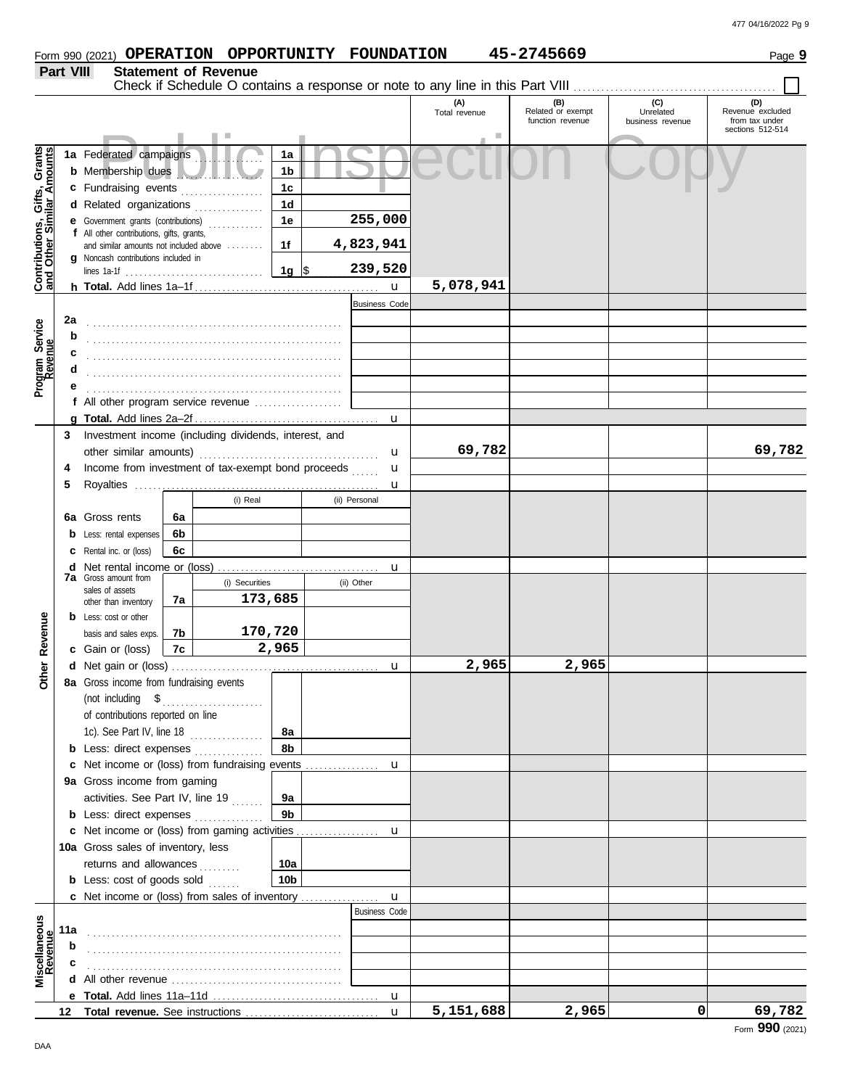# **Form 990 (2021) OPERATION OPPORTUNITY FOUNDATION 45-2745669** Page 9

### **Part VIII Statement of Revenue** Check if Schedule O contains a response or note to any line in this Part VIII. **(A) (B) (C) (D)** Total revenue Related or exempt Unrelated Revenue excluded function revenue business revenue from tax under sections 512-514 Public Inspection Copy <u>និ តិ</u> **Contributions, Gifts, Grants and Other Similar Amounts 1a** Federated campaigns **. . . . . . . . . . . . 1a** Gifts, Grant<br>nilar Amount: **1b b** Membership dues . . . . . . . . . . . . . . . . . . . **1c c** Fundraising events **. . . . . . . . . . . . . .** . . Contributions, Gif<br>and Other Similar **1d d** Related organizations . . . . . . . . . . . . . **255,000 1e e** Government grants (contributions) . . . . . . . . . . . . **f** All other contributions, gifts, grants, **4,823,941 1f** and similar amounts not included above ........ **g** Noncash contributions included in **1g** \$ . . . . . . . . . . . . . . . . . . . . . **239,520** lines 1a-1f ................... **5,078,941** u **h Total.** Add lines 1a–1f . . . . . . . . . . . . . . . . . . . . . . . . . . . . . . . . . . . . . . . . Business Code Program Service<br>Revenue **2a Program Service** . . . . . . . . . . . . . . . . . . . . . . . . . . . . . . . . . . . . . . . . . . . . . . . . . . . . . . . **b c** . . . . . . . . . . . . . . . . . . . . . . . . . . . . . . . . . . . . . . . . . . . . . . . . . . . . . . . **d** . . . . . . . . . . . . . . . . . . . . . . . . . . . . . . . . . . . . . . . . . . . . . . . . . . . . . . . **e** . . . . . . . . . . . . . . . . . . . . . . . . . . . . . . . . . . . . . . . . . . . . . . . . . . . . . . . **f** All other program service revenue . . . . . . . . . . . . . . . . . . . **g Total.** Add lines 2a–2f . . . . . . . . . . . . . . . . . . . . . . . . . . . . . . . . . . . . . . . . u **3** Investment income (including dividends, interest, and **69,782 69,782** other similar amounts) . . . . . . . . . . . . . . . . . . . . . . . . . . . . . . . . . . . . . . . u u **4** Income from investment of tax-exempt bond proceeds ...... **5** Royalties ..... u (i) Real (ii) Personal **6a 6a** Gross rents **6b b** Less: rental expenses **6c c** Rental inc. or (loss) **d** Net rental income or (loss) . . . . . . . . . . . . . . . . . . . . . . . . . . . . . . . . . . . u **7a** Gross amount from (i) Securities (ii) Other sales of assets **173,685 7a** other than inventory Revenue **b** Less: cost or other **Other Revenue 170,720 7b** basis and sales exps. **2,965 7c c** Gain or (loss) **Other 2,965 2,965 d** u Net gain or (loss) . . . . . . . . . . . . . . . . . . . . . . . . . . . . . . . . . . . . . . . . . . . . . **8a** Gross income from fundraising events (not including \$ . . . . . . . . . . . . . . . . . . . . . . of contributions reported on line 1c). See Part IV, line 18 . . . . . . . . . . . . . . . . **8a 8b b** Less: direct expenses . . . . . . . . . . . . . u **c** Net income or (loss) from fundraising events ............... **9a** Gross income from gaming activities. See Part IV, line 19 ....... **9a 9b b** Less: direct expenses ............... u Net income or (loss) from gaming activities . . . . . . . . . . . . . . . . . . **c** 10a Gross sales of inventory, less returns and allowances .......... **10a 10b b** Less: cost of goods sold  $\ldots$ Net income or (loss) from sales of inventory . . . . . . . . . . . . . . . . . **c** u Business Code **Revenue Miscellaneous 11a** . . . . . . . . . . . . . . . . . . . . . . . . . . . . . . . . . . . . . . . . . . . . . . . . . . . . . . . **b c d** All other revenue . . . . . . . . . . . . . . . . . . . . . . . . . . . . . . . . . . . . . **e Total.** Add lines 11a–11d . . . . . . . . . . . . . . . . . . . . . . . . . . . . . . . . . . . . u **5,151,688 2,965 0 69,782 Total revenue.** See instructions **12** u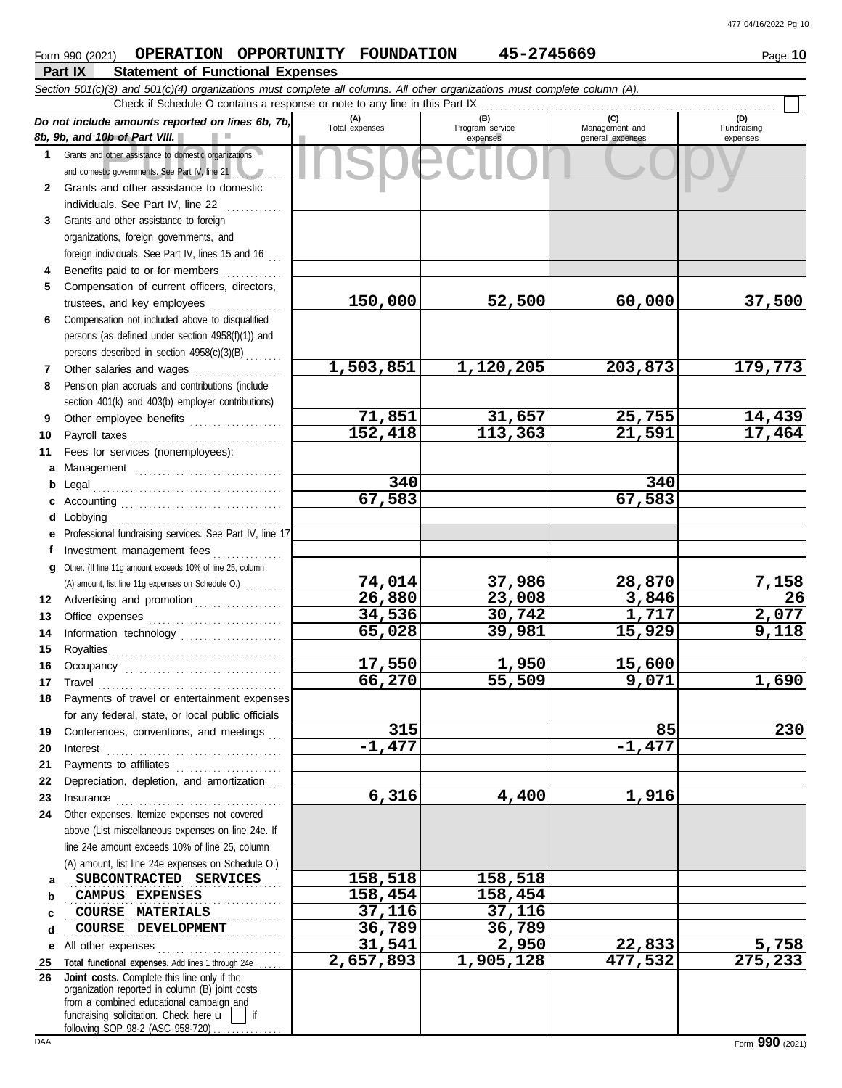## The Summary of Part VIII.<br>
dother assistance to domestic organizations<br>
and other assistance to domestic<br>
and other assistance to domestic **Part IX Statement of Functional Expenses Form 990 (2021) OPERATION OPPORTUNITY FOUNDATION 45-2745669** Page 10 *Section 501(c)(3) and 501(c)(4) organizations must complete all columns. All other organizations must complete column (A). Do not include amounts reported on lines 6b, 7b, 8b, 9b, and 10b of Part VIII.* **1 2 3 4 5 6 7 8 9 10 11 a** Management ................................. **b** Legal . . . . . . . . . . . . . . . . . . . . . . . . . . . . . . . . . . . . . . . . . **c** Accounting . . . . . . . . . . . . . . . . . . . . . . . . . . . . . . . . . . . **d** Lobbying . . . . . . . . . . . . . . . . . . . . . . . . . . . . . . . . . . . . . **e** Professional fundraising services. See Part IV, line 17 **f g** Other. (If line 11g amount exceeds 10% of line 25, column **12** Advertising and promotion . . . . . . . . . . . . . . . . . **13 14 15 16 17 18 19 20 21 22** Depreciation, depletion, and amortization . . . **23 24 a b c d e** All other expenses . . . . . . . . . . . . . . . . . . . . . . . . . . . Grants and other assistance to domestic organizations and domestic governments. See Part IV, line 21 Grants and other assistance to domestic individuals. See Part IV, line 22 Grants and other assistance to foreign organizations, foreign governments, and foreign individuals. See Part IV, lines 15 and 16 Benefits paid to or for members ............. Compensation of current officers, directors, trustees, and key employees . . . . . . . . . . . . . . . . Compensation not included above to disqualified persons (as defined under section 4958(f)(1)) and persons described in section 4958(c)(3)(B) . . . . . . . . Other salaries and wages ................... Pension plan accruals and contributions (include section 401(k) and 403(b) employer contributions) Other employee benefits .................... Payroll taxes . . . . . . . . . . . . . . . . . . . . . . . . . . . . . . . . . Fees for services (nonemployees): Investment management fees ............... Office expenses ................................ Information technology ...................... Royalties . . . . . . . . . . . . . . . . . . . . . . . . . . . . . . . . . . . . . Occupancy . . . . . . . . . . . . . . . . . . . . . . . . . . . . . . . . . . Travel . . . . . . . . . . . . . . . . . . . . . . . . . . . . . . . . . . . . . . . . Payments of travel or entertainment expenses for any federal, state, or local public officials Conferences, conventions, and meetings Interest . . . . . . . . . . . . . . . . . . . . . . . . . . . . . . . . . . . . . . Payments to affiliates . . . . . . . . . . . . . . . . . . . . . . . . Insurance . . . . . . . . . . . . . . . . . . . . . . . . . . . . . . . . . . . . Other expenses. Itemize expenses not covered above (List miscellaneous expenses on line 24e. If line 24e amount exceeds 10% of line 25, column (A) amount, list line 24e expenses on Schedule O.) **(A) (B) (C) (D)** Management and expenses and general expenses (D)<br>Fundraising expenses **SUBCONTRACTED SERVICES 158,518** 158,518 **CAMPUS EXPENSES** 2.158,454 158,454 **COURSE MATERIALS 116 37,116 37,116 COURSE DEVELOPMENT** 26,789 36,789 Check if Schedule O contains a response or note to any line in this Part IX (A) amount, list line 11g expenses on Schedule O.) . . . . . . . . **150,000 52,500 60,000 37,500 1,503,851 1,120,205 203,873 179,773 71,851 31,657 25,755 14,439 152,418 113,363 21,591 17,464 340 340 67,583 67,583 74,014 37,986 28,870 7,158 26,880 23,008 3,846 26 34,536 30,742 1,717 2,077 65,028 39,981 15,929 9,118 17,550 1,950 15,600 66,270 55,509 9,071 1,690 315 85 230 -1,477 -1,477 6,316 4,400 1,916 31,541 2,950 22,833 5,758**

**2,657,893 1,905,128 477,532 275,233**

# following SOP 98-2 (ASC 958-720)

**26**

**25 Total functional expenses.** Add lines 1 through 24e . . . . .

**Joint costs.** Complete this line only if the

fundraising solicitation. Check here  $\mathbf{u}$  | if organization reported in column (B) joint costs from a combined educational campaign and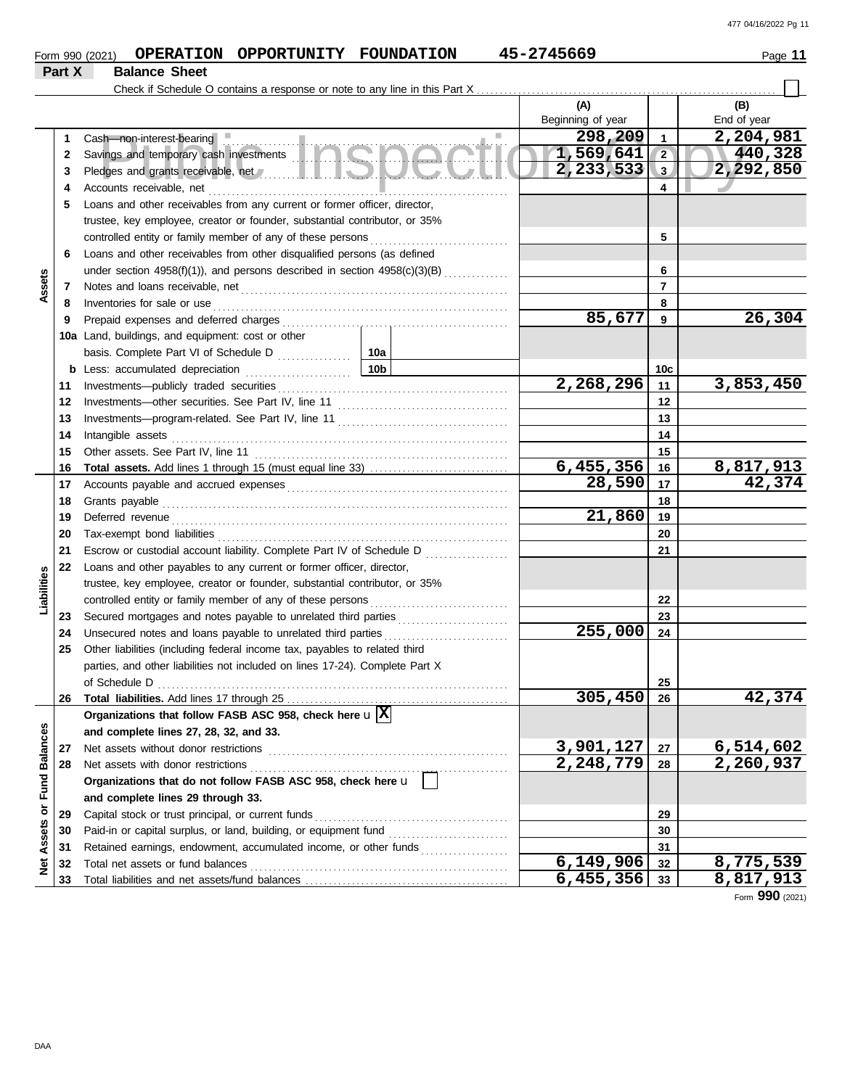|                             |        | Form 990 (2021)                                                                   | OPERATION OPPORTUNITY FOUNDATION |                 | 45-2745669        |                 | Page 11                    |
|-----------------------------|--------|-----------------------------------------------------------------------------------|----------------------------------|-----------------|-------------------|-----------------|----------------------------|
|                             | Part X | <b>Balance Sheet</b>                                                              |                                  |                 |                   |                 |                            |
|                             |        |                                                                                   |                                  |                 |                   |                 |                            |
|                             |        |                                                                                   |                                  |                 | (A)               |                 | (B)                        |
|                             |        |                                                                                   |                                  |                 | Beginning of year |                 | End of year                |
|                             | 1      | Cash-non-interest-bearing                                                         |                                  |                 | 298,209<br>m.     | $\mathbf{1}$    | 2,204,981                  |
|                             | 2      |                                                                                   |                                  |                 | 1,569,641         | $\sqrt{2}$      | 440,328                    |
|                             | 3      | Pledges and grants receivable, net //www.all.com/all.com/all.com/all.com/all.com/ |                                  |                 | $2, 233, 533$ 3   |                 | 2,292,850                  |
|                             | 4      | Accounts receivable, net                                                          |                                  |                 |                   | 4               |                            |
|                             | 5      | Loans and other receivables from any current or former officer, director,         |                                  |                 |                   |                 |                            |
|                             |        | trustee, key employee, creator or founder, substantial contributor, or 35%        |                                  |                 |                   |                 |                            |
|                             |        | controlled entity or family member of any of these persons                        |                                  |                 |                   | 5               |                            |
|                             | 6      | Loans and other receivables from other disqualified persons (as defined           |                                  |                 |                   |                 |                            |
|                             |        | under section 4958(f)(1)), and persons described in section 4958(c)(3)(B)         |                                  |                 |                   | 6               |                            |
| Assets                      | 7      |                                                                                   |                                  |                 |                   | $\overline{7}$  |                            |
|                             | 8      | Inventories for sale or use                                                       |                                  |                 |                   | 8               |                            |
|                             | 9      | Prepaid expenses and deferred charges                                             |                                  |                 | 85,677            | $\mathbf{9}$    | 26,304                     |
|                             |        | 10a Land, buildings, and equipment: cost or other                                 |                                  |                 |                   |                 |                            |
|                             |        |                                                                                   |                                  |                 |                   |                 |                            |
|                             |        | <b>b</b> Less: accumulated depreciation                                           |                                  | 10 <sub>b</sub> |                   | 10 <sub>c</sub> |                            |
|                             | 11     | Investments-publicly traded securities                                            |                                  |                 | 2,268,296         | 11              | 3,853,450                  |
|                             | 12     |                                                                                   |                                  |                 |                   | 12              |                            |
|                             | 13     |                                                                                   |                                  |                 |                   | 13              |                            |
|                             | 14     | Intangible assets                                                                 |                                  |                 |                   | 14              |                            |
|                             | 15     | Other assets. See Part IV, line 11                                                |                                  |                 |                   | 15              |                            |
|                             | 16     |                                                                                   |                                  |                 | 6,455,356         | 16              |                            |
|                             | 17     |                                                                                   |                                  |                 | 28,590            | 17              | $\frac{8,817,913}{42,374}$ |
|                             | 18     | Grants payable                                                                    |                                  |                 |                   | 18              |                            |
|                             | 19     | Deferred revenue                                                                  |                                  |                 | 21,860            | 19              |                            |
|                             | 20     |                                                                                   |                                  |                 |                   | 20              |                            |
|                             | 21     | Escrow or custodial account liability. Complete Part IV of Schedule D             |                                  |                 |                   | 21              |                            |
|                             | 22     | Loans and other payables to any current or former officer, director,              |                                  |                 |                   |                 |                            |
|                             |        | trustee, key employee, creator or founder, substantial contributor, or 35%        |                                  |                 |                   |                 |                            |
| Liabilities                 |        | controlled entity or family member of any of these persons                        |                                  |                 |                   | 22              |                            |
|                             | 23     | Secured mortgages and notes payable to unrelated third parties                    |                                  |                 |                   | 23              |                            |
|                             | 24     | Unsecured notes and loans payable to unrelated third parties                      |                                  |                 | 255,000           | 24              |                            |
|                             | 25     | Other liabilities (including federal income tax, payables to related third        |                                  |                 |                   |                 |                            |
|                             |        | parties, and other liabilities not included on lines 17-24). Complete Part X      |                                  |                 |                   |                 |                            |
|                             |        | of Schedule D                                                                     |                                  |                 |                   | 25              |                            |
|                             | 26     |                                                                                   |                                  |                 | 305,450           | 26              | 42,374                     |
|                             |        | Organizations that follow FASB ASC 958, check here $\mathbf{u} \mathbf{X}$        |                                  |                 |                   |                 |                            |
|                             |        | and complete lines 27, 28, 32, and 33.                                            |                                  |                 |                   |                 |                            |
|                             | 27     | Net assets without donor restrictions                                             |                                  |                 | 3,901,127         | 27              | 6, 514, 602                |
|                             | 28     | Net assets with donor restrictions                                                |                                  |                 | 2,248,779         | 28              | 2,260,937                  |
|                             |        | Organizations that do not follow FASB ASC 958, check here u                       |                                  |                 |                   |                 |                            |
|                             |        | and complete lines 29 through 33.                                                 |                                  |                 |                   |                 |                            |
|                             | 29     | Capital stock or trust principal, or current funds                                |                                  |                 |                   | 29              |                            |
|                             | 30     | Paid-in or capital surplus, or land, building, or equipment fund                  |                                  |                 |                   | 30              |                            |
| Net Assets or Fund Balances | 31     | Retained earnings, endowment, accumulated income, or other funds                  |                                  | .               |                   | 31              |                            |
|                             | 32     | Total net assets or fund balances                                                 |                                  |                 | 6,149,906         | 32              | 8,775,539                  |
|                             | 33     |                                                                                   |                                  |                 | 6,455,356         | 33              | 8,817,913                  |

Form **990** (2021)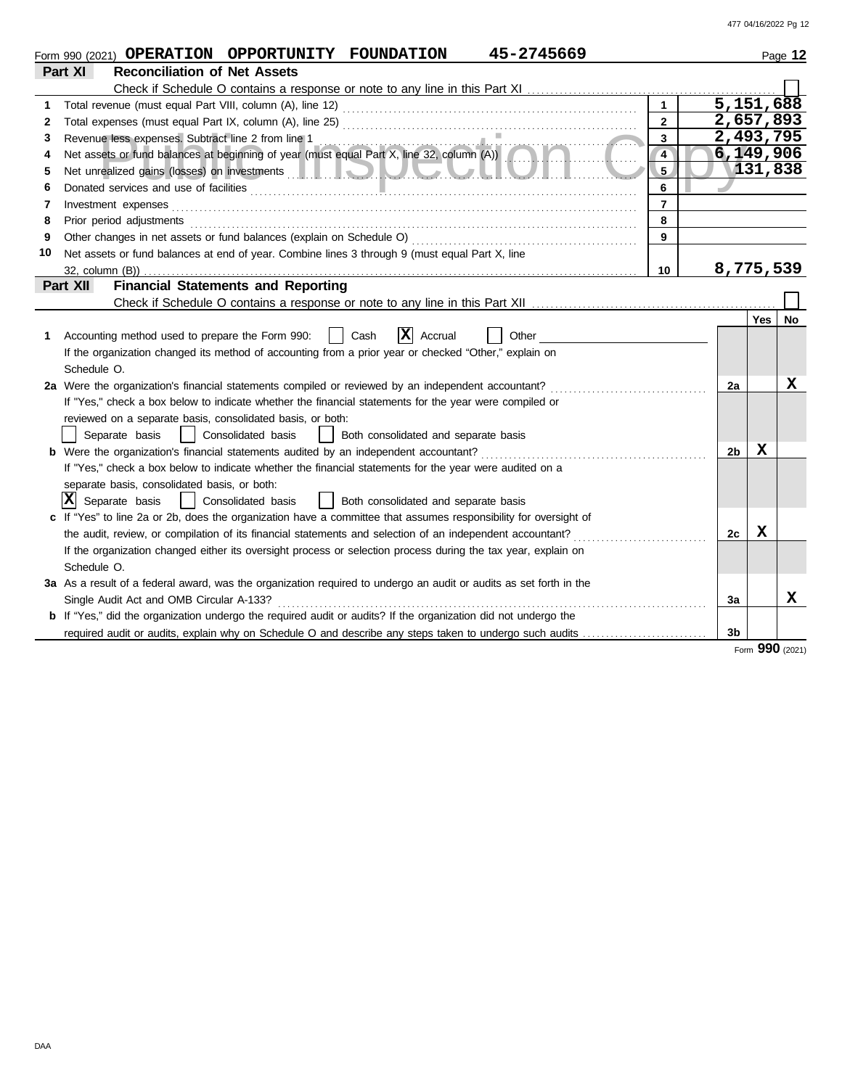|    | 45-2745669<br>Form 990 (2021) OPERATION OPPORTUNITY FOUNDATION                                                                                                                                                                      |                |         | Page 12 |
|----|-------------------------------------------------------------------------------------------------------------------------------------------------------------------------------------------------------------------------------------|----------------|---------|---------|
|    | <b>Reconciliation of Net Assets</b><br>Part XI                                                                                                                                                                                      |                |         |         |
|    |                                                                                                                                                                                                                                     |                |         |         |
| 1  | $\mathbf{1}$                                                                                                                                                                                                                        | 5,151,688      |         |         |
| 2  | $\mathbf{2}$                                                                                                                                                                                                                        | 2,657,893      |         |         |
| 3  | $\mathbf{3}$<br>Revenue less expenses. Subtract line 2 from line 1<br>Revenue less expenses. Subtract line 2 from line 1<br>Net assets or fund balances at beginning of year (must equal Part X, line 32, column (A))               | 2,493,795      |         |         |
| 4  | $\overline{4}$                                                                                                                                                                                                                      | 6,149,906      |         |         |
| 5  | 5                                                                                                                                                                                                                                   |                | 131,838 |         |
| 6  | 6                                                                                                                                                                                                                                   |                |         |         |
| 7  | $\overline{7}$<br>Investment expenses                                                                                                                                                                                               |                |         |         |
| 8  | 8<br>Prior period adjustments entertainments and adjustments of the contract of the contract of the contract of the contract of the contract of the contract of the contract of the contract of the contract of the contract of the |                |         |         |
| 9  | Other changes in net assets or fund balances (explain on Schedule O)<br>9                                                                                                                                                           |                |         |         |
| 10 | Net assets or fund balances at end of year. Combine lines 3 through 9 (must equal Part X, line                                                                                                                                      |                |         |         |
|    | 10<br>32, column (B))                                                                                                                                                                                                               | 8,775,539      |         |         |
|    | <b>Financial Statements and Reporting</b><br>Part XII                                                                                                                                                                               |                |         |         |
|    |                                                                                                                                                                                                                                     |                |         |         |
|    |                                                                                                                                                                                                                                     |                | Yes     | No      |
| 1  | x <br>Accrual<br>Accounting method used to prepare the Form 990:<br>Cash<br>Other                                                                                                                                                   |                |         |         |
|    | If the organization changed its method of accounting from a prior year or checked "Other," explain on                                                                                                                               |                |         |         |
|    | Schedule O.                                                                                                                                                                                                                         |                |         |         |
|    | 2a Were the organization's financial statements compiled or reviewed by an independent accountant?                                                                                                                                  | 2a             |         | х       |
|    | If "Yes," check a box below to indicate whether the financial statements for the year were compiled or                                                                                                                              |                |         |         |
|    | reviewed on a separate basis, consolidated basis, or both:                                                                                                                                                                          |                |         |         |
|    | Separate basis<br>  Consolidated basis<br>Both consolidated and separate basis                                                                                                                                                      |                |         |         |
|    | <b>b</b> Were the organization's financial statements audited by an independent accountant?                                                                                                                                         | 2 <sub>b</sub> | X       |         |
|    | If "Yes," check a box below to indicate whether the financial statements for the year were audited on a                                                                                                                             |                |         |         |
|    | separate basis, consolidated basis, or both:                                                                                                                                                                                        |                |         |         |
|    | X <br>Separate basis<br>  Consolidated basis<br>  Both consolidated and separate basis                                                                                                                                              |                |         |         |
| c  | If "Yes" to line 2a or 2b, does the organization have a committee that assumes responsibility for oversight of                                                                                                                      |                |         |         |
|    | the audit, review, or compilation of its financial statements and selection of an independent accountant?                                                                                                                           | 2c             | X       |         |
|    | If the organization changed either its oversight process or selection process during the tax year, explain on                                                                                                                       |                |         |         |
|    | Schedule O.                                                                                                                                                                                                                         |                |         |         |
|    | 3a As a result of a federal award, was the organization required to undergo an audit or audits as set forth in the                                                                                                                  |                |         |         |
|    | Single Audit Act and OMB Circular A-133?                                                                                                                                                                                            | За             |         | x       |
|    | <b>b</b> If "Yes," did the organization undergo the required audit or audits? If the organization did not undergo the                                                                                                               |                |         |         |
|    | required audit or audits, explain why on Schedule O and describe any steps taken to undergo such audits                                                                                                                             | 3b             |         |         |

Form **990** (2021)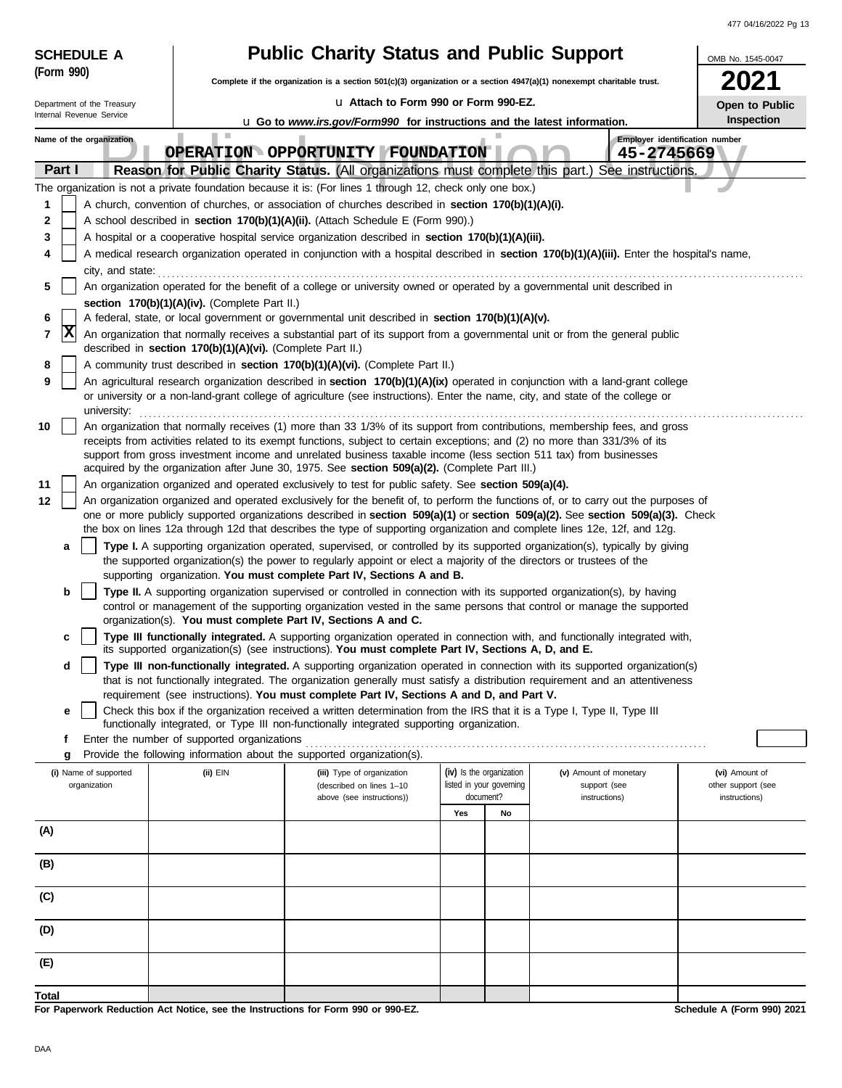| 477 04/16/2022 Pg 13 |  |
|----------------------|--|

| <b>SCHEDULE A</b>                                                               |                                                                                                                                                                                                                                                                                                                                                                                                                                                                                                                                                                                                                                                                                                                                                                                                                                                                                                                                                                                                                                                                                                                                                                                                                                                                                                                                                                                                                                                                                                                                                                                                                                                                                                                                                                                                                                                                                                                                                                                           | <b>Public Charity Status and Public Support</b>                                                                                                                                                                                                                                                                                                                                                                                                                                                                                                                                                                                                                                                                                                                                                                            |                                                                   |    |                                                         |                                              | OMB No. 1545-0047                                     |  |  |  |
|---------------------------------------------------------------------------------|-------------------------------------------------------------------------------------------------------------------------------------------------------------------------------------------------------------------------------------------------------------------------------------------------------------------------------------------------------------------------------------------------------------------------------------------------------------------------------------------------------------------------------------------------------------------------------------------------------------------------------------------------------------------------------------------------------------------------------------------------------------------------------------------------------------------------------------------------------------------------------------------------------------------------------------------------------------------------------------------------------------------------------------------------------------------------------------------------------------------------------------------------------------------------------------------------------------------------------------------------------------------------------------------------------------------------------------------------------------------------------------------------------------------------------------------------------------------------------------------------------------------------------------------------------------------------------------------------------------------------------------------------------------------------------------------------------------------------------------------------------------------------------------------------------------------------------------------------------------------------------------------------------------------------------------------------------------------------------------------|----------------------------------------------------------------------------------------------------------------------------------------------------------------------------------------------------------------------------------------------------------------------------------------------------------------------------------------------------------------------------------------------------------------------------------------------------------------------------------------------------------------------------------------------------------------------------------------------------------------------------------------------------------------------------------------------------------------------------------------------------------------------------------------------------------------------------|-------------------------------------------------------------------|----|---------------------------------------------------------|----------------------------------------------|-------------------------------------------------------|--|--|--|
| (Form 990)                                                                      |                                                                                                                                                                                                                                                                                                                                                                                                                                                                                                                                                                                                                                                                                                                                                                                                                                                                                                                                                                                                                                                                                                                                                                                                                                                                                                                                                                                                                                                                                                                                                                                                                                                                                                                                                                                                                                                                                                                                                                                           |                                                                                                                                                                                                                                                                                                                                                                                                                                                                                                                                                                                                                                                                                                                                                                                                                            |                                                                   |    |                                                         |                                              |                                                       |  |  |  |
| Department of the Treasury                                                      |                                                                                                                                                                                                                                                                                                                                                                                                                                                                                                                                                                                                                                                                                                                                                                                                                                                                                                                                                                                                                                                                                                                                                                                                                                                                                                                                                                                                                                                                                                                                                                                                                                                                                                                                                                                                                                                                                                                                                                                           | La Attach to Form 990 or Form 990-EZ.                                                                                                                                                                                                                                                                                                                                                                                                                                                                                                                                                                                                                                                                                                                                                                                      |                                                                   |    |                                                         |                                              | Open to Public                                        |  |  |  |
| Internal Revenue Service                                                        |                                                                                                                                                                                                                                                                                                                                                                                                                                                                                                                                                                                                                                                                                                                                                                                                                                                                                                                                                                                                                                                                                                                                                                                                                                                                                                                                                                                                                                                                                                                                                                                                                                                                                                                                                                                                                                                                                                                                                                                           | <b>u</b> Go to www.irs.gov/Form990 for instructions and the latest information.                                                                                                                                                                                                                                                                                                                                                                                                                                                                                                                                                                                                                                                                                                                                            |                                                                   |    |                                                         |                                              | <b>Inspection</b>                                     |  |  |  |
| Name of the organization<br>Part I<br>1<br>2<br>3<br>4<br>city, and state:<br>5 | section 170(b)(1)(A)(iv). (Complete Part II.)                                                                                                                                                                                                                                                                                                                                                                                                                                                                                                                                                                                                                                                                                                                                                                                                                                                                                                                                                                                                                                                                                                                                                                                                                                                                                                                                                                                                                                                                                                                                                                                                                                                                                                                                                                                                                                                                                                                                             | OPERATION OPPORTUNITY FOUNDATION<br>Reason for Public Charity Status. (All organizations must complete this part.) See instructions.<br>The organization is not a private foundation because it is: (For lines 1 through 12, check only one box.)<br>A church, convention of churches, or association of churches described in section 170(b)(1)(A)(i).<br>A school described in section 170(b)(1)(A)(ii). (Attach Schedule E (Form 990).)<br>A hospital or a cooperative hospital service organization described in section 170(b)(1)(A)(iii).<br>A medical research organization operated in conjunction with a hospital described in section 170(b)(1)(A)(iii). Enter the hospital's name,<br>An organization operated for the benefit of a college or university owned or operated by a governmental unit described in |                                                                   |    |                                                         | Employer identification number<br>45-2745669 |                                                       |  |  |  |
| 6<br>$ {\bf x} $<br>7<br>8<br>9                                                 | A federal, state, or local government or governmental unit described in section 170(b)(1)(A)(v).<br>An organization that normally receives a substantial part of its support from a governmental unit or from the general public<br>described in section 170(b)(1)(A)(vi). (Complete Part II.)<br>A community trust described in section 170(b)(1)(A)(vi). (Complete Part II.)<br>An agricultural research organization described in section 170(b)(1)(A)(ix) operated in conjunction with a land-grant college                                                                                                                                                                                                                                                                                                                                                                                                                                                                                                                                                                                                                                                                                                                                                                                                                                                                                                                                                                                                                                                                                                                                                                                                                                                                                                                                                                                                                                                                           |                                                                                                                                                                                                                                                                                                                                                                                                                                                                                                                                                                                                                                                                                                                                                                                                                            |                                                                   |    |                                                         |                                              |                                                       |  |  |  |
| university:                                                                     |                                                                                                                                                                                                                                                                                                                                                                                                                                                                                                                                                                                                                                                                                                                                                                                                                                                                                                                                                                                                                                                                                                                                                                                                                                                                                                                                                                                                                                                                                                                                                                                                                                                                                                                                                                                                                                                                                                                                                                                           | or university or a non-land-grant college of agriculture (see instructions). Enter the name, city, and state of the college or                                                                                                                                                                                                                                                                                                                                                                                                                                                                                                                                                                                                                                                                                             |                                                                   |    |                                                         |                                              |                                                       |  |  |  |
| 10                                                                              | An organization that normally receives (1) more than 33 1/3% of its support from contributions, membership fees, and gross<br>receipts from activities related to its exempt functions, subject to certain exceptions; and (2) no more than 331/3% of its<br>support from gross investment income and unrelated business taxable income (less section 511 tax) from businesses<br>acquired by the organization after June 30, 1975. See section 509(a)(2). (Complete Part III.)                                                                                                                                                                                                                                                                                                                                                                                                                                                                                                                                                                                                                                                                                                                                                                                                                                                                                                                                                                                                                                                                                                                                                                                                                                                                                                                                                                                                                                                                                                           |                                                                                                                                                                                                                                                                                                                                                                                                                                                                                                                                                                                                                                                                                                                                                                                                                            |                                                                   |    |                                                         |                                              |                                                       |  |  |  |
| 11                                                                              |                                                                                                                                                                                                                                                                                                                                                                                                                                                                                                                                                                                                                                                                                                                                                                                                                                                                                                                                                                                                                                                                                                                                                                                                                                                                                                                                                                                                                                                                                                                                                                                                                                                                                                                                                                                                                                                                                                                                                                                           |                                                                                                                                                                                                                                                                                                                                                                                                                                                                                                                                                                                                                                                                                                                                                                                                                            |                                                                   |    |                                                         |                                              |                                                       |  |  |  |
| a<br>b<br>c<br>d<br>е                                                           | An organization organized and operated exclusively to test for public safety. See section 509(a)(4).<br>12<br>An organization organized and operated exclusively for the benefit of, to perform the functions of, or to carry out the purposes of<br>one or more publicly supported organizations described in section 509(a)(1) or section 509(a)(2). See section 509(a)(3). Check<br>the box on lines 12a through 12d that describes the type of supporting organization and complete lines 12e, 12f, and 12g.<br>Type I. A supporting organization operated, supervised, or controlled by its supported organization(s), typically by giving<br>the supported organization(s) the power to regularly appoint or elect a majority of the directors or trustees of the<br>supporting organization. You must complete Part IV, Sections A and B.<br>Type II. A supporting organization supervised or controlled in connection with its supported organization(s), by having<br>control or management of the supporting organization vested in the same persons that control or manage the supported<br>organization(s). You must complete Part IV, Sections A and C.<br>Type III functionally integrated. A supporting organization operated in connection with, and functionally integrated with,<br>its supported organization(s) (see instructions). You must complete Part IV, Sections A, D, and E.<br>Type III non-functionally integrated. A supporting organization operated in connection with its supported organization(s)<br>that is not functionally integrated. The organization generally must satisfy a distribution requirement and an attentiveness<br>requirement (see instructions). You must complete Part IV, Sections A and D, and Part V.<br>Check this box if the organization received a written determination from the IRS that it is a Type I, Type II, Type III<br>functionally integrated, or Type III non-functionally integrated supporting organization. |                                                                                                                                                                                                                                                                                                                                                                                                                                                                                                                                                                                                                                                                                                                                                                                                                            |                                                                   |    |                                                         |                                              |                                                       |  |  |  |
| f                                                                               | Enter the number of supported organizations                                                                                                                                                                                                                                                                                                                                                                                                                                                                                                                                                                                                                                                                                                                                                                                                                                                                                                                                                                                                                                                                                                                                                                                                                                                                                                                                                                                                                                                                                                                                                                                                                                                                                                                                                                                                                                                                                                                                               | Provide the following information about the supported organization(s).                                                                                                                                                                                                                                                                                                                                                                                                                                                                                                                                                                                                                                                                                                                                                     |                                                                   |    |                                                         |                                              |                                                       |  |  |  |
| g<br>(i) Name of supported<br>organization                                      | (ii) EIN                                                                                                                                                                                                                                                                                                                                                                                                                                                                                                                                                                                                                                                                                                                                                                                                                                                                                                                                                                                                                                                                                                                                                                                                                                                                                                                                                                                                                                                                                                                                                                                                                                                                                                                                                                                                                                                                                                                                                                                  | (iii) Type of organization<br>(described on lines 1-10<br>above (see instructions))                                                                                                                                                                                                                                                                                                                                                                                                                                                                                                                                                                                                                                                                                                                                        | (iv) Is the organization<br>listed in your governing<br>document? |    | (v) Amount of monetary<br>support (see<br>instructions) |                                              | (vi) Amount of<br>other support (see<br>instructions) |  |  |  |
| (A)                                                                             |                                                                                                                                                                                                                                                                                                                                                                                                                                                                                                                                                                                                                                                                                                                                                                                                                                                                                                                                                                                                                                                                                                                                                                                                                                                                                                                                                                                                                                                                                                                                                                                                                                                                                                                                                                                                                                                                                                                                                                                           |                                                                                                                                                                                                                                                                                                                                                                                                                                                                                                                                                                                                                                                                                                                                                                                                                            | Yes                                                               | No |                                                         |                                              |                                                       |  |  |  |
| (B)                                                                             |                                                                                                                                                                                                                                                                                                                                                                                                                                                                                                                                                                                                                                                                                                                                                                                                                                                                                                                                                                                                                                                                                                                                                                                                                                                                                                                                                                                                                                                                                                                                                                                                                                                                                                                                                                                                                                                                                                                                                                                           |                                                                                                                                                                                                                                                                                                                                                                                                                                                                                                                                                                                                                                                                                                                                                                                                                            |                                                                   |    |                                                         |                                              |                                                       |  |  |  |
| (C)                                                                             |                                                                                                                                                                                                                                                                                                                                                                                                                                                                                                                                                                                                                                                                                                                                                                                                                                                                                                                                                                                                                                                                                                                                                                                                                                                                                                                                                                                                                                                                                                                                                                                                                                                                                                                                                                                                                                                                                                                                                                                           |                                                                                                                                                                                                                                                                                                                                                                                                                                                                                                                                                                                                                                                                                                                                                                                                                            |                                                                   |    |                                                         |                                              |                                                       |  |  |  |
| (D)                                                                             |                                                                                                                                                                                                                                                                                                                                                                                                                                                                                                                                                                                                                                                                                                                                                                                                                                                                                                                                                                                                                                                                                                                                                                                                                                                                                                                                                                                                                                                                                                                                                                                                                                                                                                                                                                                                                                                                                                                                                                                           |                                                                                                                                                                                                                                                                                                                                                                                                                                                                                                                                                                                                                                                                                                                                                                                                                            |                                                                   |    |                                                         |                                              |                                                       |  |  |  |
| (E)                                                                             |                                                                                                                                                                                                                                                                                                                                                                                                                                                                                                                                                                                                                                                                                                                                                                                                                                                                                                                                                                                                                                                                                                                                                                                                                                                                                                                                                                                                                                                                                                                                                                                                                                                                                                                                                                                                                                                                                                                                                                                           |                                                                                                                                                                                                                                                                                                                                                                                                                                                                                                                                                                                                                                                                                                                                                                                                                            |                                                                   |    |                                                         |                                              |                                                       |  |  |  |
| <b>Total</b>                                                                    |                                                                                                                                                                                                                                                                                                                                                                                                                                                                                                                                                                                                                                                                                                                                                                                                                                                                                                                                                                                                                                                                                                                                                                                                                                                                                                                                                                                                                                                                                                                                                                                                                                                                                                                                                                                                                                                                                                                                                                                           | For Paperwork Reduction Act Notice, see the Instructions for Form 990 or 990-EZ.                                                                                                                                                                                                                                                                                                                                                                                                                                                                                                                                                                                                                                                                                                                                           |                                                                   |    |                                                         |                                              | Schedule A (Form 990) 2021                            |  |  |  |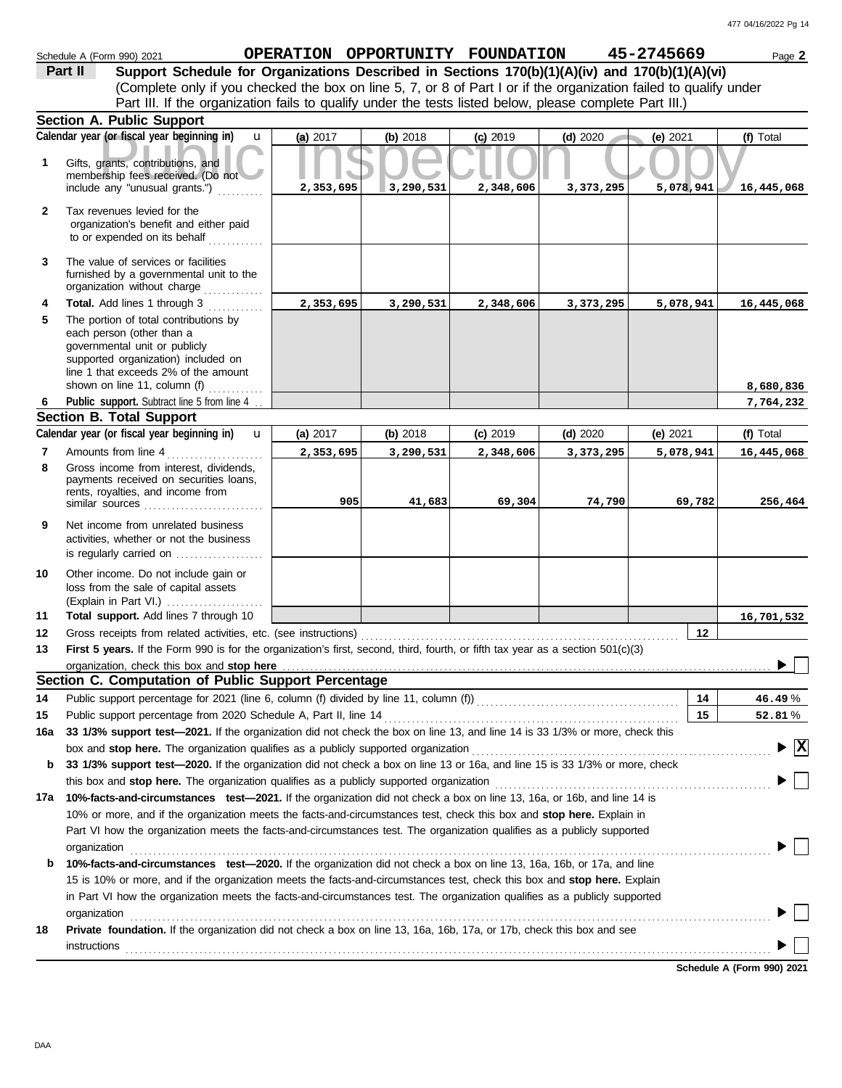| Schedule A (Form 990) 2021 |  |  |
|----------------------------|--|--|

(Complete only if you checked the box on line 5, 7, or 8 of Part I or if the organization failed to qualify under **Part II** Support Schedule for Organizations Described in Sections 170(b)(1)(A)(iv) and 170(b)(1)(A)(vi) Part III. If the organization fails to qualify under the tests listed below, please complete Part III.)

|              | <b>Section A. Public Support</b>                                                                                                                                                                                                             |            |           |            |            |            |                                             |
|--------------|----------------------------------------------------------------------------------------------------------------------------------------------------------------------------------------------------------------------------------------------|------------|-----------|------------|------------|------------|---------------------------------------------|
|              | Calendar year (or fiscal year beginning in)<br>u                                                                                                                                                                                             | (a) 2017   | (b) 2018  | $(c)$ 2019 | $(d)$ 2020 | (e) 2021   | (f) Total                                   |
| 1            | Gifts, grants, contributions, and<br>membership fees received. (Do not<br>include any "unusual grants.")                                                                                                                                     | 2,353,695  | 3,290,531 | 2,348,606  | 3,373,295  | 5,078,941  | 16,445,068                                  |
| $\mathbf{2}$ | Tax revenues levied for the<br>organization's benefit and either paid<br>to or expended on its behalf                                                                                                                                        |            |           |            |            |            |                                             |
| 3            | The value of services or facilities<br>furnished by a governmental unit to the<br>organization without charge                                                                                                                                |            |           |            |            |            |                                             |
| 4            | Total. Add lines 1 through 3<br><u>.</u><br>.                                                                                                                                                                                                | 2,353,695  | 3,290,531 | 2,348,606  | 3,373,295  | 5,078,941  | 16,445,068                                  |
| 5            | The portion of total contributions by<br>each person (other than a<br>governmental unit or publicly<br>supported organization) included on<br>line 1 that exceeds 2% of the amount                                                           |            |           |            |            |            |                                             |
|              | shown on line 11, column (f)<br>.                                                                                                                                                                                                            |            |           |            |            |            | 8,680,836                                   |
| 6            | Public support. Subtract line 5 from line 4                                                                                                                                                                                                  |            |           |            |            |            | 7,764,232                                   |
|              | <b>Section B. Total Support</b>                                                                                                                                                                                                              |            |           |            |            |            |                                             |
|              | Calendar year (or fiscal year beginning in)<br>$\mathbf{u}$                                                                                                                                                                                  | (a) $2017$ | (b) 2018  | $(c)$ 2019 | $(d)$ 2020 | (e) $2021$ | (f) Total                                   |
| 7            | Amounts from line 4                                                                                                                                                                                                                          | 2,353,695  | 3,290,531 | 2,348,606  | 3,373,295  | 5,078,941  | 16,445,068                                  |
| 8            | Gross income from interest, dividends,<br>payments received on securities loans,<br>rents, royalties, and income from<br>similar sources                                                                                                     | 905        | 41,683    | 69,304     | 74,790     | 69,782     | 256,464                                     |
| 9            | Net income from unrelated business<br>activities, whether or not the business<br>is regularly carried on $\ldots$ , $\ldots$                                                                                                                 |            |           |            |            |            |                                             |
| 10           | Other income. Do not include gain or<br>loss from the sale of capital assets<br>(Explain in Part VI.)                                                                                                                                        |            |           |            |            |            |                                             |
| 11           | Total support. Add lines 7 through 10                                                                                                                                                                                                        |            |           |            |            |            | 16,701,532                                  |
| 12           | Gross receipts from related activities, etc. (see instructions)                                                                                                                                                                              |            |           |            |            | 12         |                                             |
| 13           | First 5 years. If the Form 990 is for the organization's first, second, third, fourth, or fifth tax year as a section 501(c)(3)                                                                                                              |            |           |            |            |            |                                             |
|              | organization, check this box and stop here                                                                                                                                                                                                   |            |           |            |            |            |                                             |
|              | Section C. Computation of Public Support Percentage                                                                                                                                                                                          |            |           |            |            |            |                                             |
| 14           | Public support percentage for 2021 (line 6, column (f) divided by line 11, column (f)) [[[[[[[[[[[[[[[[[[[[[[                                                                                                                                |            |           |            |            | 14         | 46.49%                                      |
| 15           | Public support percentage from 2020 Schedule A, Part II, line 14                                                                                                                                                                             |            |           |            |            | 15         | 52.81%                                      |
| 16a          | 33 1/3% support test-2021. If the organization did not check the box on line 13, and line 14 is 33 1/3% or more, check this                                                                                                                  |            |           |            |            |            |                                             |
|              | box and stop here. The organization qualifies as a publicly supported organization                                                                                                                                                           |            |           |            |            |            | $\blacktriangleright \overline{\mathbf{X}}$ |
| b            | 33 1/3% support test-2020. If the organization did not check a box on line 13 or 16a, and line 15 is 33 1/3% or more, check                                                                                                                  |            |           |            |            |            |                                             |
|              | this box and stop here. The organization qualifies as a publicly supported organization                                                                                                                                                      |            |           |            |            |            |                                             |
| 17a          | 10%-facts-and-circumstances test-2021. If the organization did not check a box on line 13, 16a, or 16b, and line 14 is                                                                                                                       |            |           |            |            |            |                                             |
|              | 10% or more, and if the organization meets the facts-and-circumstances test, check this box and stop here. Explain in                                                                                                                        |            |           |            |            |            |                                             |
|              | Part VI how the organization meets the facts-and-circumstances test. The organization qualifies as a publicly supported                                                                                                                      |            |           |            |            |            |                                             |
|              | organization                                                                                                                                                                                                                                 |            |           |            |            |            |                                             |
| b            | 10%-facts-and-circumstances test-2020. If the organization did not check a box on line 13, 16a, 16b, or 17a, and line                                                                                                                        |            |           |            |            |            |                                             |
|              | 15 is 10% or more, and if the organization meets the facts-and-circumstances test, check this box and stop here. Explain                                                                                                                     |            |           |            |            |            |                                             |
|              | in Part VI how the organization meets the facts-and-circumstances test. The organization qualifies as a publicly supported                                                                                                                   |            |           |            |            |            |                                             |
|              | organization                                                                                                                                                                                                                                 |            |           |            |            |            |                                             |
| 18           | Private foundation. If the organization did not check a box on line 13, 16a, 16b, 17a, or 17b, check this box and see                                                                                                                        |            |           |            |            |            |                                             |
|              | instructions<br><sub>contr</sub> ettions<br>and the contract of the contract of the contract of the contract of the contract of the contract of the contract of the contract of the contract of the contract of the contract of the contract |            |           |            |            |            |                                             |

**Schedule A (Form 990) 2021**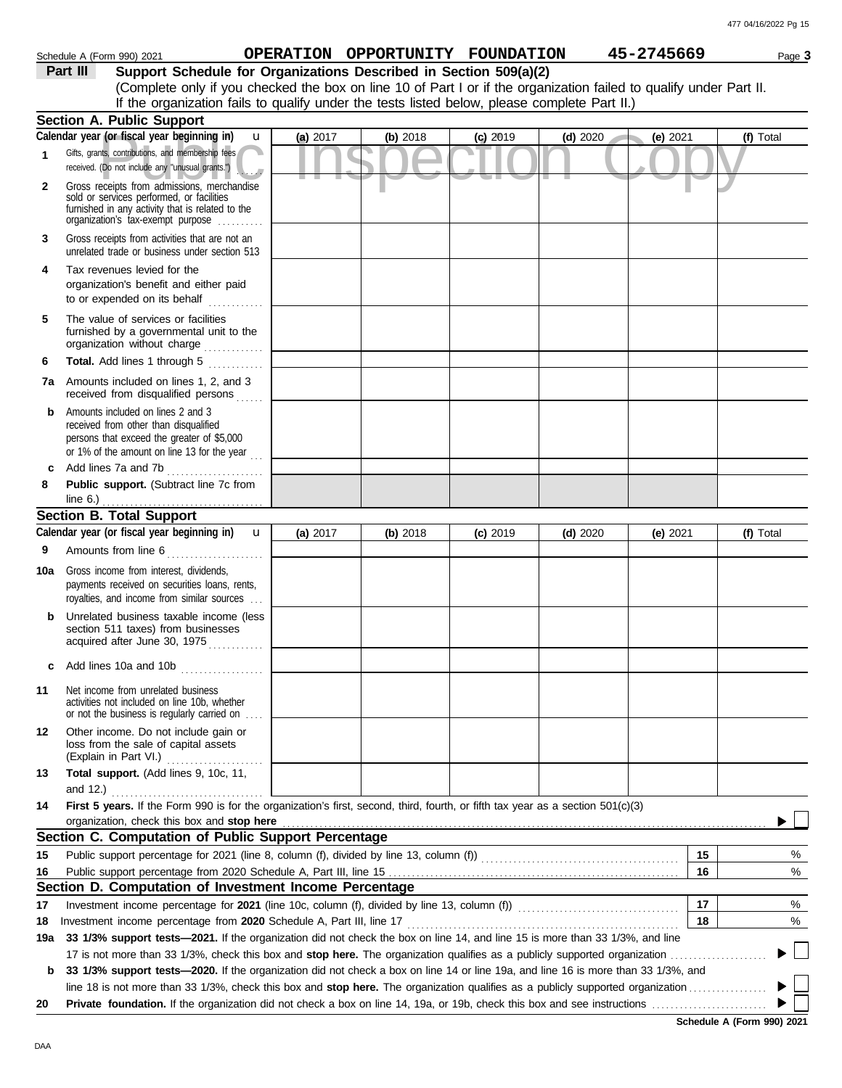| Schedule A (Form 990) 2021                                                                                         |                                                                                              |          | OPERATION OPPORTUNITY FOUNDATION |            | 45-2745669               | Page 3    |  |  |  |  |  |
|--------------------------------------------------------------------------------------------------------------------|----------------------------------------------------------------------------------------------|----------|----------------------------------|------------|--------------------------|-----------|--|--|--|--|--|
| Part III                                                                                                           | Support Schedule for Organizations Described in Section 509(a)(2)                            |          |                                  |            |                          |           |  |  |  |  |  |
| (Complete only if you checked the box on line 10 of Part I or if the organization failed to qualify under Part II. |                                                                                              |          |                                  |            |                          |           |  |  |  |  |  |
|                                                                                                                    | If the organization fails to qualify under the tests listed below, please complete Part II.) |          |                                  |            |                          |           |  |  |  |  |  |
| Section A. Public Support                                                                                          |                                                                                              |          |                                  |            |                          |           |  |  |  |  |  |
| Calendar year (or fiscal year beginning in)                                                                        | $\mathbf{u}$                                                                                 | (a) 2017 | (b) $2018$                       | $(c)$ 2019 | (e) $2021$<br>$(d)$ 2020 | (f) Total |  |  |  |  |  |
|                                                                                                                    |                                                                                              |          |                                  |            |                          |           |  |  |  |  |  |

|              | Calendar year (or fiscal year beginning in)<br>$\mathbf u$                                                                                                                                              | (a) 2017 | (b) 2018 | $(c)$ 2019 | $(d)$ 2020 | (e) 2021   | (f) Total      |
|--------------|---------------------------------------------------------------------------------------------------------------------------------------------------------------------------------------------------------|----------|----------|------------|------------|------------|----------------|
| 1            | Gifts, grants, contributions, and membership fees<br>received. (Do not include any "unusual grants.")                                                                                                   |          |          |            |            |            |                |
| $\mathbf{2}$ | Gross receipts from admissions, merchandise<br>sold or services performed, or facilities<br>furnished in any activity that is related to the<br>organization's fax-exempt purpose                       |          |          |            |            |            |                |
| 3            | Gross receipts from activities that are not an<br>unrelated trade or business under section 513                                                                                                         |          |          |            |            |            |                |
| 4            | Tax revenues levied for the<br>organization's benefit and either paid<br>to or expended on its behalf<br>.                                                                                              |          |          |            |            |            |                |
| 5            | The value of services or facilities<br>furnished by a governmental unit to the<br>organization without charge                                                                                           |          |          |            |            |            |                |
| 6            | Total. Add lines 1 through 5                                                                                                                                                                            |          |          |            |            |            |                |
| 7a           | Amounts included on lines 1, 2, and 3<br>received from disqualified persons<br>.                                                                                                                        |          |          |            |            |            |                |
| b            | Amounts included on lines 2 and 3<br>received from other than disqualified<br>persons that exceed the greater of \$5,000<br>or 1% of the amount on line 13 for the year $\ldots$<br>Add lines 7a and 7b |          |          |            |            |            |                |
| c<br>8       | Public support. (Subtract line 7c from                                                                                                                                                                  |          |          |            |            |            |                |
|              | line $6.$ )                                                                                                                                                                                             |          |          |            |            |            |                |
|              | <b>Section B. Total Support</b>                                                                                                                                                                         |          |          |            |            |            |                |
|              | Calendar year (or fiscal year beginning in)<br>$\mathbf{u}$                                                                                                                                             | (a) 2017 | (b) 2018 | $(c)$ 2019 | $(d)$ 2020 | (e) $2021$ | (f) Total      |
| 9            | Amounts from line 6<br>.                                                                                                                                                                                |          |          |            |            |            |                |
| 10a          | Gross income from interest, dividends,<br>payments received on securities loans, rents,<br>royalties, and income from similar sources                                                                   |          |          |            |            |            |                |
| b            | Unrelated business taxable income (less<br>section 511 taxes) from businesses<br>acquired after June 30, 1975                                                                                           |          |          |            |            |            |                |
| c            | Add lines 10a and 10b                                                                                                                                                                                   |          |          |            |            |            |                |
| 11           | Net income from unrelated business<br>activities not included on line 10b, whether<br>or not the business is regularly carried on                                                                       |          |          |            |            |            |                |
| 12           | Other income. Do not include gain or<br>loss from the sale of capital assets<br>(Explain in Part VI.)                                                                                                   |          |          |            |            |            |                |
| 13           | Total support. (Add lines 9, 10c, 11,                                                                                                                                                                   |          |          |            |            |            |                |
|              | and $12.$ )<br>.                                                                                                                                                                                        |          |          |            |            |            |                |
| 14           | First 5 years. If the Form 990 is for the organization's first, second, third, fourth, or fifth tax year as a section 501(c)(3)                                                                         |          |          |            |            |            |                |
|              | organization, check this box and stop here<br>Section C. Computation of Public Support Percentage                                                                                                       |          |          |            |            |            |                |
|              |                                                                                                                                                                                                         |          |          |            |            |            |                |
| 15<br>16     |                                                                                                                                                                                                         |          |          |            |            | 15<br>16   | %<br>$\%$      |
|              | Section D. Computation of Investment Income Percentage                                                                                                                                                  |          |          |            |            |            |                |
| 17           |                                                                                                                                                                                                         |          |          |            |            | 17         | %              |
| 18           | Investment income percentage from 2020 Schedule A, Part III, line 17                                                                                                                                    |          |          |            |            | 18         | %              |
| 19a          | 33 1/3% support tests-2021. If the organization did not check the box on line 14, and line 15 is more than 33 1/3%, and line                                                                            |          |          |            |            |            |                |
|              | 17 is not more than 33 1/3%, check this box and stop here. The organization qualifies as a publicly supported organization                                                                              |          |          |            |            |            | $\mathbb{R}^n$ |
| b            | 33 1/3% support tests-2020. If the organization did not check a box on line 14 or line 19a, and line 16 is more than 33 1/3%, and                                                                       |          |          |            |            |            |                |
|              |                                                                                                                                                                                                         |          |          |            |            |            | $\mathbf{L}$   |
| 20           |                                                                                                                                                                                                         |          |          |            |            |            |                |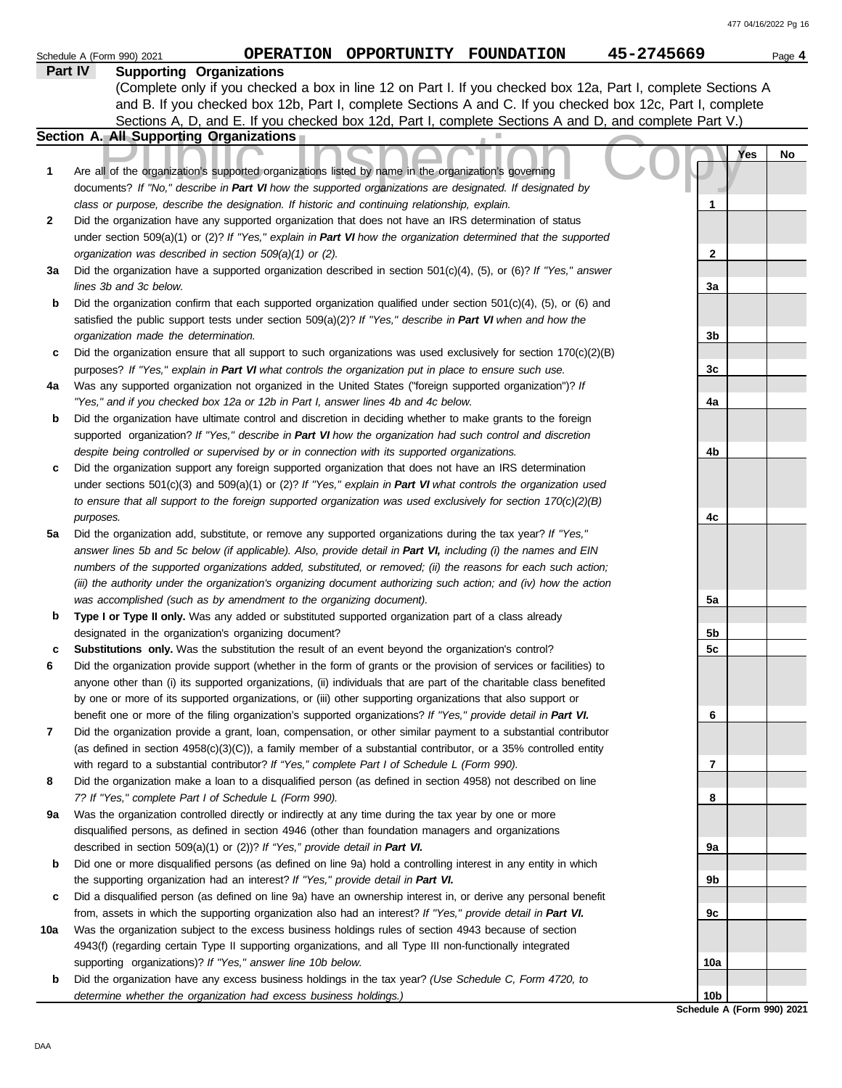|         | OPERATION OPPORTUNITY FOUNDATION<br>Schedule A (Form 990) 2021                                                                                                                                                               |  | 45-2745669      | Page 4                     |
|---------|------------------------------------------------------------------------------------------------------------------------------------------------------------------------------------------------------------------------------|--|-----------------|----------------------------|
| Part IV | <b>Supporting Organizations</b>                                                                                                                                                                                              |  |                 |                            |
|         | (Complete only if you checked a box in line 12 on Part I. If you checked box 12a, Part I, complete Sections A                                                                                                                |  |                 |                            |
|         | and B. If you checked box 12b, Part I, complete Sections A and C. If you checked box 12c, Part I, complete                                                                                                                   |  |                 |                            |
|         | Sections A, D, and E. If you checked box 12d, Part I, complete Sections A and D, and complete Part V.)                                                                                                                       |  |                 |                            |
|         | <b>Section A. All Supporting Organizations</b>                                                                                                                                                                               |  |                 |                            |
|         |                                                                                                                                                                                                                              |  |                 | <b>Yes</b><br>No           |
| 1       | Are all of the organization's supported organizations listed by name in the organization's governing                                                                                                                         |  |                 |                            |
|         | documents? If "No," describe in Part VI how the supported organizations are designated. If designated by                                                                                                                     |  |                 |                            |
| 2       | class or purpose, describe the designation. If historic and continuing relationship, explain.<br>Did the organization have any supported organization that does not have an IRS determination of status                      |  | 1               |                            |
|         | under section 509(a)(1) or (2)? If "Yes," explain in Part VI how the organization determined that the supported                                                                                                              |  |                 |                            |
|         | organization was described in section 509(a)(1) or (2).                                                                                                                                                                      |  | $\mathbf{2}$    |                            |
| За      | Did the organization have a supported organization described in section $501(c)(4)$ , (5), or (6)? If "Yes," answer                                                                                                          |  |                 |                            |
|         | lines 3b and 3c below.                                                                                                                                                                                                       |  | 3a              |                            |
| b       | Did the organization confirm that each supported organization qualified under section $501(c)(4)$ , $(5)$ , or $(6)$ and                                                                                                     |  |                 |                            |
|         | satisfied the public support tests under section 509(a)(2)? If "Yes," describe in Part VI when and how the                                                                                                                   |  |                 |                            |
|         | organization made the determination.                                                                                                                                                                                         |  | 3b              |                            |
| c       | Did the organization ensure that all support to such organizations was used exclusively for section $170(c)(2)(B)$                                                                                                           |  |                 |                            |
|         | purposes? If "Yes," explain in Part VI what controls the organization put in place to ensure such use.                                                                                                                       |  | 3c              |                            |
| 4a      | Was any supported organization not organized in the United States ("foreign supported organization")? If                                                                                                                     |  |                 |                            |
|         | "Yes," and if you checked box 12a or 12b in Part I, answer lines 4b and 4c below.                                                                                                                                            |  | 4a              |                            |
| b       | Did the organization have ultimate control and discretion in deciding whether to make grants to the foreign                                                                                                                  |  |                 |                            |
|         | supported organization? If "Yes," describe in Part VI how the organization had such control and discretion                                                                                                                   |  |                 |                            |
|         | despite being controlled or supervised by or in connection with its supported organizations.                                                                                                                                 |  | 4b              |                            |
| c       | Did the organization support any foreign supported organization that does not have an IRS determination                                                                                                                      |  |                 |                            |
|         | under sections $501(c)(3)$ and $509(a)(1)$ or (2)? If "Yes," explain in Part VI what controls the organization used                                                                                                          |  |                 |                            |
|         | to ensure that all support to the foreign supported organization was used exclusively for section $170(c)(2)(B)$                                                                                                             |  |                 |                            |
|         | purposes.                                                                                                                                                                                                                    |  | 4c              |                            |
| 5a      | Did the organization add, substitute, or remove any supported organizations during the tax year? If "Yes,"<br>answer lines 5b and 5c below (if applicable). Also, provide detail in Part VI, including (i) the names and EIN |  |                 |                            |
|         | numbers of the supported organizations added, substituted, or removed; (ii) the reasons for each such action;                                                                                                                |  |                 |                            |
|         | (iii) the authority under the organization's organizing document authorizing such action; and (iv) how the action                                                                                                            |  |                 |                            |
|         | was accomplished (such as by amendment to the organizing document).                                                                                                                                                          |  | 5а              |                            |
| b       | Type I or Type II only. Was any added or substituted supported organization part of a class already                                                                                                                          |  |                 |                            |
|         | designated in the organization's organizing document?                                                                                                                                                                        |  | 5b              |                            |
| c       | Substitutions only. Was the substitution the result of an event beyond the organization's control?                                                                                                                           |  | 5 <sub>c</sub>  |                            |
| 6       | Did the organization provide support (whether in the form of grants or the provision of services or facilities) to                                                                                                           |  |                 |                            |
|         | anyone other than (i) its supported organizations, (ii) individuals that are part of the charitable class benefited                                                                                                          |  |                 |                            |
|         | by one or more of its supported organizations, or (iii) other supporting organizations that also support or                                                                                                                  |  |                 |                            |
|         | benefit one or more of the filing organization's supported organizations? If "Yes," provide detail in Part VI.                                                                                                               |  | 6               |                            |
| 7       | Did the organization provide a grant, loan, compensation, or other similar payment to a substantial contributor                                                                                                              |  |                 |                            |
|         | (as defined in section $4958(c)(3)(C)$ ), a family member of a substantial contributor, or a 35% controlled entity                                                                                                           |  |                 |                            |
|         | with regard to a substantial contributor? If "Yes," complete Part I of Schedule L (Form 990).                                                                                                                                |  | 7               |                            |
| 8       | Did the organization make a loan to a disqualified person (as defined in section 4958) not described on line                                                                                                                 |  |                 |                            |
|         | 7? If "Yes," complete Part I of Schedule L (Form 990).                                                                                                                                                                       |  | 8               |                            |
| 9а      | Was the organization controlled directly or indirectly at any time during the tax year by one or more<br>disqualified persons, as defined in section 4946 (other than foundation managers and organizations                  |  |                 |                            |
|         | described in section 509(a)(1) or (2))? If "Yes," provide detail in Part VI.                                                                                                                                                 |  | 9а              |                            |
| b       | Did one or more disqualified persons (as defined on line 9a) hold a controlling interest in any entity in which                                                                                                              |  |                 |                            |
|         | the supporting organization had an interest? If "Yes," provide detail in Part VI.                                                                                                                                            |  | 9b              |                            |
| c       | Did a disqualified person (as defined on line 9a) have an ownership interest in, or derive any personal benefit                                                                                                              |  |                 |                            |
|         | from, assets in which the supporting organization also had an interest? If "Yes," provide detail in Part VI.                                                                                                                 |  | 9с              |                            |
| 10a     | Was the organization subject to the excess business holdings rules of section 4943 because of section                                                                                                                        |  |                 |                            |
|         | 4943(f) (regarding certain Type II supporting organizations, and all Type III non-functionally integrated                                                                                                                    |  |                 |                            |
|         | supporting organizations)? If "Yes," answer line 10b below.                                                                                                                                                                  |  | 10a             |                            |
| b       | Did the organization have any excess business holdings in the tax year? (Use Schedule C, Form 4720, to                                                                                                                       |  |                 |                            |
|         | determine whether the organization had excess business holdings.)                                                                                                                                                            |  | 10 <sub>b</sub> |                            |
|         |                                                                                                                                                                                                                              |  |                 | Schedule A (Form 990) 2021 |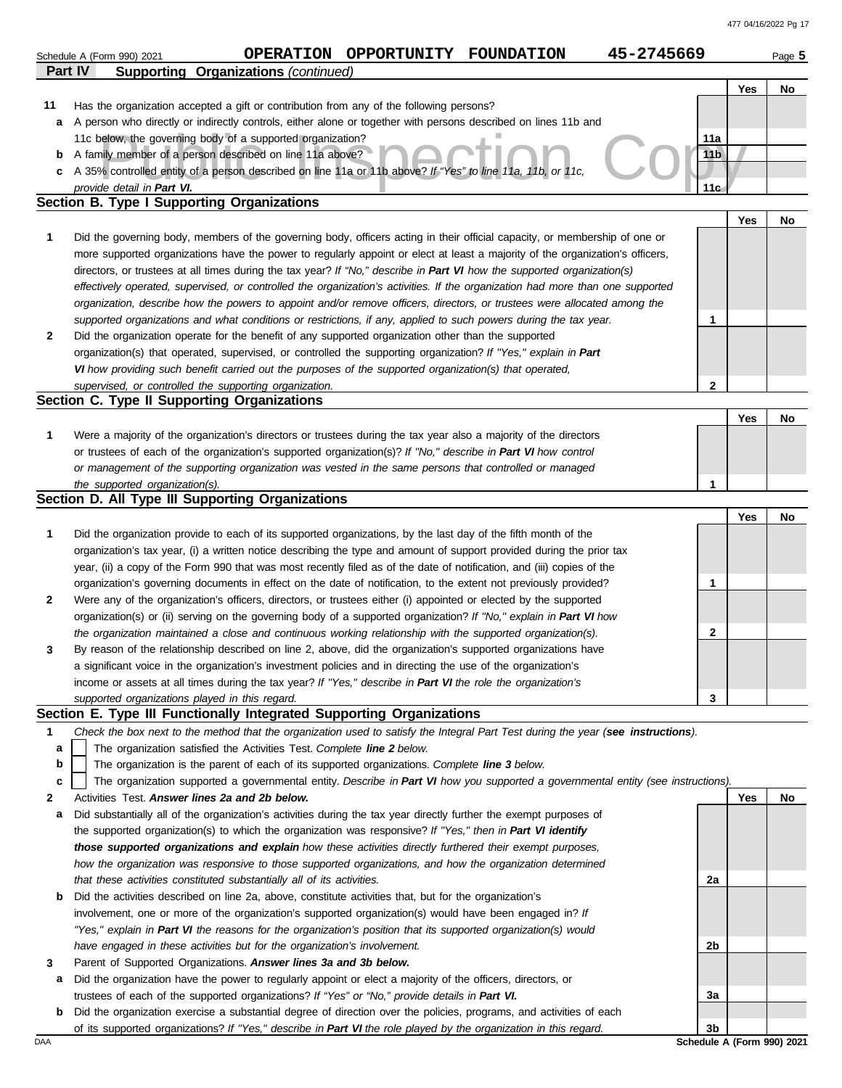477 04/16/2022 Pg 17

|         | Schedule A (Form 990) 2021                     |                                                                                                                                                                                                                                            | OPERATION OPPORTUNITY FOUNDATION | 45-2745669                 |     | Page 5 |
|---------|------------------------------------------------|--------------------------------------------------------------------------------------------------------------------------------------------------------------------------------------------------------------------------------------------|----------------------------------|----------------------------|-----|--------|
| Part IV |                                                | <b>Supporting Organizations (continued)</b>                                                                                                                                                                                                |                                  |                            |     |        |
|         |                                                |                                                                                                                                                                                                                                            |                                  |                            | Yes | No     |
| 11      |                                                | Has the organization accepted a gift or contribution from any of the following persons?                                                                                                                                                    |                                  |                            |     |        |
| а       |                                                | A person who directly or indirectly controls, either alone or together with persons described on lines 11b and                                                                                                                             |                                  |                            |     |        |
|         |                                                | 11c below, the governing body of a supported organization?                                                                                                                                                                                 |                                  | 11a                        |     |        |
| b       |                                                | A family member of a person described on line 11a above?                                                                                                                                                                                   |                                  | 11 <sub>b</sub>            |     |        |
| c       |                                                | A 35% controlled entity of a person described on line 11a or 11b above? If "Yes" to line 11a, 11b, or 11c,                                                                                                                                 |                                  |                            |     |        |
|         | provide detail in Part VI.                     | <b>Section B. Type I Supporting Organizations</b>                                                                                                                                                                                          |                                  | 11 <sub>c</sub>            |     |        |
|         |                                                |                                                                                                                                                                                                                                            |                                  |                            | Yes | No     |
| 1       |                                                | Did the governing body, members of the governing body, officers acting in their official capacity, or membership of one or                                                                                                                 |                                  |                            |     |        |
|         |                                                | more supported organizations have the power to regularly appoint or elect at least a majority of the organization's officers,                                                                                                              |                                  |                            |     |        |
|         |                                                | directors, or trustees at all times during the tax year? If "No," describe in Part VI how the supported organization(s)                                                                                                                    |                                  |                            |     |        |
|         |                                                | effectively operated, supervised, or controlled the organization's activities. If the organization had more than one supported                                                                                                             |                                  |                            |     |        |
|         |                                                | organization, describe how the powers to appoint and/or remove officers, directors, or trustees were allocated among the                                                                                                                   |                                  |                            |     |        |
|         |                                                | supported organizations and what conditions or restrictions, if any, applied to such powers during the tax year.                                                                                                                           |                                  | 1                          |     |        |
| 2       |                                                | Did the organization operate for the benefit of any supported organization other than the supported                                                                                                                                        |                                  |                            |     |        |
|         |                                                | organization(s) that operated, supervised, or controlled the supporting organization? If "Yes," explain in Part                                                                                                                            |                                  |                            |     |        |
|         |                                                | VI how providing such benefit carried out the purposes of the supported organization(s) that operated,                                                                                                                                     |                                  |                            |     |        |
|         |                                                | supervised, or controlled the supporting organization.                                                                                                                                                                                     |                                  | $\mathbf{2}$               |     |        |
|         |                                                | Section C. Type II Supporting Organizations                                                                                                                                                                                                |                                  |                            |     |        |
|         |                                                |                                                                                                                                                                                                                                            |                                  |                            | Yes | No     |
| 1       |                                                | Were a majority of the organization's directors or trustees during the tax year also a majority of the directors                                                                                                                           |                                  |                            |     |        |
|         |                                                | or trustees of each of the organization's supported organization(s)? If "No," describe in Part VI how control                                                                                                                              |                                  |                            |     |        |
|         |                                                | or management of the supporting organization was vested in the same persons that controlled or managed                                                                                                                                     |                                  |                            |     |        |
|         | the supported organization(s).                 |                                                                                                                                                                                                                                            |                                  | 1                          |     |        |
|         |                                                | Section D. All Type III Supporting Organizations                                                                                                                                                                                           |                                  |                            |     |        |
|         |                                                |                                                                                                                                                                                                                                            |                                  |                            | Yes | No     |
| 1       |                                                | Did the organization provide to each of its supported organizations, by the last day of the fifth month of the                                                                                                                             |                                  |                            |     |        |
|         |                                                | organization's tax year, (i) a written notice describing the type and amount of support provided during the prior tax                                                                                                                      |                                  |                            |     |        |
|         |                                                | year, (ii) a copy of the Form 990 that was most recently filed as of the date of notification, and (iii) copies of the<br>organization's governing documents in effect on the date of notification, to the extent not previously provided? |                                  | 1                          |     |        |
| 2       |                                                | Were any of the organization's officers, directors, or trustees either (i) appointed or elected by the supported                                                                                                                           |                                  |                            |     |        |
|         |                                                | organization(s) or (ii) serving on the governing body of a supported organization? If "No," explain in Part VI how                                                                                                                         |                                  |                            |     |        |
|         |                                                | the organization maintained a close and continuous working relationship with the supported organization(s).                                                                                                                                |                                  | 2                          |     |        |
| 3       |                                                | By reason of the relationship described on line 2, above, did the organization's supported organizations have                                                                                                                              |                                  |                            |     |        |
|         |                                                | a significant voice in the organization's investment policies and in directing the use of the organization's                                                                                                                               |                                  |                            |     |        |
|         |                                                | income or assets at all times during the tax year? If "Yes," describe in Part VI the role the organization's                                                                                                                               |                                  |                            |     |        |
|         | supported organizations played in this regard. |                                                                                                                                                                                                                                            |                                  | 3                          |     |        |
|         |                                                | Section E. Type III Functionally Integrated Supporting Organizations                                                                                                                                                                       |                                  |                            |     |        |
| 1       |                                                | Check the box next to the method that the organization used to satisfy the Integral Part Test during the year (see instructions).                                                                                                          |                                  |                            |     |        |
| a       |                                                | The organization satisfied the Activities Test. Complete line 2 below.                                                                                                                                                                     |                                  |                            |     |        |
| b       |                                                | The organization is the parent of each of its supported organizations. Complete line 3 below.                                                                                                                                              |                                  |                            |     |        |
| c       |                                                | The organization supported a governmental entity. Describe in Part VI how you supported a governmental entity (see instructions).                                                                                                          |                                  |                            |     |        |
| 2       |                                                | Activities Test. Answer lines 2a and 2b below.                                                                                                                                                                                             |                                  |                            | Yes | No     |
| а       |                                                | Did substantially all of the organization's activities during the tax year directly further the exempt purposes of                                                                                                                         |                                  |                            |     |        |
|         |                                                | the supported organization(s) to which the organization was responsive? If "Yes," then in Part VI identify                                                                                                                                 |                                  |                            |     |        |
|         |                                                | those supported organizations and explain how these activities directly furthered their exempt purposes,                                                                                                                                   |                                  |                            |     |        |
|         |                                                | how the organization was responsive to those supported organizations, and how the organization determined                                                                                                                                  |                                  |                            |     |        |
|         |                                                | that these activities constituted substantially all of its activities.                                                                                                                                                                     |                                  | 2a                         |     |        |
| b       |                                                | Did the activities described on line 2a, above, constitute activities that, but for the organization's                                                                                                                                     |                                  |                            |     |        |
|         |                                                | involvement, one or more of the organization's supported organization(s) would have been engaged in? If                                                                                                                                    |                                  |                            |     |        |
|         |                                                | "Yes," explain in Part VI the reasons for the organization's position that its supported organization(s) would                                                                                                                             |                                  |                            |     |        |
|         |                                                | have engaged in these activities but for the organization's involvement.                                                                                                                                                                   |                                  | 2b                         |     |        |
| 3       |                                                | Parent of Supported Organizations. Answer lines 3a and 3b below.                                                                                                                                                                           |                                  |                            |     |        |
| а       |                                                | Did the organization have the power to regularly appoint or elect a majority of the officers, directors, or<br>trustees of each of the supported organizations? If "Yes" or "No," provide details in Part VI.                              |                                  | За                         |     |        |
| b       |                                                | Did the organization exercise a substantial degree of direction over the policies, programs, and activities of each                                                                                                                        |                                  |                            |     |        |
|         |                                                | of its supported organizations? If "Yes," describe in Part VI the role played by the organization in this regard.                                                                                                                          |                                  | 3b                         |     |        |
| DAA     |                                                |                                                                                                                                                                                                                                            |                                  | Schedule A (Form 990) 2021 |     |        |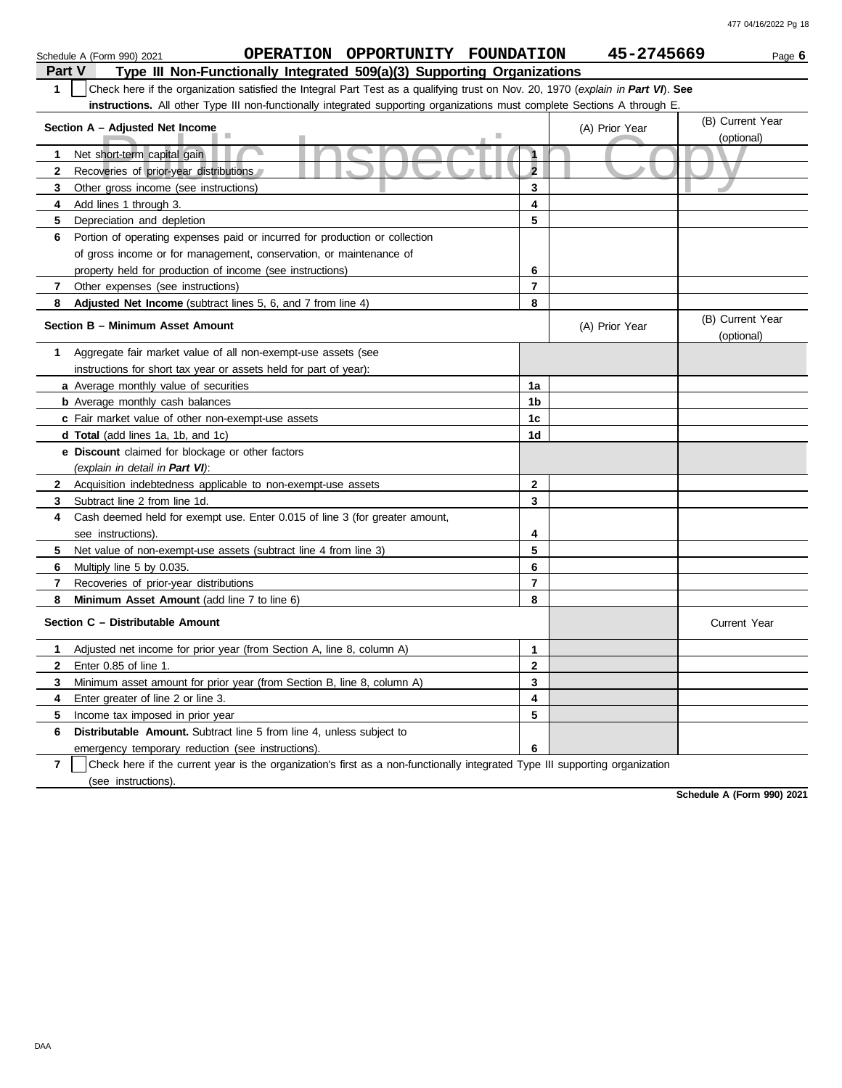|                | OPERATION OPPORTUNITY FOUNDATION<br>Schedule A (Form 990) 2021                                                                   |                | 45-2745669     | Page 6                         |
|----------------|----------------------------------------------------------------------------------------------------------------------------------|----------------|----------------|--------------------------------|
| Part V         | Type III Non-Functionally Integrated 509(a)(3) Supporting Organizations                                                          |                |                |                                |
| 1              | Check here if the organization satisfied the Integral Part Test as a qualifying trust on Nov. 20, 1970 (explain in Part VI). See |                |                |                                |
|                | instructions. All other Type III non-functionally integrated supporting organizations must complete Sections A through E.        |                |                |                                |
|                | Section A - Adjusted Net Income                                                                                                  |                | (A) Prior Year | (B) Current Year<br>(optional) |
| 1              | Net short-term capital gain                                                                                                      | $\mathbf{1}$   |                |                                |
| $\mathbf{2}$   | Recoveries of prior-year distributions                                                                                           | $\overline{2}$ |                |                                |
| 3              | Other gross income (see instructions)                                                                                            | 3              |                |                                |
| 4              | Add lines 1 through 3.                                                                                                           | 4              |                |                                |
| 5              | Depreciation and depletion                                                                                                       | 5              |                |                                |
| 6              | Portion of operating expenses paid or incurred for production or collection                                                      |                |                |                                |
|                | of gross income or for management, conservation, or maintenance of                                                               |                |                |                                |
|                | property held for production of income (see instructions)                                                                        | 6              |                |                                |
| 7              | Other expenses (see instructions)                                                                                                | $\overline{7}$ |                |                                |
| 8              | Adjusted Net Income (subtract lines 5, 6, and 7 from line 4)                                                                     | 8              |                |                                |
|                | <b>Section B - Minimum Asset Amount</b>                                                                                          |                | (A) Prior Year | (B) Current Year<br>(optional) |
| 1              | Aggregate fair market value of all non-exempt-use assets (see                                                                    |                |                |                                |
|                | instructions for short tax year or assets held for part of year):                                                                |                |                |                                |
|                | a Average monthly value of securities                                                                                            | 1a             |                |                                |
|                | <b>b</b> Average monthly cash balances                                                                                           | 1b             |                |                                |
|                | c Fair market value of other non-exempt-use assets                                                                               | 1c             |                |                                |
|                | d Total (add lines 1a, 1b, and 1c)                                                                                               | 1d             |                |                                |
|                | e Discount claimed for blockage or other factors                                                                                 |                |                |                                |
|                | (explain in detail in Part VI):                                                                                                  |                |                |                                |
| 2              | Acquisition indebtedness applicable to non-exempt-use assets                                                                     | $\mathbf{2}$   |                |                                |
| 3              | Subtract line 2 from line 1d.                                                                                                    | 3              |                |                                |
| 4              | Cash deemed held for exempt use. Enter 0.015 of line 3 (for greater amount,                                                      |                |                |                                |
|                | see instructions).                                                                                                               | 4              |                |                                |
| 5              | Net value of non-exempt-use assets (subtract line 4 from line 3)                                                                 | 5              |                |                                |
| 6              | Multiply line 5 by 0.035.                                                                                                        | 6              |                |                                |
| 7              | Recoveries of prior-year distributions                                                                                           | $\overline{7}$ |                |                                |
| 8              | Minimum Asset Amount (add line 7 to line 6)                                                                                      | 8              |                |                                |
|                | Section C - Distributable Amount                                                                                                 |                |                | <b>Current Year</b>            |
|                | Adjusted net income for prior year (from Section A, line 8, column A)                                                            |                |                |                                |
| $\mathbf{2}$   | Enter 0.85 of line 1.                                                                                                            | $\mathbf{2}$   |                |                                |
| 3              | Minimum asset amount for prior year (from Section B, line 8, column A)                                                           | 3              |                |                                |
| 4              | Enter greater of line 2 or line 3.                                                                                               | 4              |                |                                |
| 5              | Income tax imposed in prior year                                                                                                 | 5              |                |                                |
| 6              | <b>Distributable Amount.</b> Subtract line 5 from line 4, unless subject to                                                      |                |                |                                |
|                | emergency temporary reduction (see instructions).                                                                                | 6              |                |                                |
| $\overline{7}$ | Check here if the current year is the organization's first as a non-functionally integrated Type III supporting organization     |                |                |                                |

(see instructions).

**Schedule A (Form 990) 2021**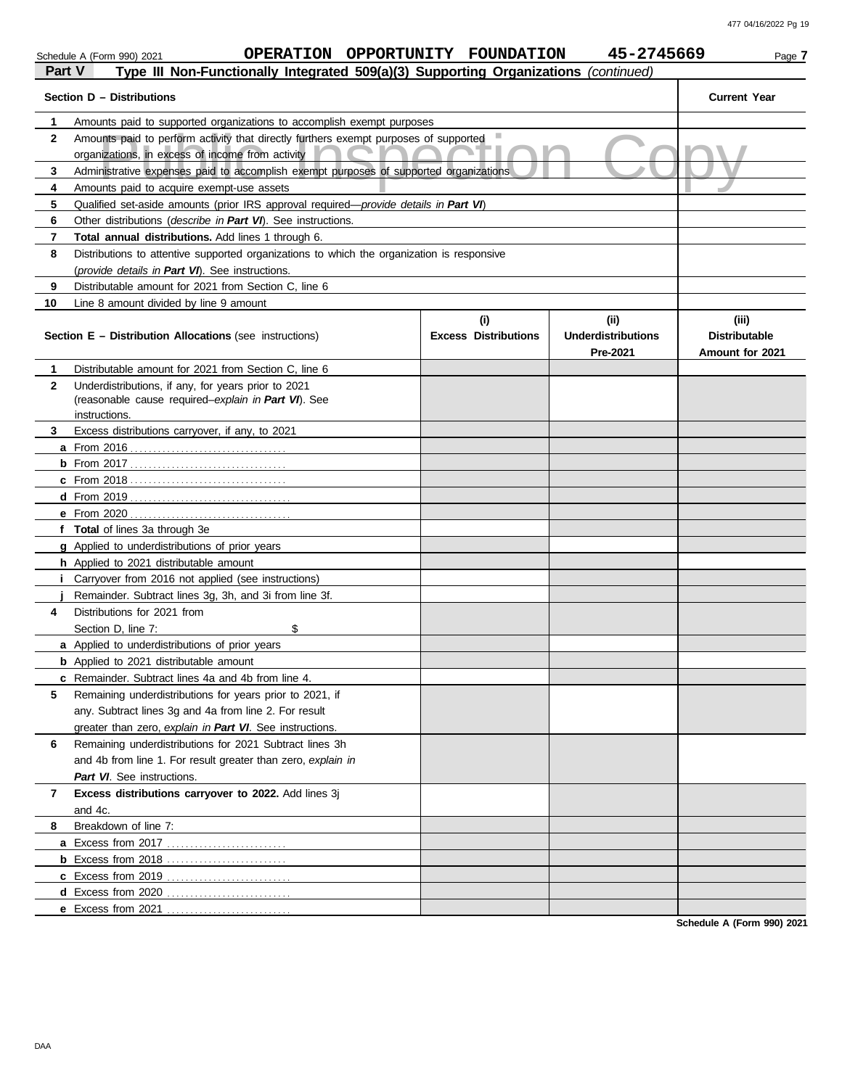# Schedule A (Form 990) 2021 **COPERATION OPPORTUNITY FOUNDATION** 45-2745669 Page 7

| Part V<br>Type III Non-Functionally Integrated 509(a)(3) Supporting Organizations (continued) |                                                                                                                                          |                                    |                                               |                                                  |  |  |  |
|-----------------------------------------------------------------------------------------------|------------------------------------------------------------------------------------------------------------------------------------------|------------------------------------|-----------------------------------------------|--------------------------------------------------|--|--|--|
|                                                                                               | Section D - Distributions                                                                                                                |                                    |                                               | <b>Current Year</b>                              |  |  |  |
| 1                                                                                             | Amounts paid to supported organizations to accomplish exempt purposes                                                                    |                                    |                                               |                                                  |  |  |  |
| $\mathbf{2}$                                                                                  | Amounts paid to perform activity that directly furthers exempt purposes of supported<br>organizations, in excess of income from activity |                                    |                                               |                                                  |  |  |  |
| 3                                                                                             | Administrative expenses paid to accomplish exempt purposes of supported organizations                                                    |                                    |                                               |                                                  |  |  |  |
| 4                                                                                             | Amounts paid to acquire exempt-use assets                                                                                                |                                    |                                               |                                                  |  |  |  |
| 5                                                                                             | Qualified set-aside amounts (prior IRS approval required-provide details in Part VI)                                                     |                                    |                                               |                                                  |  |  |  |
| 6                                                                                             | Other distributions (describe in Part VI). See instructions.                                                                             |                                    |                                               |                                                  |  |  |  |
| 7                                                                                             | Total annual distributions. Add lines 1 through 6.                                                                                       |                                    |                                               |                                                  |  |  |  |
| 8                                                                                             | Distributions to attentive supported organizations to which the organization is responsive                                               |                                    |                                               |                                                  |  |  |  |
|                                                                                               | (provide details in Part VI). See instructions.                                                                                          |                                    |                                               |                                                  |  |  |  |
| 9                                                                                             | Distributable amount for 2021 from Section C, line 6                                                                                     |                                    |                                               |                                                  |  |  |  |
| 10                                                                                            | Line 8 amount divided by line 9 amount                                                                                                   |                                    |                                               |                                                  |  |  |  |
|                                                                                               | <b>Section E - Distribution Allocations (see instructions)</b>                                                                           | (i)<br><b>Excess Distributions</b> | (ii)<br><b>Underdistributions</b><br>Pre-2021 | (iii)<br><b>Distributable</b><br>Amount for 2021 |  |  |  |
| 1                                                                                             | Distributable amount for 2021 from Section C, line 6                                                                                     |                                    |                                               |                                                  |  |  |  |
| $\mathbf{2}$                                                                                  | Underdistributions, if any, for years prior to 2021<br>(reasonable cause required-explain in Part VI). See<br>instructions.              |                                    |                                               |                                                  |  |  |  |
| 3                                                                                             | Excess distributions carryover, if any, to 2021                                                                                          |                                    |                                               |                                                  |  |  |  |
|                                                                                               |                                                                                                                                          |                                    |                                               |                                                  |  |  |  |
|                                                                                               |                                                                                                                                          |                                    |                                               |                                                  |  |  |  |
|                                                                                               |                                                                                                                                          |                                    |                                               |                                                  |  |  |  |
|                                                                                               |                                                                                                                                          |                                    |                                               |                                                  |  |  |  |
|                                                                                               |                                                                                                                                          |                                    |                                               |                                                  |  |  |  |
|                                                                                               | f Total of lines 3a through 3e                                                                                                           |                                    |                                               |                                                  |  |  |  |
|                                                                                               | g Applied to underdistributions of prior years                                                                                           |                                    |                                               |                                                  |  |  |  |
|                                                                                               | h Applied to 2021 distributable amount                                                                                                   |                                    |                                               |                                                  |  |  |  |
|                                                                                               | Carryover from 2016 not applied (see instructions)                                                                                       |                                    |                                               |                                                  |  |  |  |
|                                                                                               | Remainder. Subtract lines 3g, 3h, and 3i from line 3f.                                                                                   |                                    |                                               |                                                  |  |  |  |
| 4                                                                                             | Distributions for 2021 from                                                                                                              |                                    |                                               |                                                  |  |  |  |
|                                                                                               | \$<br>Section D, line 7:                                                                                                                 |                                    |                                               |                                                  |  |  |  |
|                                                                                               | <b>a</b> Applied to underdistributions of prior years                                                                                    |                                    |                                               |                                                  |  |  |  |
|                                                                                               | <b>b</b> Applied to 2021 distributable amount                                                                                            |                                    |                                               |                                                  |  |  |  |
|                                                                                               | c Remainder. Subtract lines 4a and 4b from line 4.                                                                                       |                                    |                                               |                                                  |  |  |  |
| 5.                                                                                            | Remaining underdistributions for years prior to 2021, if                                                                                 |                                    |                                               |                                                  |  |  |  |
|                                                                                               | any. Subtract lines 3g and 4a from line 2. For result                                                                                    |                                    |                                               |                                                  |  |  |  |
|                                                                                               | greater than zero, explain in Part VI. See instructions.                                                                                 |                                    |                                               |                                                  |  |  |  |
| 6                                                                                             | Remaining underdistributions for 2021 Subtract lines 3h                                                                                  |                                    |                                               |                                                  |  |  |  |
|                                                                                               | and 4b from line 1. For result greater than zero, explain in                                                                             |                                    |                                               |                                                  |  |  |  |
|                                                                                               | Part VI. See instructions.                                                                                                               |                                    |                                               |                                                  |  |  |  |
| 7                                                                                             | Excess distributions carryover to 2022. Add lines 3j                                                                                     |                                    |                                               |                                                  |  |  |  |
|                                                                                               | and 4c.                                                                                                                                  |                                    |                                               |                                                  |  |  |  |
| 8                                                                                             | Breakdown of line 7:                                                                                                                     |                                    |                                               |                                                  |  |  |  |
|                                                                                               | <b>a</b> Excess from 2017                                                                                                                |                                    |                                               |                                                  |  |  |  |
|                                                                                               | <b>b</b> Excess from 2018                                                                                                                |                                    |                                               |                                                  |  |  |  |
|                                                                                               | c Excess from 2019<br>.                                                                                                                  |                                    |                                               |                                                  |  |  |  |
|                                                                                               | d Excess from 2020                                                                                                                       |                                    |                                               |                                                  |  |  |  |
|                                                                                               | e Excess from 2021                                                                                                                       |                                    |                                               |                                                  |  |  |  |

**Schedule A (Form 990) 2021**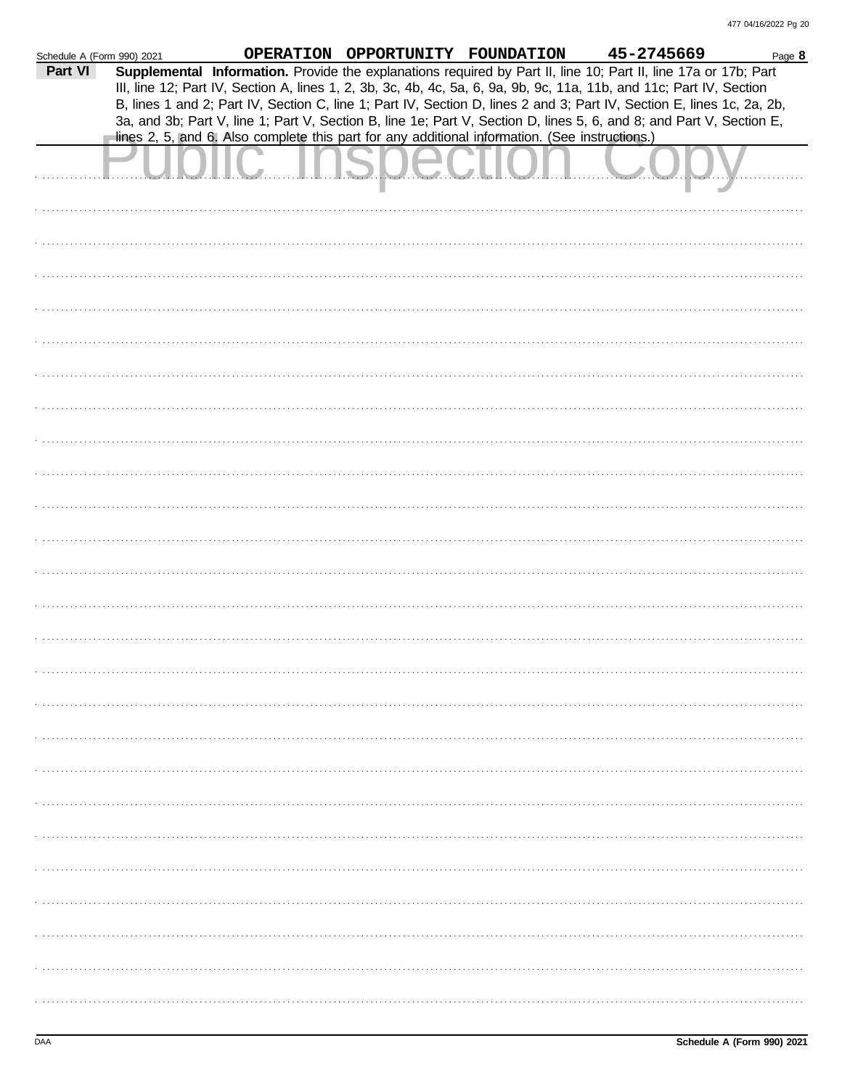| Schedule A (Form 990) 2021 |  | OPERATION OPPORTUNITY FOUNDATION |                                                                                                                                                                                                                                                | 45-2745669 | Page 8 |
|----------------------------|--|----------------------------------|------------------------------------------------------------------------------------------------------------------------------------------------------------------------------------------------------------------------------------------------|------------|--------|
| Part VI                    |  |                                  | Supplemental Information. Provide the explanations required by Part II, line 10; Part II, line 17a or 17b; Part<br>III, line 12; Part IV, Section A, lines 1, 2, 3b, 3c, 4b, 4c, 5a, 6, 9a, 9b, 9c, 11a, 11b, and 11c; Part IV, Section        |            |        |
|                            |  |                                  | B, lines 1 and 2; Part IV, Section C, line 1; Part IV, Section D, lines 2 and 3; Part IV, Section E, lines 1c, 2a, 2b,<br>3a, and 3b; Part V, line 1; Part V, Section B, line 1e; Part V, Section D, lines 5, 6, and 8; and Part V, Section E, |            |        |
|                            |  |                                  | lines 2, 5, and 6. Also complete this part for any additional information. (See instructions.)                                                                                                                                                 |            |        |
|                            |  |                                  |                                                                                                                                                                                                                                                |            |        |
|                            |  |                                  |                                                                                                                                                                                                                                                |            |        |
|                            |  |                                  |                                                                                                                                                                                                                                                |            |        |
|                            |  |                                  |                                                                                                                                                                                                                                                |            |        |
|                            |  |                                  |                                                                                                                                                                                                                                                |            |        |
|                            |  |                                  |                                                                                                                                                                                                                                                |            |        |
|                            |  |                                  |                                                                                                                                                                                                                                                |            |        |
|                            |  |                                  |                                                                                                                                                                                                                                                |            |        |
|                            |  |                                  |                                                                                                                                                                                                                                                |            |        |
|                            |  |                                  |                                                                                                                                                                                                                                                |            |        |
|                            |  |                                  |                                                                                                                                                                                                                                                |            |        |
|                            |  |                                  |                                                                                                                                                                                                                                                |            |        |
|                            |  |                                  |                                                                                                                                                                                                                                                |            |        |
|                            |  |                                  |                                                                                                                                                                                                                                                |            |        |
|                            |  |                                  |                                                                                                                                                                                                                                                |            |        |
|                            |  |                                  |                                                                                                                                                                                                                                                |            |        |
|                            |  |                                  |                                                                                                                                                                                                                                                |            |        |
|                            |  |                                  |                                                                                                                                                                                                                                                |            |        |
|                            |  |                                  |                                                                                                                                                                                                                                                |            |        |
|                            |  |                                  |                                                                                                                                                                                                                                                |            |        |
|                            |  |                                  |                                                                                                                                                                                                                                                |            |        |
|                            |  |                                  |                                                                                                                                                                                                                                                |            |        |
|                            |  |                                  |                                                                                                                                                                                                                                                |            |        |
|                            |  |                                  |                                                                                                                                                                                                                                                |            |        |
|                            |  |                                  |                                                                                                                                                                                                                                                |            |        |
|                            |  |                                  |                                                                                                                                                                                                                                                |            |        |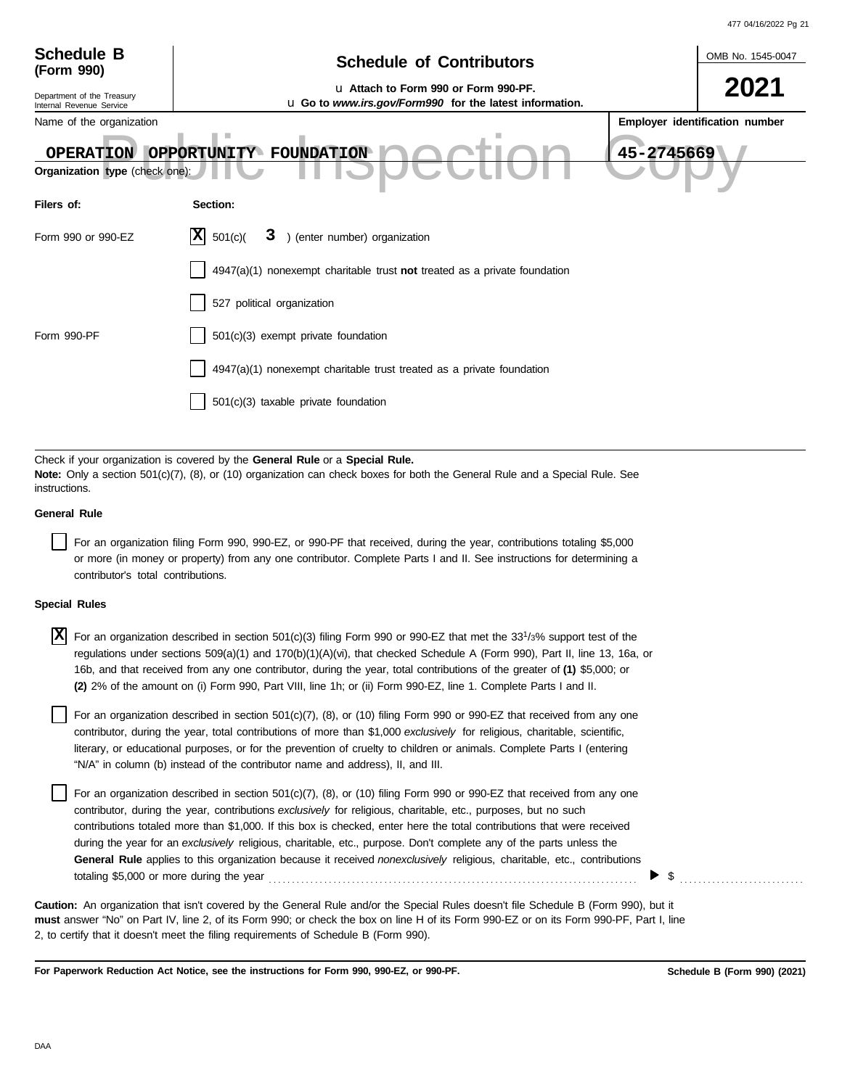|                                                                          |                                                                                                                                                                                                                                                                                                                                                                                                                                                                                                                                                                                                                                                                          | 477 04/16/2022 Pg 21 |  |  |  |  |  |  |  |
|--------------------------------------------------------------------------|--------------------------------------------------------------------------------------------------------------------------------------------------------------------------------------------------------------------------------------------------------------------------------------------------------------------------------------------------------------------------------------------------------------------------------------------------------------------------------------------------------------------------------------------------------------------------------------------------------------------------------------------------------------------------|----------------------|--|--|--|--|--|--|--|
| <b>Schedule B</b><br>(Form 990)                                          | <b>Schedule of Contributors</b>                                                                                                                                                                                                                                                                                                                                                                                                                                                                                                                                                                                                                                          | OMB No. 1545-0047    |  |  |  |  |  |  |  |
| Department of the Treasury                                               | La Attach to Form 990 or Form 990-PF.<br>u Go to www.irs.gov/Form990 for the latest information.                                                                                                                                                                                                                                                                                                                                                                                                                                                                                                                                                                         |                      |  |  |  |  |  |  |  |
| Internal Revenue Service<br>Name of the organization<br><b>OPERATION</b> | Employer identification number<br>OPPORTUNITY FOUNDATION<br>45-2745669<br>Organization type (check one):                                                                                                                                                                                                                                                                                                                                                                                                                                                                                                                                                                 |                      |  |  |  |  |  |  |  |
| Filers of:                                                               | Section:                                                                                                                                                                                                                                                                                                                                                                                                                                                                                                                                                                                                                                                                 |                      |  |  |  |  |  |  |  |
| Form 990 or 990-EZ                                                       | 3 ) (enter number) organization<br>IXI<br>501(c)                                                                                                                                                                                                                                                                                                                                                                                                                                                                                                                                                                                                                         |                      |  |  |  |  |  |  |  |
|                                                                          | $4947(a)(1)$ nonexempt charitable trust not treated as a private foundation                                                                                                                                                                                                                                                                                                                                                                                                                                                                                                                                                                                              |                      |  |  |  |  |  |  |  |
|                                                                          | 527 political organization                                                                                                                                                                                                                                                                                                                                                                                                                                                                                                                                                                                                                                               |                      |  |  |  |  |  |  |  |
| Form 990-PF                                                              | 501(c)(3) exempt private foundation                                                                                                                                                                                                                                                                                                                                                                                                                                                                                                                                                                                                                                      |                      |  |  |  |  |  |  |  |
|                                                                          | $4947(a)(1)$ nonexempt charitable trust treated as a private foundation                                                                                                                                                                                                                                                                                                                                                                                                                                                                                                                                                                                                  |                      |  |  |  |  |  |  |  |
|                                                                          | 501(c)(3) taxable private foundation                                                                                                                                                                                                                                                                                                                                                                                                                                                                                                                                                                                                                                     |                      |  |  |  |  |  |  |  |
| instructions.<br><b>General Rule</b>                                     | Check if your organization is covered by the General Rule or a Special Rule.<br>Note: Only a section 501(c)(7), (8), or (10) organization can check boxes for both the General Rule and a Special Rule. See                                                                                                                                                                                                                                                                                                                                                                                                                                                              |                      |  |  |  |  |  |  |  |
| contributor's total contributions.                                       | For an organization filing Form 990, 990-EZ, or 990-PF that received, during the year, contributions totaling \$5,000<br>or more (in money or property) from any one contributor. Complete Parts I and II. See instructions for determining a                                                                                                                                                                                                                                                                                                                                                                                                                            |                      |  |  |  |  |  |  |  |
| <b>Special Rules</b>                                                     |                                                                                                                                                                                                                                                                                                                                                                                                                                                                                                                                                                                                                                                                          |                      |  |  |  |  |  |  |  |
| X                                                                        | For an organization described in section 501(c)(3) filing Form 990 or 990-EZ that met the 33 <sup>1</sup> /3% support test of the<br>regulations under sections 509(a)(1) and 170(b)(1)(A)(vi), that checked Schedule A (Form 990), Part II, line 13, 16a, or<br>16b, and that received from any one contributor, during the year, total contributions of the greater of (1) \$5,000; or<br>(2) 2% of the amount on (i) Form 990, Part VIII, line 1h; or (ii) Form 990-EZ, line 1. Complete Parts I and II.                                                                                                                                                              |                      |  |  |  |  |  |  |  |
|                                                                          | For an organization described in section $501(c)(7)$ , (8), or (10) filing Form 990 or 990-EZ that received from any one<br>contributor, during the year, total contributions of more than \$1,000 exclusively for religious, charitable, scientific,<br>literary, or educational purposes, or for the prevention of cruelty to children or animals. Complete Parts I (entering<br>"N/A" in column (b) instead of the contributor name and address), II, and III.                                                                                                                                                                                                        |                      |  |  |  |  |  |  |  |
|                                                                          | For an organization described in section $501(c)(7)$ , (8), or (10) filing Form 990 or 990-EZ that received from any one<br>contributor, during the year, contributions exclusively for religious, charitable, etc., purposes, but no such<br>contributions totaled more than \$1,000. If this box is checked, enter here the total contributions that were received<br>during the year for an exclusively religious, charitable, etc., purpose. Don't complete any of the parts unless the<br>General Rule applies to this organization because it received nonexclusively religious, charitable, etc., contributions<br>totaling \$5,000 or more during the year<br>\$ |                      |  |  |  |  |  |  |  |
|                                                                          | Caution: An organization that isn't covered by the General Rule and/or the Special Rules doesn't file Schedule B (Form 990), but it<br>must answer "No" on Part IV, line 2, of its Form 990; or check the box on line H of its Form 990-EZ or on its Form 990-PF, Part I, line<br>2, to certify that it doesn't meet the filing requirements of Schedule B (Form 990).                                                                                                                                                                                                                                                                                                   |                      |  |  |  |  |  |  |  |

**For Paperwork Reduction Act Notice, see the instructions for Form 990, 990-EZ, or 990-PF.**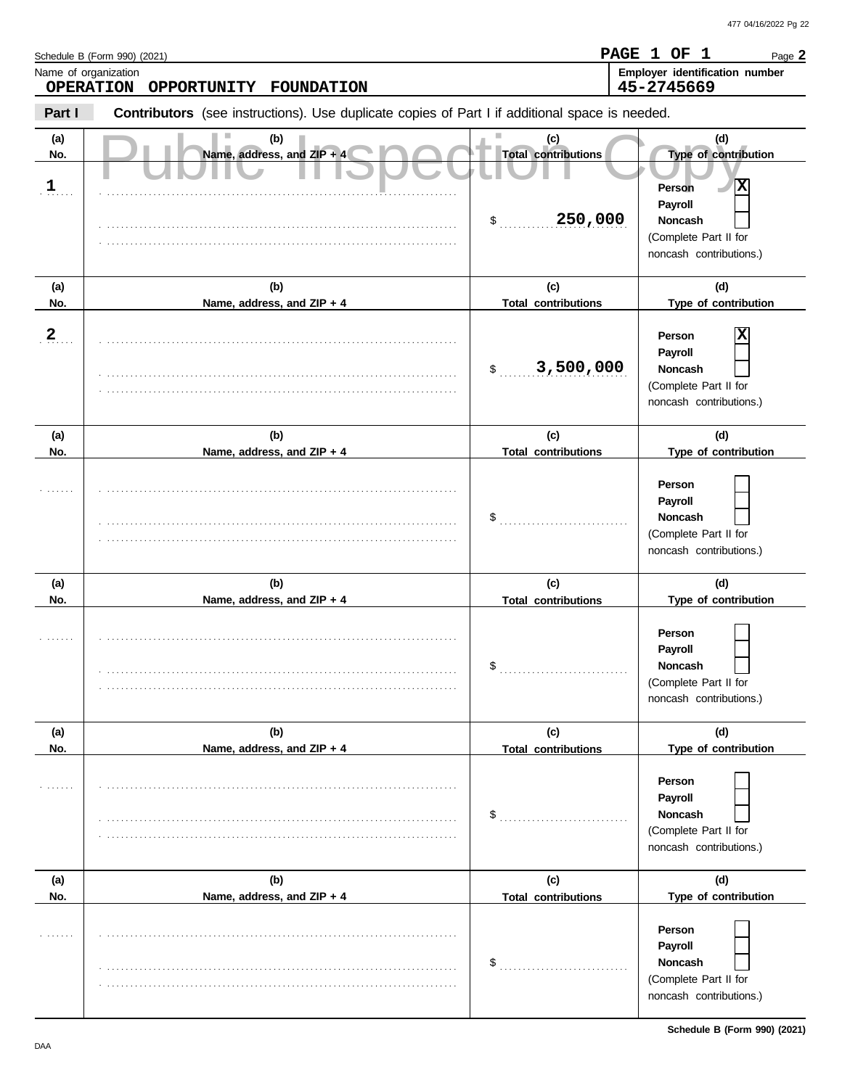|                            | Schedule B (Form 990) (2021)                                                                   |                                                    | PAGE 1 OF 1<br>Page 2                                                                                                                      |
|----------------------------|------------------------------------------------------------------------------------------------|----------------------------------------------------|--------------------------------------------------------------------------------------------------------------------------------------------|
|                            | Name of organization<br><b>OPERATION</b><br>OPPORTUNITY<br>FOUNDATION                          |                                                    | Employer identification number<br>45-2745669                                                                                               |
| Part I                     | Contributors (see instructions). Use duplicate copies of Part I if additional space is needed. |                                                    |                                                                                                                                            |
| (a)<br>No.<br>$\mathbf{1}$ | (b)<br>Name, address, and $ZIP + 4$                                                            | (c)<br><b>Total contributions</b><br>250,000<br>\$ | (d)<br>Type of contribution<br>$\overline{\mathbf{x}}$<br>Person<br>Payroll<br>Noncash<br>(Complete Part II for<br>noncash contributions.) |
| (a)                        | (b)                                                                                            | (c)                                                | (d)                                                                                                                                        |
| No.                        | Name, address, and ZIP + 4                                                                     | <b>Total contributions</b>                         | Type of contribution                                                                                                                       |
| $\boldsymbol{2}$           |                                                                                                | 3,500,000<br>\$                                    | х<br>Person<br>Payroll<br>Noncash<br>(Complete Part II for<br>noncash contributions.)                                                      |
| (a)                        | (b)                                                                                            | (c)                                                | (d)                                                                                                                                        |
| No.                        | Name, address, and ZIP + 4                                                                     | <b>Total contributions</b>                         | Type of contribution                                                                                                                       |
|                            |                                                                                                | \$                                                 | Person<br>Payroll<br>Noncash<br>(Complete Part II for<br>noncash contributions.)                                                           |
| (a)                        | (b)                                                                                            | (c)                                                | (d)                                                                                                                                        |
| No.                        | Name, address, and ZIP + 4                                                                     | <b>Total contributions</b>                         | Type of contribution                                                                                                                       |
|                            |                                                                                                | \$                                                 | Person<br>Payroll<br>Noncash<br>(Complete Part II for<br>noncash contributions.)                                                           |
| (a)                        | (b)                                                                                            | (c)                                                | (d)                                                                                                                                        |
| No.                        | Name, address, and ZIP + 4                                                                     | <b>Total contributions</b>                         | Type of contribution                                                                                                                       |
|                            |                                                                                                | \$                                                 | Person<br>Payroll<br><b>Noncash</b><br>(Complete Part II for<br>noncash contributions.)                                                    |
| (a)                        | (b)                                                                                            | (c)                                                | (d)                                                                                                                                        |
| No.                        | Name, address, and ZIP + 4                                                                     | <b>Total contributions</b>                         | Type of contribution                                                                                                                       |
|                            |                                                                                                | \$                                                 | Person<br>Payroll<br>Noncash<br>(Complete Part II for<br>noncash contributions.)                                                           |

**Schedule B (Form 990) (2021)**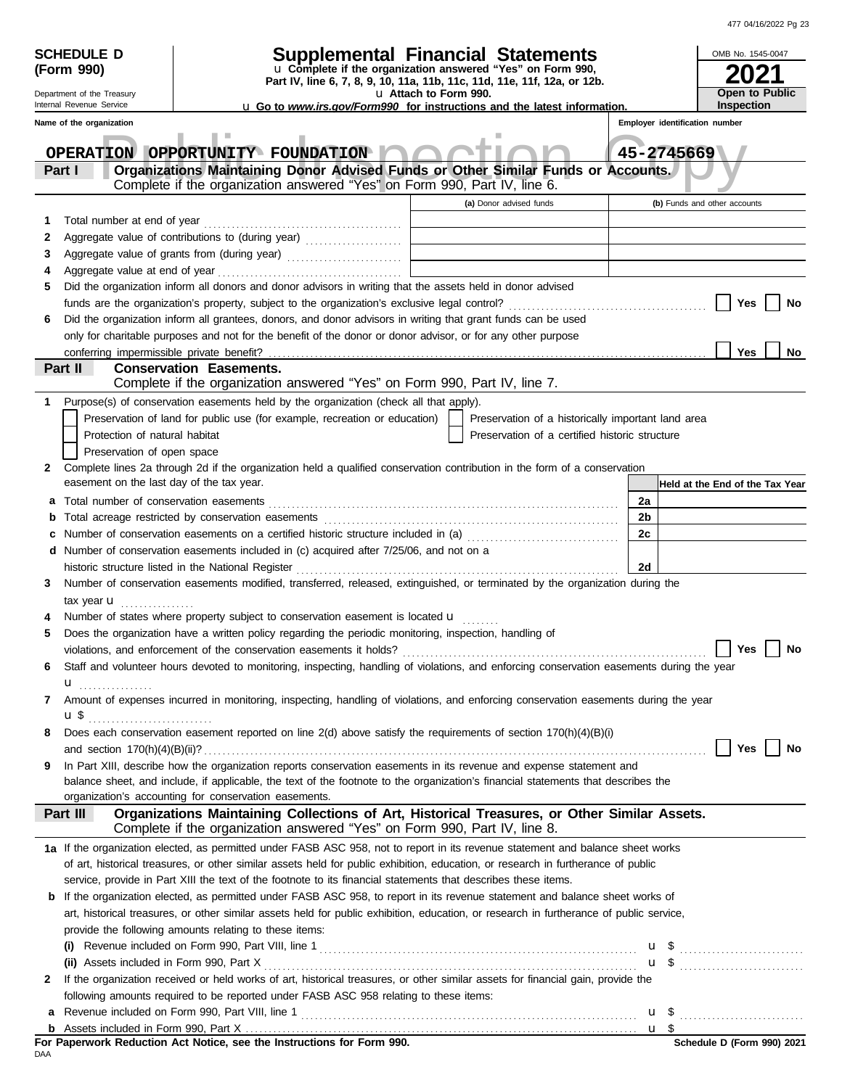| 477 04/16/2022 Pg 23 |  |
|----------------------|--|

|     |                                                                                                                                                                    |                                                        |                                                                                                                                                                                                                                                                                                                                                                |  |                         |                                                    |    |                                | OMB No. 1545-0047               |
|-----|--------------------------------------------------------------------------------------------------------------------------------------------------------------------|--------------------------------------------------------|----------------------------------------------------------------------------------------------------------------------------------------------------------------------------------------------------------------------------------------------------------------------------------------------------------------------------------------------------------------|--|-------------------------|----------------------------------------------------|----|--------------------------------|---------------------------------|
|     | <b>SCHEDULE D</b><br>(Form 990)                                                                                                                                    |                                                        | <b>Supplemental Financial Statements</b><br>u Complete if the organization answered "Yes" on Form 990,                                                                                                                                                                                                                                                         |  |                         |                                                    |    |                                |                                 |
|     | Part IV, line 6, 7, 8, 9, 10, 11a, 11b, 11c, 11d, 11e, 11f, 12a, or 12b.                                                                                           |                                                        |                                                                                                                                                                                                                                                                                                                                                                |  |                         |                                                    |    |                                |                                 |
|     | u Attach to Form 990.<br>Department of the Treasury<br>Internal Revenue Service<br><b>u</b> Go to www.irs.gov/Form990 for instructions and the latest information. |                                                        |                                                                                                                                                                                                                                                                                                                                                                |  |                         |                                                    |    |                                | Open to Public<br>Inspection    |
|     | Name of the organization                                                                                                                                           |                                                        |                                                                                                                                                                                                                                                                                                                                                                |  |                         |                                                    |    | Employer identification number |                                 |
|     |                                                                                                                                                                    |                                                        |                                                                                                                                                                                                                                                                                                                                                                |  |                         |                                                    |    |                                |                                 |
|     | OPERATION OPPORTUNITY FOUNDATION                                                                                                                                   |                                                        |                                                                                                                                                                                                                                                                                                                                                                |  |                         |                                                    |    | 45-2745669                     |                                 |
|     | Part I                                                                                                                                                             |                                                        | Organizations Maintaining Donor Advised Funds or Other Similar Funds or Accounts.<br>Complete if the organization answered "Yes" on Form 990, Part IV, line 6.                                                                                                                                                                                                 |  |                         |                                                    |    |                                |                                 |
|     |                                                                                                                                                                    |                                                        |                                                                                                                                                                                                                                                                                                                                                                |  | (a) Donor advised funds |                                                    |    |                                | (b) Funds and other accounts    |
| 1   |                                                                                                                                                                    |                                                        |                                                                                                                                                                                                                                                                                                                                                                |  |                         |                                                    |    |                                |                                 |
| 2   |                                                                                                                                                                    |                                                        | Aggregate value of contributions to (during year)                                                                                                                                                                                                                                                                                                              |  |                         |                                                    |    |                                |                                 |
| 3   |                                                                                                                                                                    |                                                        |                                                                                                                                                                                                                                                                                                                                                                |  |                         |                                                    |    |                                |                                 |
| 4   |                                                                                                                                                                    |                                                        |                                                                                                                                                                                                                                                                                                                                                                |  |                         |                                                    |    |                                |                                 |
| 5   |                                                                                                                                                                    |                                                        | Did the organization inform all donors and donor advisors in writing that the assets held in donor advised                                                                                                                                                                                                                                                     |  |                         |                                                    |    |                                |                                 |
|     |                                                                                                                                                                    |                                                        |                                                                                                                                                                                                                                                                                                                                                                |  |                         |                                                    |    |                                | Yes<br>No                       |
| 6   |                                                                                                                                                                    |                                                        | Did the organization inform all grantees, donors, and donor advisors in writing that grant funds can be used                                                                                                                                                                                                                                                   |  |                         |                                                    |    |                                |                                 |
|     | conferring impermissible private benefit?                                                                                                                          |                                                        | only for charitable purposes and not for the benefit of the donor or donor advisor, or for any other purpose                                                                                                                                                                                                                                                   |  |                         |                                                    |    |                                | Yes<br>No.                      |
|     | Part II                                                                                                                                                            | <b>Conservation Easements.</b>                         |                                                                                                                                                                                                                                                                                                                                                                |  |                         |                                                    |    |                                |                                 |
|     |                                                                                                                                                                    |                                                        | Complete if the organization answered "Yes" on Form 990, Part IV, line 7.                                                                                                                                                                                                                                                                                      |  |                         |                                                    |    |                                |                                 |
| 1   |                                                                                                                                                                    |                                                        | Purpose(s) of conservation easements held by the organization (check all that apply).                                                                                                                                                                                                                                                                          |  |                         |                                                    |    |                                |                                 |
|     |                                                                                                                                                                    |                                                        | Preservation of land for public use (for example, recreation or education)                                                                                                                                                                                                                                                                                     |  |                         | Preservation of a historically important land area |    |                                |                                 |
|     | Protection of natural habitat                                                                                                                                      |                                                        |                                                                                                                                                                                                                                                                                                                                                                |  |                         | Preservation of a certified historic structure     |    |                                |                                 |
|     | Preservation of open space                                                                                                                                         |                                                        |                                                                                                                                                                                                                                                                                                                                                                |  |                         |                                                    |    |                                |                                 |
| 2   |                                                                                                                                                                    |                                                        | Complete lines 2a through 2d if the organization held a qualified conservation contribution in the form of a conservation                                                                                                                                                                                                                                      |  |                         |                                                    |    |                                |                                 |
|     | easement on the last day of the tax year.                                                                                                                          |                                                        |                                                                                                                                                                                                                                                                                                                                                                |  |                         |                                                    |    |                                | Held at the End of the Tax Year |
|     |                                                                                                                                                                    |                                                        |                                                                                                                                                                                                                                                                                                                                                                |  |                         |                                                    | 2a |                                |                                 |
|     |                                                                                                                                                                    |                                                        | Total acreage restricted by conservation easements [111] [11] Total acreage restricted by conservation easements [11] [11] Total acreage restricted by conservation easements [11] Total acreage restricted by conservation ex                                                                                                                                 |  |                         |                                                    | 2b |                                |                                 |
|     |                                                                                                                                                                    |                                                        | Number of conservation easements on a certified historic structure included in (a) [11] Number of conservation                                                                                                                                                                                                                                                 |  |                         |                                                    | 2c |                                |                                 |
|     |                                                                                                                                                                    |                                                        | d Number of conservation easements included in (c) acquired after 7/25/06, and not on a                                                                                                                                                                                                                                                                        |  |                         |                                                    |    |                                |                                 |
| 3   |                                                                                                                                                                    |                                                        | historic structure listed in the National Register [11, 12] And The Mathematical Analysis of the National Register [11, 12] Analysis and Mathematical Analysis and Mathematical Analysis and Mathematical Analysis and Mathema<br>Number of conservation easements modified, transferred, released, extinguished, or terminated by the organization during the |  |                         |                                                    | 2d |                                |                                 |
|     |                                                                                                                                                                    |                                                        |                                                                                                                                                                                                                                                                                                                                                                |  |                         |                                                    |    |                                |                                 |
|     | tax year $\mathbf u$                                                                                                                                               |                                                        | Number of states where property subject to conservation easement is located <b>u</b>                                                                                                                                                                                                                                                                           |  |                         |                                                    |    |                                |                                 |
| 5   |                                                                                                                                                                    |                                                        | Does the organization have a written policy regarding the periodic monitoring, inspection, handling of                                                                                                                                                                                                                                                         |  |                         |                                                    |    |                                |                                 |
|     |                                                                                                                                                                    |                                                        |                                                                                                                                                                                                                                                                                                                                                                |  |                         |                                                    |    |                                | Yes<br>No                       |
| 6   |                                                                                                                                                                    |                                                        | Staff and volunteer hours devoted to monitoring, inspecting, handling of violations, and enforcing conservation easements during the year                                                                                                                                                                                                                      |  |                         |                                                    |    |                                |                                 |
|     | $\mathbf{u}$                                                                                                                                                       |                                                        |                                                                                                                                                                                                                                                                                                                                                                |  |                         |                                                    |    |                                |                                 |
| 7   |                                                                                                                                                                    |                                                        | Amount of expenses incurred in monitoring, inspecting, handling of violations, and enforcing conservation easements during the year                                                                                                                                                                                                                            |  |                         |                                                    |    |                                |                                 |
|     |                                                                                                                                                                    |                                                        |                                                                                                                                                                                                                                                                                                                                                                |  |                         |                                                    |    |                                |                                 |
| 8   |                                                                                                                                                                    |                                                        | Does each conservation easement reported on line 2(d) above satisfy the requirements of section 170(h)(4)(B)(i)                                                                                                                                                                                                                                                |  |                         |                                                    |    |                                |                                 |
|     |                                                                                                                                                                    |                                                        |                                                                                                                                                                                                                                                                                                                                                                |  |                         |                                                    |    |                                | Yes<br>No                       |
| 9   |                                                                                                                                                                    |                                                        | In Part XIII, describe how the organization reports conservation easements in its revenue and expense statement and                                                                                                                                                                                                                                            |  |                         |                                                    |    |                                |                                 |
|     |                                                                                                                                                                    | organization's accounting for conservation easements.  | balance sheet, and include, if applicable, the text of the footnote to the organization's financial statements that describes the                                                                                                                                                                                                                              |  |                         |                                                    |    |                                |                                 |
|     | Part III                                                                                                                                                           |                                                        | Organizations Maintaining Collections of Art, Historical Treasures, or Other Similar Assets.                                                                                                                                                                                                                                                                   |  |                         |                                                    |    |                                |                                 |
|     |                                                                                                                                                                    |                                                        | Complete if the organization answered "Yes" on Form 990, Part IV, line 8.                                                                                                                                                                                                                                                                                      |  |                         |                                                    |    |                                |                                 |
|     |                                                                                                                                                                    |                                                        | 1a If the organization elected, as permitted under FASB ASC 958, not to report in its revenue statement and balance sheet works                                                                                                                                                                                                                                |  |                         |                                                    |    |                                |                                 |
|     |                                                                                                                                                                    |                                                        | of art, historical treasures, or other similar assets held for public exhibition, education, or research in furtherance of public                                                                                                                                                                                                                              |  |                         |                                                    |    |                                |                                 |
|     |                                                                                                                                                                    |                                                        | service, provide in Part XIII the text of the footnote to its financial statements that describes these items.                                                                                                                                                                                                                                                 |  |                         |                                                    |    |                                |                                 |
|     |                                                                                                                                                                    |                                                        | <b>b</b> If the organization elected, as permitted under FASB ASC 958, to report in its revenue statement and balance sheet works of                                                                                                                                                                                                                           |  |                         |                                                    |    |                                |                                 |
|     |                                                                                                                                                                    |                                                        | art, historical treasures, or other similar assets held for public exhibition, education, or research in furtherance of public service,                                                                                                                                                                                                                        |  |                         |                                                    |    |                                |                                 |
|     |                                                                                                                                                                    | provide the following amounts relating to these items: |                                                                                                                                                                                                                                                                                                                                                                |  |                         |                                                    |    |                                |                                 |
|     |                                                                                                                                                                    |                                                        |                                                                                                                                                                                                                                                                                                                                                                |  |                         |                                                    |    |                                | $\mathbf{u}$ \$                 |
|     |                                                                                                                                                                    |                                                        | If the organization received or held works of art, historical treasures, or other similar assets for financial gain, provide the                                                                                                                                                                                                                               |  |                         |                                                    |    |                                | $\mathbf{u}$ \$                 |
| 2   |                                                                                                                                                                    |                                                        | following amounts required to be reported under FASB ASC 958 relating to these items:                                                                                                                                                                                                                                                                          |  |                         |                                                    |    |                                |                                 |
| а   |                                                                                                                                                                    |                                                        |                                                                                                                                                                                                                                                                                                                                                                |  |                         |                                                    |    |                                |                                 |
| b   |                                                                                                                                                                    |                                                        |                                                                                                                                                                                                                                                                                                                                                                |  |                         |                                                    |    | u \$                           |                                 |
|     |                                                                                                                                                                    |                                                        | For Paperwork Reduction Act Notice, see the Instructions for Form 990.                                                                                                                                                                                                                                                                                         |  |                         |                                                    |    |                                | Schedule D (Form 990) 2021      |
| DAA |                                                                                                                                                                    |                                                        |                                                                                                                                                                                                                                                                                                                                                                |  |                         |                                                    |    |                                |                                 |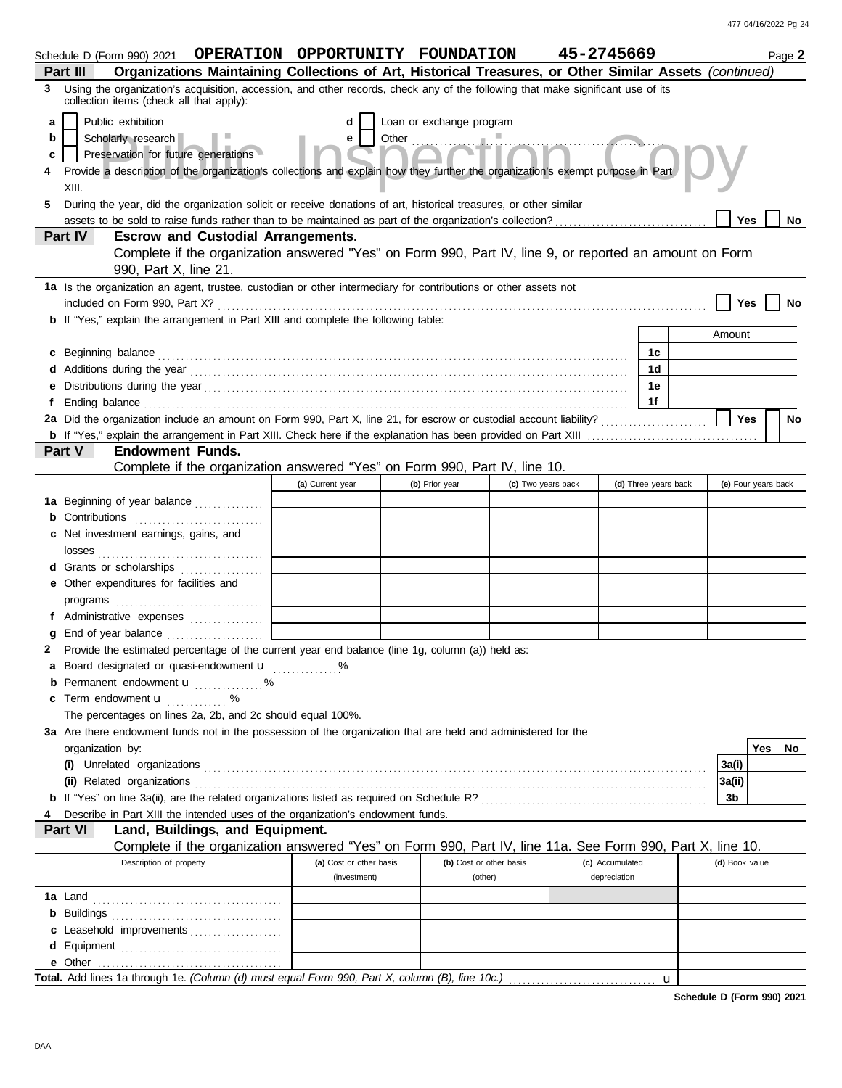|    | Schedule D (Form 990) 2021  OPERATION  OPPORTUNITY  FOUNDATION                                                                                                                                                                 |                                                                                                                     |                            |                         | 45-2745669      |                      |                     |     | Page 2 |
|----|--------------------------------------------------------------------------------------------------------------------------------------------------------------------------------------------------------------------------------|---------------------------------------------------------------------------------------------------------------------|----------------------------|-------------------------|-----------------|----------------------|---------------------|-----|--------|
|    | Organizations Maintaining Collections of Art, Historical Treasures, or Other Similar Assets (continued)<br>Part III                                                                                                            |                                                                                                                     |                            |                         |                 |                      |                     |     |        |
| 3. | Using the organization's acquisition, accession, and other records, check any of the following that make significant use of its<br>collection items (check all that apply):                                                    |                                                                                                                     |                            |                         |                 |                      |                     |     |        |
| a  | Public exhibition                                                                                                                                                                                                              | d                                                                                                                   | Loan or exchange program   |                         |                 |                      |                     |     |        |
| b  | Scholarly research                                                                                                                                                                                                             | е                                                                                                                   | Other <b>Communication</b> |                         |                 |                      |                     |     |        |
| c  | Preservation for future generations                                                                                                                                                                                            |                                                                                                                     |                            |                         |                 |                      |                     |     |        |
|    | Provide a description of the organization's collections and explain how they further the organization's exempt purpose in Part                                                                                                 |                                                                                                                     |                            |                         |                 |                      |                     |     |        |
|    | XIII.                                                                                                                                                                                                                          |                                                                                                                     |                            |                         |                 |                      |                     |     |        |
|    | During the year, did the organization solicit or receive donations of art, historical treasures, or other similar                                                                                                              |                                                                                                                     |                            |                         |                 |                      |                     |     |        |
|    |                                                                                                                                                                                                                                |                                                                                                                     |                            |                         |                 |                      | Yes                 |     | No     |
|    | <b>Escrow and Custodial Arrangements.</b><br>Part IV                                                                                                                                                                           |                                                                                                                     |                            |                         |                 |                      |                     |     |        |
|    | Complete if the organization answered "Yes" on Form 990, Part IV, line 9, or reported an amount on Form                                                                                                                        |                                                                                                                     |                            |                         |                 |                      |                     |     |        |
|    | 990, Part X, line 21.                                                                                                                                                                                                          |                                                                                                                     |                            |                         |                 |                      |                     |     |        |
|    | 1a Is the organization an agent, trustee, custodian or other intermediary for contributions or other assets not                                                                                                                |                                                                                                                     |                            |                         |                 |                      |                     |     |        |
|    | included on Form 990, Part X?                                                                                                                                                                                                  |                                                                                                                     |                            |                         |                 |                      | Yes                 |     |        |
|    | <b>b</b> If "Yes," explain the arrangement in Part XIII and complete the following table:                                                                                                                                      |                                                                                                                     |                            |                         |                 |                      |                     |     |        |
|    |                                                                                                                                                                                                                                |                                                                                                                     |                            |                         |                 |                      | Amount              |     |        |
|    | c Beginning balance                                                                                                                                                                                                            |                                                                                                                     |                            |                         |                 | 1c                   |                     |     |        |
|    | Additions during the year contact the search contact the year contact the year contact the year contact the year                                                                                                               |                                                                                                                     |                            |                         |                 | 1 <sub>d</sub>       |                     |     |        |
|    |                                                                                                                                                                                                                                |                                                                                                                     |                            |                         |                 | 1е                   |                     |     |        |
|    | Ending balance contains and account of the contact of the contact of the contact of the contact of the contact of the contact of the contact of the contact of the contact of the contact of the contact of the contact of the |                                                                                                                     |                            |                         |                 | 1f                   |                     |     |        |
|    | 2a Did the organization include an amount on Form 990, Part X, line 21, for escrow or custodial account liability?                                                                                                             |                                                                                                                     |                            |                         |                 |                      | <b>Yes</b>          |     | No     |
|    |                                                                                                                                                                                                                                |                                                                                                                     |                            |                         |                 |                      |                     |     |        |
|    | Part V<br><b>Endowment Funds.</b>                                                                                                                                                                                              |                                                                                                                     |                            |                         |                 |                      |                     |     |        |
|    | Complete if the organization answered "Yes" on Form 990, Part IV, line 10.                                                                                                                                                     |                                                                                                                     |                            |                         |                 |                      |                     |     |        |
|    |                                                                                                                                                                                                                                | (a) Current year                                                                                                    | (b) Prior year             | (c) Two years back      |                 | (d) Three years back | (e) Four years back |     |        |
|    | 1a Beginning of year balance                                                                                                                                                                                                   |                                                                                                                     |                            |                         |                 |                      |                     |     |        |
|    | <b>b</b> Contributions <b>contributions</b>                                                                                                                                                                                    |                                                                                                                     |                            |                         |                 |                      |                     |     |        |
|    | Net investment earnings, gains, and                                                                                                                                                                                            |                                                                                                                     |                            |                         |                 |                      |                     |     |        |
|    | losses                                                                                                                                                                                                                         |                                                                                                                     |                            |                         |                 |                      |                     |     |        |
|    | d Grants or scholarships                                                                                                                                                                                                       |                                                                                                                     |                            |                         |                 |                      |                     |     |        |
|    | e Other expenditures for facilities and                                                                                                                                                                                        |                                                                                                                     |                            |                         |                 |                      |                     |     |        |
|    |                                                                                                                                                                                                                                |                                                                                                                     |                            |                         |                 |                      |                     |     |        |
|    |                                                                                                                                                                                                                                |                                                                                                                     |                            |                         |                 |                      |                     |     |        |
| a  | End of year balance                                                                                                                                                                                                            |                                                                                                                     |                            |                         |                 |                      |                     |     |        |
|    | Provide the estimated percentage of the current year end balance (line 1g, column (a)) held as:                                                                                                                                |                                                                                                                     |                            |                         |                 |                      |                     |     |        |
|    | Board designated or quasi-endowment <b>u</b> %                                                                                                                                                                                 |                                                                                                                     |                            |                         |                 |                      |                     |     |        |
|    | <b>b</b> Permanent endowment <b>u</b> %                                                                                                                                                                                        |                                                                                                                     |                            |                         |                 |                      |                     |     |        |
| c  | Term endowment <b>u</b> %                                                                                                                                                                                                      |                                                                                                                     |                            |                         |                 |                      |                     |     |        |
|    | The percentages on lines 2a, 2b, and 2c should equal 100%.                                                                                                                                                                     |                                                                                                                     |                            |                         |                 |                      |                     |     |        |
|    | 3a Are there endowment funds not in the possession of the organization that are held and administered for the                                                                                                                  |                                                                                                                     |                            |                         |                 |                      |                     |     |        |
|    | organization by:                                                                                                                                                                                                               |                                                                                                                     |                            |                         |                 |                      |                     | Yes | No.    |
|    |                                                                                                                                                                                                                                |                                                                                                                     |                            |                         |                 |                      | 3a(i)               |     |        |
|    |                                                                                                                                                                                                                                |                                                                                                                     |                            |                         |                 |                      | 3a(ii)              |     |        |
|    |                                                                                                                                                                                                                                |                                                                                                                     |                            |                         |                 |                      | 3b                  |     |        |
|    | Describe in Part XIII the intended uses of the organization's endowment funds.                                                                                                                                                 |                                                                                                                     |                            |                         |                 |                      |                     |     |        |
|    | Part VI<br>Land, Buildings, and Equipment.                                                                                                                                                                                     |                                                                                                                     |                            |                         |                 |                      |                     |     |        |
|    | Complete if the organization answered "Yes" on Form 990, Part IV, line 11a. See Form 990, Part X, line 10.                                                                                                                     |                                                                                                                     |                            |                         |                 |                      |                     |     |        |
|    | Description of property                                                                                                                                                                                                        | (a) Cost or other basis                                                                                             |                            | (b) Cost or other basis | (c) Accumulated |                      | (d) Book value      |     |        |
|    |                                                                                                                                                                                                                                | (investment)                                                                                                        |                            | (other)                 | depreciation    |                      |                     |     |        |
|    | <b>1a</b> Land                                                                                                                                                                                                                 |                                                                                                                     |                            |                         |                 |                      |                     |     |        |
|    |                                                                                                                                                                                                                                |                                                                                                                     |                            |                         |                 |                      |                     |     |        |
|    | c Leasehold improvements                                                                                                                                                                                                       | <u> 1990 - Johann John Store, markin samti samti samti samti samti samti samti samti samti samti samti samti sa</u> |                            |                         |                 |                      |                     |     |        |
|    |                                                                                                                                                                                                                                |                                                                                                                     |                            |                         |                 |                      |                     |     |        |
|    |                                                                                                                                                                                                                                |                                                                                                                     |                            |                         |                 |                      |                     |     |        |
|    |                                                                                                                                                                                                                                |                                                                                                                     |                            |                         |                 |                      |                     |     |        |

**Schedule D (Form 990) 2021**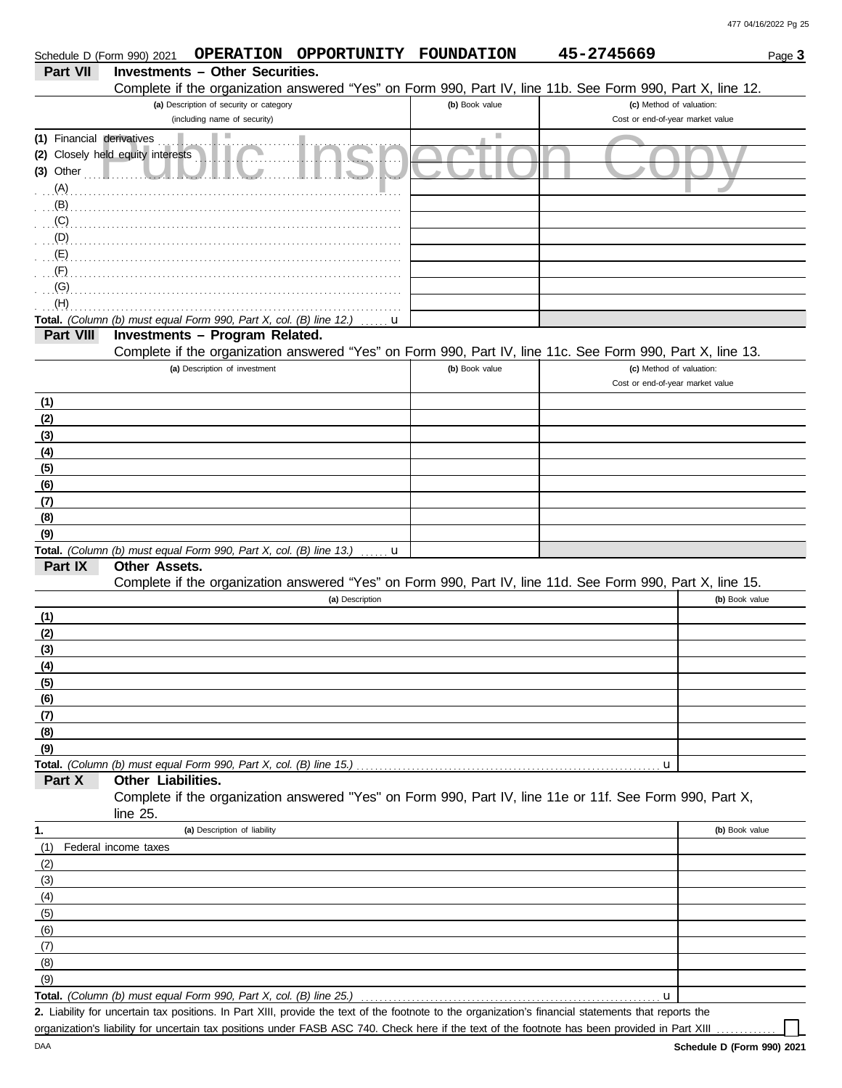| Schedule D (Form 990) 2021 |                                   |                                                                                                      | OPERATION OPPORTUNITY FOUNDATION |                | 45-2745669                                                                                                                                           | Page 3         |
|----------------------------|-----------------------------------|------------------------------------------------------------------------------------------------------|----------------------------------|----------------|------------------------------------------------------------------------------------------------------------------------------------------------------|----------------|
| <b>Part VII</b>            |                                   | <b>Investments - Other Securities.</b>                                                               |                                  |                |                                                                                                                                                      |                |
|                            |                                   |                                                                                                      |                                  |                | Complete if the organization answered "Yes" on Form 990, Part IV, line 11b. See Form 990, Part X, line 12.                                           |                |
|                            |                                   | (a) Description of security or category                                                              |                                  | (b) Book value | (c) Method of valuation:<br>Cost or end-of-year market value                                                                                         |                |
|                            |                                   | (including name of security)                                                                         |                                  |                |                                                                                                                                                      |                |
| (1) Financial derivatives  | (2) Closely held equity interests |                                                                                                      |                                  |                |                                                                                                                                                      |                |
| $(3)$ Other                |                                   |                                                                                                      |                                  |                |                                                                                                                                                      |                |
| (A)                        |                                   |                                                                                                      |                                  |                |                                                                                                                                                      |                |
| (B)                        |                                   |                                                                                                      |                                  |                |                                                                                                                                                      |                |
| (C)                        |                                   |                                                                                                      |                                  |                |                                                                                                                                                      |                |
| (D)                        |                                   |                                                                                                      |                                  |                |                                                                                                                                                      |                |
| (E)                        |                                   |                                                                                                      |                                  |                |                                                                                                                                                      |                |
| (F)                        |                                   |                                                                                                      |                                  |                |                                                                                                                                                      |                |
| (G)                        |                                   |                                                                                                      |                                  |                |                                                                                                                                                      |                |
| (H)                        |                                   |                                                                                                      |                                  |                |                                                                                                                                                      |                |
| Part VIII                  |                                   | Total. (Column (b) must equal Form 990, Part X, col. (B) line 12.)<br>Investments - Program Related. | u                                |                |                                                                                                                                                      |                |
|                            |                                   |                                                                                                      |                                  |                | Complete if the organization answered "Yes" on Form 990, Part IV, line 11c. See Form 990, Part X, line 13.                                           |                |
|                            |                                   | (a) Description of investment                                                                        |                                  | (b) Book value | (c) Method of valuation:                                                                                                                             |                |
|                            |                                   |                                                                                                      |                                  |                | Cost or end-of-year market value                                                                                                                     |                |
| (1)                        |                                   |                                                                                                      |                                  |                |                                                                                                                                                      |                |
| (2)                        |                                   |                                                                                                      |                                  |                |                                                                                                                                                      |                |
| (3)                        |                                   |                                                                                                      |                                  |                |                                                                                                                                                      |                |
| (4)                        |                                   |                                                                                                      |                                  |                |                                                                                                                                                      |                |
| (5)                        |                                   |                                                                                                      |                                  |                |                                                                                                                                                      |                |
| (6)                        |                                   |                                                                                                      |                                  |                |                                                                                                                                                      |                |
| (7)                        |                                   |                                                                                                      |                                  |                |                                                                                                                                                      |                |
| (8)                        |                                   |                                                                                                      |                                  |                |                                                                                                                                                      |                |
| (9)                        |                                   |                                                                                                      |                                  |                |                                                                                                                                                      |                |
| Part IX                    | Other Assets.                     | Total. (Column (b) must equal Form 990, Part X, col. (B) line 13.)                                   | u                                |                |                                                                                                                                                      |                |
|                            |                                   |                                                                                                      |                                  |                | Complete if the organization answered "Yes" on Form 990, Part IV, line 11d. See Form 990, Part X, line 15.                                           |                |
|                            |                                   |                                                                                                      | (a) Description                  |                |                                                                                                                                                      | (b) Book value |
| (1)                        |                                   |                                                                                                      |                                  |                |                                                                                                                                                      |                |
| (2)                        |                                   |                                                                                                      |                                  |                |                                                                                                                                                      |                |
| (3)                        |                                   |                                                                                                      |                                  |                |                                                                                                                                                      |                |
| (4)                        |                                   |                                                                                                      |                                  |                |                                                                                                                                                      |                |
| (5)                        |                                   |                                                                                                      |                                  |                |                                                                                                                                                      |                |
| (6)                        |                                   |                                                                                                      |                                  |                |                                                                                                                                                      |                |
| (7)                        |                                   |                                                                                                      |                                  |                |                                                                                                                                                      |                |
| (8)<br>(9)                 |                                   |                                                                                                      |                                  |                |                                                                                                                                                      |                |
|                            |                                   | Total. (Column (b) must equal Form 990, Part X, col. (B) line 15.)                                   |                                  |                | u                                                                                                                                                    |                |
| Part X                     | Other Liabilities.                |                                                                                                      |                                  |                |                                                                                                                                                      |                |
|                            |                                   |                                                                                                      |                                  |                | Complete if the organization answered "Yes" on Form 990, Part IV, line 11e or 11f. See Form 990, Part X,                                             |                |
|                            | line $25$ .                       |                                                                                                      |                                  |                |                                                                                                                                                      |                |
| 1.                         |                                   | (a) Description of liability                                                                         |                                  |                |                                                                                                                                                      | (b) Book value |
| (1)                        | Federal income taxes              |                                                                                                      |                                  |                |                                                                                                                                                      |                |
| (2)                        |                                   |                                                                                                      |                                  |                |                                                                                                                                                      |                |
| (3)                        |                                   |                                                                                                      |                                  |                |                                                                                                                                                      |                |
| (4)                        |                                   |                                                                                                      |                                  |                |                                                                                                                                                      |                |
| (5)                        |                                   |                                                                                                      |                                  |                |                                                                                                                                                      |                |
| (6)                        |                                   |                                                                                                      |                                  |                |                                                                                                                                                      |                |
| (7)<br>(8)                 |                                   |                                                                                                      |                                  |                |                                                                                                                                                      |                |
| (9)                        |                                   |                                                                                                      |                                  |                |                                                                                                                                                      |                |
|                            |                                   | Total. (Column (b) must equal Form 990, Part X, col. (B) line 25.)                                   |                                  |                | u                                                                                                                                                    |                |
|                            |                                   |                                                                                                      |                                  |                | 2. Liability for uncertain tax positions. In Part XIII, provide the text of the footnote to the organization's financial statements that reports the |                |
|                            |                                   |                                                                                                      |                                  |                | organization's liability for uncertain tax positions under FASB ASC 740. Check here if the text of the footnote has been provided in Part XIII       |                |

**Schedule D (Form 990) 2021**

DAA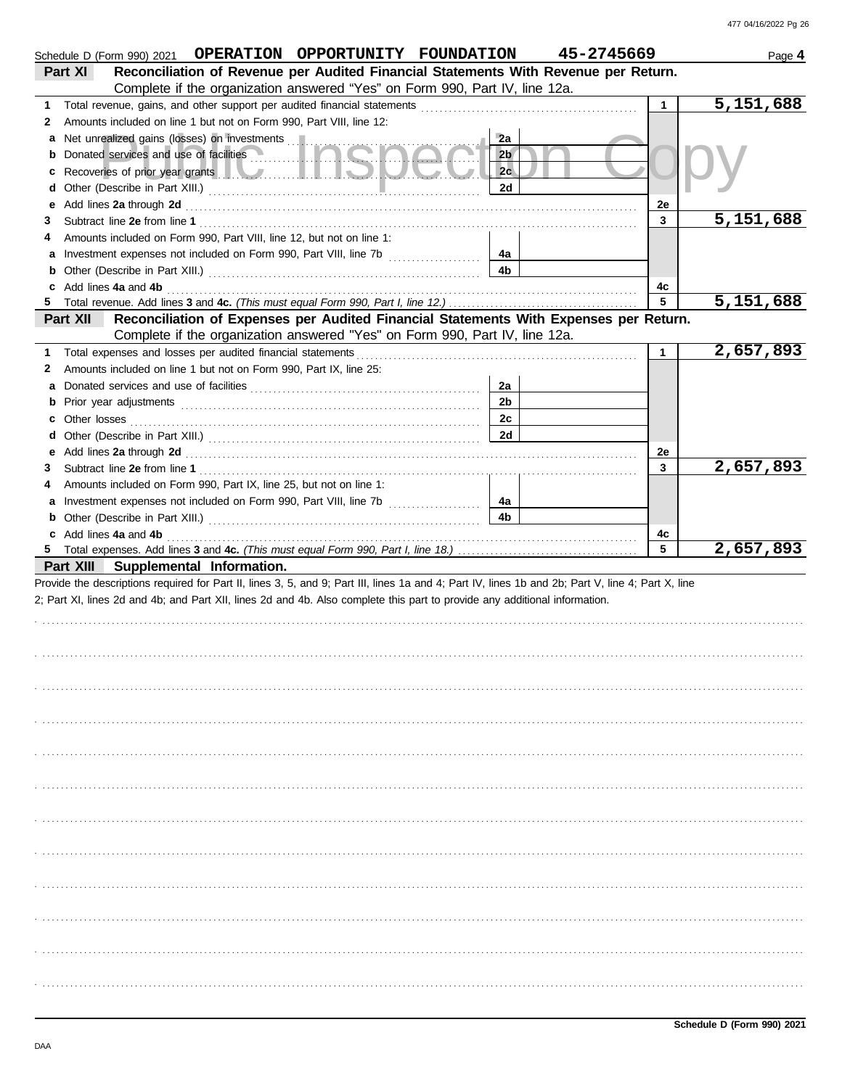|              | OPERATION OPPORTUNITY FOUNDATION<br>Schedule D (Form 990) 2021                                                                                                                                                                       |                | 45-2745669                                                                                                     |              | Page 4    |
|--------------|--------------------------------------------------------------------------------------------------------------------------------------------------------------------------------------------------------------------------------------|----------------|----------------------------------------------------------------------------------------------------------------|--------------|-----------|
|              | Reconciliation of Revenue per Audited Financial Statements With Revenue per Return.<br>Part XI<br>Complete if the organization answered "Yes" on Form 990, Part IV, line 12a.                                                        |                |                                                                                                                |              |           |
| 1            | Total revenue, gains, and other support per audited financial statements                                                                                                                                                             |                | and a series of the contract of the contract of the contract of the contract of the contract of the contract o | $\mathbf{1}$ | 5,151,688 |
| $\mathbf{2}$ | Amounts included on line 1 but not on Form 990, Part VIII, line 12:                                                                                                                                                                  |                |                                                                                                                |              |           |
|              | a Net unrealized gains (losses) on investments                                                                                                                                                                                       | 2a             |                                                                                                                |              |           |
|              | <b>b</b> Donated services and use of facilities                                                                                                                                                                                      | 2 <sub>b</sub> |                                                                                                                |              |           |
|              | c Recoveries of prior year grants <b>the contract of the contract of the contract of the contract of the contract of the contract of the contract of the contract of the contract of the contract of the contract of the contrac</b> | 2 <sub>c</sub> |                                                                                                                |              |           |
|              |                                                                                                                                                                                                                                      | 2d             |                                                                                                                |              |           |
|              |                                                                                                                                                                                                                                      |                |                                                                                                                | 2e           |           |
| 3            |                                                                                                                                                                                                                                      |                |                                                                                                                | 3            | 5,151,688 |
| 4            | Amounts included on Form 990, Part VIII, line 12, but not on line 1:                                                                                                                                                                 |                |                                                                                                                |              |           |
|              |                                                                                                                                                                                                                                      | 4a             |                                                                                                                |              |           |
|              |                                                                                                                                                                                                                                      | 4 <sub>b</sub> |                                                                                                                |              |           |
|              | c Add lines 4a and 4b                                                                                                                                                                                                                |                |                                                                                                                | 4с           |           |
|              |                                                                                                                                                                                                                                      |                |                                                                                                                | 5            | 5,151,688 |
|              | Reconciliation of Expenses per Audited Financial Statements With Expenses per Return.<br>Part XII                                                                                                                                    |                |                                                                                                                |              |           |
|              | Complete if the organization answered "Yes" on Form 990, Part IV, line 12a.                                                                                                                                                          |                |                                                                                                                |              |           |
| 1            | Total expenses and losses per audited financial statements                                                                                                                                                                           |                |                                                                                                                | $\mathbf{1}$ | 2,657,893 |
| $\mathbf{2}$ | Amounts included on line 1 but not on Form 990, Part IX, line 25:                                                                                                                                                                    |                |                                                                                                                |              |           |
|              |                                                                                                                                                                                                                                      | 2a             |                                                                                                                |              |           |
|              |                                                                                                                                                                                                                                      | 2 <sub>b</sub> |                                                                                                                |              |           |
|              | <b>c</b> Other losses                                                                                                                                                                                                                | 2c             |                                                                                                                |              |           |
|              |                                                                                                                                                                                                                                      | 2d             |                                                                                                                |              |           |
|              |                                                                                                                                                                                                                                      |                |                                                                                                                | 2e           |           |
| 3            |                                                                                                                                                                                                                                      |                |                                                                                                                | 3            | 2,657,893 |
| 4            | Amounts included on Form 990, Part IX, line 25, but not on line 1:                                                                                                                                                                   |                |                                                                                                                |              |           |
|              |                                                                                                                                                                                                                                      | 4a             |                                                                                                                |              |           |
|              |                                                                                                                                                                                                                                      | 4 <sub>b</sub> |                                                                                                                |              |           |
|              | c Add lines 4a and 4b                                                                                                                                                                                                                |                |                                                                                                                | 4с           |           |
|              |                                                                                                                                                                                                                                      |                |                                                                                                                | 5            | 2,657,893 |
|              | Part XIII Supplemental Information.                                                                                                                                                                                                  |                |                                                                                                                |              |           |
|              | Provide the descriptions required for Part II, lines 3, 5, and 9; Part III, lines 1a and 4; Part IV, lines 1b and 2b; Part V, line 4; Part X, line                                                                                   |                |                                                                                                                |              |           |
|              | 2; Part XI, lines 2d and 4b; and Part XII, lines 2d and 4b. Also complete this part to provide any additional information.                                                                                                           |                |                                                                                                                |              |           |
|              |                                                                                                                                                                                                                                      |                |                                                                                                                |              |           |
|              |                                                                                                                                                                                                                                      |                |                                                                                                                |              |           |
|              |                                                                                                                                                                                                                                      |                |                                                                                                                |              |           |
|              |                                                                                                                                                                                                                                      |                |                                                                                                                |              |           |
|              |                                                                                                                                                                                                                                      |                |                                                                                                                |              |           |
|              |                                                                                                                                                                                                                                      |                |                                                                                                                |              |           |
|              |                                                                                                                                                                                                                                      |                |                                                                                                                |              |           |
|              |                                                                                                                                                                                                                                      |                |                                                                                                                |              |           |
|              |                                                                                                                                                                                                                                      |                |                                                                                                                |              |           |
|              |                                                                                                                                                                                                                                      |                |                                                                                                                |              |           |
|              |                                                                                                                                                                                                                                      |                |                                                                                                                |              |           |
|              |                                                                                                                                                                                                                                      |                |                                                                                                                |              |           |
|              |                                                                                                                                                                                                                                      |                |                                                                                                                |              |           |
|              |                                                                                                                                                                                                                                      |                |                                                                                                                |              |           |
|              |                                                                                                                                                                                                                                      |                |                                                                                                                |              |           |
|              |                                                                                                                                                                                                                                      |                |                                                                                                                |              |           |
|              |                                                                                                                                                                                                                                      |                |                                                                                                                |              |           |
|              |                                                                                                                                                                                                                                      |                |                                                                                                                |              |           |
|              |                                                                                                                                                                                                                                      |                |                                                                                                                |              |           |
|              |                                                                                                                                                                                                                                      |                |                                                                                                                |              |           |
|              |                                                                                                                                                                                                                                      |                |                                                                                                                |              |           |
|              |                                                                                                                                                                                                                                      |                |                                                                                                                |              |           |
|              |                                                                                                                                                                                                                                      |                |                                                                                                                |              |           |
|              |                                                                                                                                                                                                                                      |                |                                                                                                                |              |           |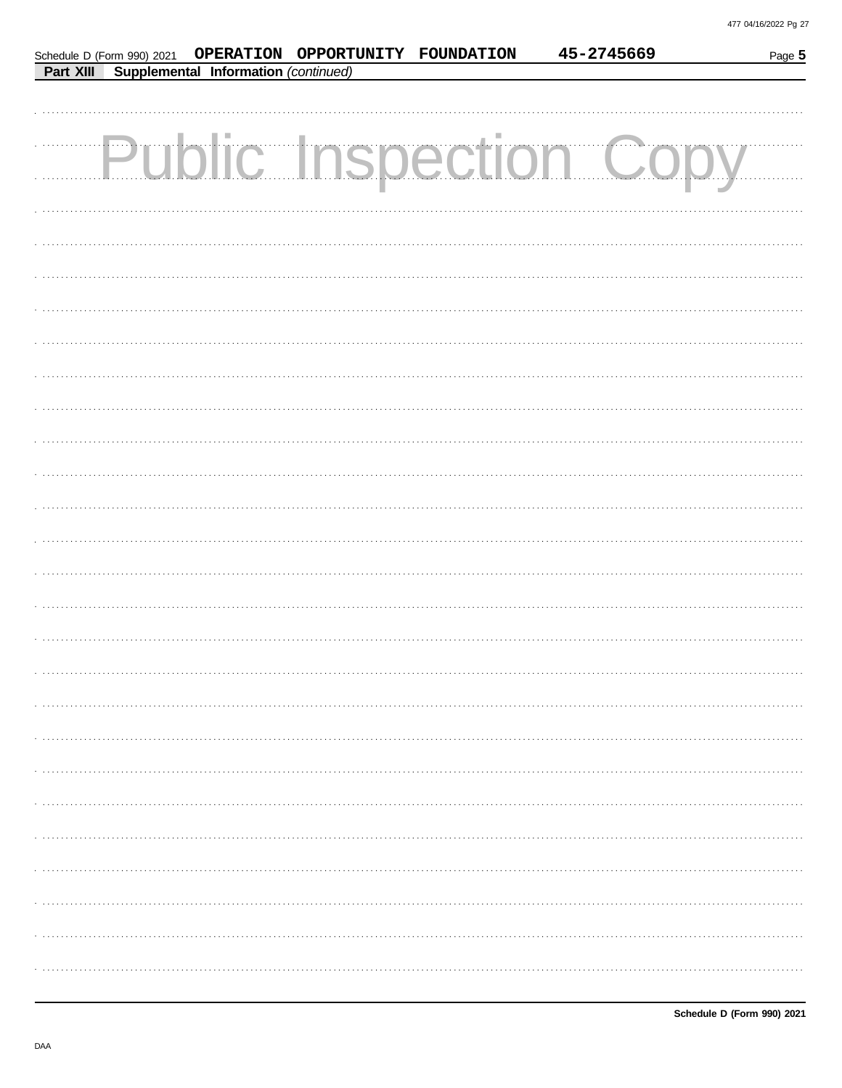|                  |                                      | Schedule D (Form 990) 2021  OPERATION  OPPORTUNITY  FOUNDATION | 45-2745669                   | Page 5 |
|------------------|--------------------------------------|----------------------------------------------------------------|------------------------------|--------|
| <b>Part XIII</b> | Supplemental Information (continued) |                                                                |                              |        |
|                  |                                      |                                                                |                              |        |
|                  |                                      |                                                                | <b>Public Inspection Cop</b> |        |
|                  |                                      |                                                                |                              |        |
|                  |                                      |                                                                |                              |        |
|                  |                                      |                                                                |                              |        |
|                  |                                      |                                                                |                              |        |
|                  |                                      |                                                                |                              |        |
|                  |                                      |                                                                |                              |        |
|                  |                                      |                                                                |                              |        |
|                  |                                      |                                                                |                              |        |
|                  |                                      |                                                                |                              |        |
|                  |                                      |                                                                |                              |        |
|                  |                                      |                                                                |                              |        |
|                  |                                      |                                                                |                              |        |
|                  |                                      |                                                                |                              |        |
|                  |                                      |                                                                |                              |        |
|                  |                                      |                                                                |                              |        |
|                  |                                      |                                                                |                              |        |
|                  |                                      |                                                                |                              |        |
|                  |                                      |                                                                |                              |        |
|                  |                                      |                                                                |                              |        |
|                  |                                      |                                                                |                              |        |
|                  |                                      |                                                                |                              |        |
|                  |                                      |                                                                |                              |        |
|                  |                                      |                                                                |                              |        |
|                  |                                      |                                                                |                              |        |
|                  |                                      |                                                                |                              |        |
|                  |                                      |                                                                |                              |        |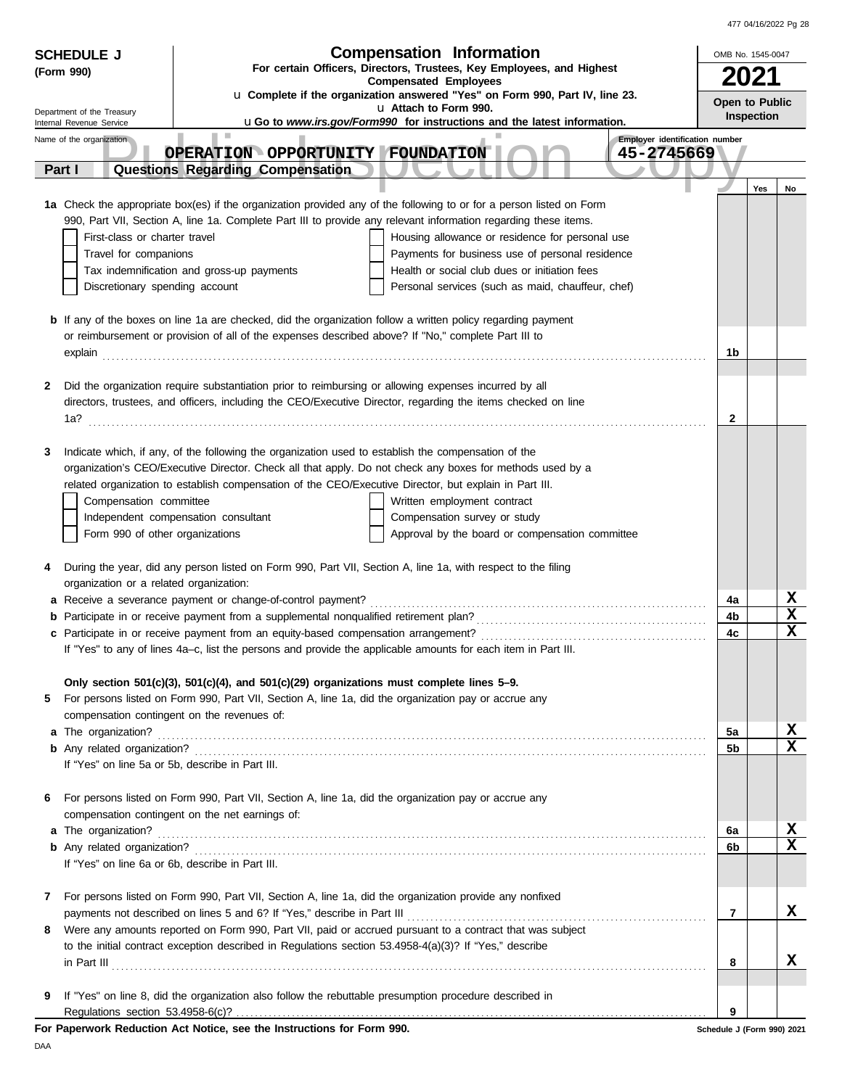477 04/16/2022 Pg 28

| For certain Officers, Directors, Trustees, Key Employees, and Highest<br>(Form 990)<br><b>Compensated Employees</b><br>u Complete if the organization answered "Yes" on Form 990, Part IV, line 23.<br>Open to Public<br>u Attach to Form 990.<br>Department of the Treasury<br>Inspection<br>uGo to www.irs.gov/Form990 for instructions and the latest information.<br>Internal Revenue Service<br>Employer identification number<br>Name of the organization<br>OPERATION OPPORTUNITY FOUNDATION<br>45-2745669<br>Part I<br>Questions Regarding Compensation<br>Yes<br>No<br>1a Check the appropriate box(es) if the organization provided any of the following to or for a person listed on Form<br>990, Part VII, Section A, line 1a. Complete Part III to provide any relevant information regarding these items.<br>First-class or charter travel<br>Housing allowance or residence for personal use<br>Travel for companions<br>Payments for business use of personal residence<br>Tax indemnification and gross-up payments<br>Health or social club dues or initiation fees<br>Discretionary spending account<br>Personal services (such as maid, chauffeur, chef)<br><b>b</b> If any of the boxes on line 1a are checked, did the organization follow a written policy regarding payment<br>or reimbursement or provision of all of the expenses described above? If "No," complete Part III to<br>1b<br>explain<br>Did the organization require substantiation prior to reimbursing or allowing expenses incurred by all<br>2<br>directors, trustees, and officers, including the CEO/Executive Director, regarding the items checked on line<br>1a?<br>2<br>Indicate which, if any, of the following the organization used to establish the compensation of the<br>3<br>organization's CEO/Executive Director. Check all that apply. Do not check any boxes for methods used by a<br>related organization to establish compensation of the CEO/Executive Director, but explain in Part III.<br>Compensation committee<br>Written employment contract<br>Independent compensation consultant<br>Compensation survey or study<br>Form 990 of other organizations<br>Approval by the board or compensation committee<br>During the year, did any person listed on Form 990, Part VII, Section A, line 1a, with respect to the filing<br>4<br>organization or a related organization:<br>X<br>a Receive a severance payment or change-of-control payment?<br>4a<br>X<br><b>b</b> Participate in or receive payment from a supplemental nonqualified retirement plan?<br>4b<br>X<br>4с<br>If "Yes" to any of lines 4a-c, list the persons and provide the applicable amounts for each item in Part III.<br>Only section 501(c)(3), 501(c)(4), and 501(c)(29) organizations must complete lines $5-9$ .<br>For persons listed on Form 990, Part VII, Section A, line 1a, did the organization pay or accrue any<br>5<br>compensation contingent on the revenues of:<br>X<br>5a<br>x<br>5b<br>If "Yes" on line 5a or 5b, describe in Part III.<br>For persons listed on Form 990, Part VII, Section A, line 1a, did the organization pay or accrue any<br>6<br>compensation contingent on the net earnings of:<br>X<br>6а<br>x<br>6b<br>If "Yes" on line 6a or 6b, describe in Part III.<br>For persons listed on Form 990, Part VII, Section A, line 1a, did the organization provide any nonfixed<br>7<br>x<br>7<br>Were any amounts reported on Form 990, Part VII, paid or accrued pursuant to a contract that was subject<br>8<br>to the initial contract exception described in Regulations section 53.4958-4(a)(3)? If "Yes," describe<br>x<br>$\ $ n Part III $\ $<br>8<br>If "Yes" on line 8, did the organization also follow the rebuttable presumption procedure described in<br>9<br>9<br>For Paperwork Reduction Act Notice, see the Instructions for Form 990.<br>Schedule J (Form 990) 2021 | <b>SCHEDULE J</b> |  |  | <b>Compensation Information</b> | OMB No. 1545-0047 |  |  |  |
|-------------------------------------------------------------------------------------------------------------------------------------------------------------------------------------------------------------------------------------------------------------------------------------------------------------------------------------------------------------------------------------------------------------------------------------------------------------------------------------------------------------------------------------------------------------------------------------------------------------------------------------------------------------------------------------------------------------------------------------------------------------------------------------------------------------------------------------------------------------------------------------------------------------------------------------------------------------------------------------------------------------------------------------------------------------------------------------------------------------------------------------------------------------------------------------------------------------------------------------------------------------------------------------------------------------------------------------------------------------------------------------------------------------------------------------------------------------------------------------------------------------------------------------------------------------------------------------------------------------------------------------------------------------------------------------------------------------------------------------------------------------------------------------------------------------------------------------------------------------------------------------------------------------------------------------------------------------------------------------------------------------------------------------------------------------------------------------------------------------------------------------------------------------------------------------------------------------------------------------------------------------------------------------------------------------------------------------------------------------------------------------------------------------------------------------------------------------------------------------------------------------------------------------------------------------------------------------------------------------------------------------------------------------------------------------------------------------------------------------------------------------------------------------------------------------------------------------------------------------------------------------------------------------------------------------------------------------------------------------------------------------------------------------------------------------------------------------------------------------------------------------------------------------------------------------------------------------------------------------------------------------------------------------------------------------------------------------------------------------------------------------------------------------------------------------------------------------------------------------------------------------------------------------------------------------------------------------------------------------------------------------------------------------------------------------------------------------------------------------------------------------------------------------------------------------------------------------------------------------------------------------------------------------------|-------------------|--|--|---------------------------------|-------------------|--|--|--|
|                                                                                                                                                                                                                                                                                                                                                                                                                                                                                                                                                                                                                                                                                                                                                                                                                                                                                                                                                                                                                                                                                                                                                                                                                                                                                                                                                                                                                                                                                                                                                                                                                                                                                                                                                                                                                                                                                                                                                                                                                                                                                                                                                                                                                                                                                                                                                                                                                                                                                                                                                                                                                                                                                                                                                                                                                                                                                                                                                                                                                                                                                                                                                                                                                                                                                                                                                                                                                                                                                                                                                                                                                                                                                                                                                                                                                                                                                                                   |                   |  |  |                                 |                   |  |  |  |
|                                                                                                                                                                                                                                                                                                                                                                                                                                                                                                                                                                                                                                                                                                                                                                                                                                                                                                                                                                                                                                                                                                                                                                                                                                                                                                                                                                                                                                                                                                                                                                                                                                                                                                                                                                                                                                                                                                                                                                                                                                                                                                                                                                                                                                                                                                                                                                                                                                                                                                                                                                                                                                                                                                                                                                                                                                                                                                                                                                                                                                                                                                                                                                                                                                                                                                                                                                                                                                                                                                                                                                                                                                                                                                                                                                                                                                                                                                                   |                   |  |  |                                 |                   |  |  |  |
|                                                                                                                                                                                                                                                                                                                                                                                                                                                                                                                                                                                                                                                                                                                                                                                                                                                                                                                                                                                                                                                                                                                                                                                                                                                                                                                                                                                                                                                                                                                                                                                                                                                                                                                                                                                                                                                                                                                                                                                                                                                                                                                                                                                                                                                                                                                                                                                                                                                                                                                                                                                                                                                                                                                                                                                                                                                                                                                                                                                                                                                                                                                                                                                                                                                                                                                                                                                                                                                                                                                                                                                                                                                                                                                                                                                                                                                                                                                   |                   |  |  |                                 |                   |  |  |  |
|                                                                                                                                                                                                                                                                                                                                                                                                                                                                                                                                                                                                                                                                                                                                                                                                                                                                                                                                                                                                                                                                                                                                                                                                                                                                                                                                                                                                                                                                                                                                                                                                                                                                                                                                                                                                                                                                                                                                                                                                                                                                                                                                                                                                                                                                                                                                                                                                                                                                                                                                                                                                                                                                                                                                                                                                                                                                                                                                                                                                                                                                                                                                                                                                                                                                                                                                                                                                                                                                                                                                                                                                                                                                                                                                                                                                                                                                                                                   |                   |  |  |                                 |                   |  |  |  |
|                                                                                                                                                                                                                                                                                                                                                                                                                                                                                                                                                                                                                                                                                                                                                                                                                                                                                                                                                                                                                                                                                                                                                                                                                                                                                                                                                                                                                                                                                                                                                                                                                                                                                                                                                                                                                                                                                                                                                                                                                                                                                                                                                                                                                                                                                                                                                                                                                                                                                                                                                                                                                                                                                                                                                                                                                                                                                                                                                                                                                                                                                                                                                                                                                                                                                                                                                                                                                                                                                                                                                                                                                                                                                                                                                                                                                                                                                                                   |                   |  |  |                                 |                   |  |  |  |
|                                                                                                                                                                                                                                                                                                                                                                                                                                                                                                                                                                                                                                                                                                                                                                                                                                                                                                                                                                                                                                                                                                                                                                                                                                                                                                                                                                                                                                                                                                                                                                                                                                                                                                                                                                                                                                                                                                                                                                                                                                                                                                                                                                                                                                                                                                                                                                                                                                                                                                                                                                                                                                                                                                                                                                                                                                                                                                                                                                                                                                                                                                                                                                                                                                                                                                                                                                                                                                                                                                                                                                                                                                                                                                                                                                                                                                                                                                                   |                   |  |  |                                 |                   |  |  |  |
|                                                                                                                                                                                                                                                                                                                                                                                                                                                                                                                                                                                                                                                                                                                                                                                                                                                                                                                                                                                                                                                                                                                                                                                                                                                                                                                                                                                                                                                                                                                                                                                                                                                                                                                                                                                                                                                                                                                                                                                                                                                                                                                                                                                                                                                                                                                                                                                                                                                                                                                                                                                                                                                                                                                                                                                                                                                                                                                                                                                                                                                                                                                                                                                                                                                                                                                                                                                                                                                                                                                                                                                                                                                                                                                                                                                                                                                                                                                   |                   |  |  |                                 |                   |  |  |  |
|                                                                                                                                                                                                                                                                                                                                                                                                                                                                                                                                                                                                                                                                                                                                                                                                                                                                                                                                                                                                                                                                                                                                                                                                                                                                                                                                                                                                                                                                                                                                                                                                                                                                                                                                                                                                                                                                                                                                                                                                                                                                                                                                                                                                                                                                                                                                                                                                                                                                                                                                                                                                                                                                                                                                                                                                                                                                                                                                                                                                                                                                                                                                                                                                                                                                                                                                                                                                                                                                                                                                                                                                                                                                                                                                                                                                                                                                                                                   |                   |  |  |                                 |                   |  |  |  |
|                                                                                                                                                                                                                                                                                                                                                                                                                                                                                                                                                                                                                                                                                                                                                                                                                                                                                                                                                                                                                                                                                                                                                                                                                                                                                                                                                                                                                                                                                                                                                                                                                                                                                                                                                                                                                                                                                                                                                                                                                                                                                                                                                                                                                                                                                                                                                                                                                                                                                                                                                                                                                                                                                                                                                                                                                                                                                                                                                                                                                                                                                                                                                                                                                                                                                                                                                                                                                                                                                                                                                                                                                                                                                                                                                                                                                                                                                                                   |                   |  |  |                                 |                   |  |  |  |
|                                                                                                                                                                                                                                                                                                                                                                                                                                                                                                                                                                                                                                                                                                                                                                                                                                                                                                                                                                                                                                                                                                                                                                                                                                                                                                                                                                                                                                                                                                                                                                                                                                                                                                                                                                                                                                                                                                                                                                                                                                                                                                                                                                                                                                                                                                                                                                                                                                                                                                                                                                                                                                                                                                                                                                                                                                                                                                                                                                                                                                                                                                                                                                                                                                                                                                                                                                                                                                                                                                                                                                                                                                                                                                                                                                                                                                                                                                                   |                   |  |  |                                 |                   |  |  |  |
|                                                                                                                                                                                                                                                                                                                                                                                                                                                                                                                                                                                                                                                                                                                                                                                                                                                                                                                                                                                                                                                                                                                                                                                                                                                                                                                                                                                                                                                                                                                                                                                                                                                                                                                                                                                                                                                                                                                                                                                                                                                                                                                                                                                                                                                                                                                                                                                                                                                                                                                                                                                                                                                                                                                                                                                                                                                                                                                                                                                                                                                                                                                                                                                                                                                                                                                                                                                                                                                                                                                                                                                                                                                                                                                                                                                                                                                                                                                   |                   |  |  |                                 |                   |  |  |  |
|                                                                                                                                                                                                                                                                                                                                                                                                                                                                                                                                                                                                                                                                                                                                                                                                                                                                                                                                                                                                                                                                                                                                                                                                                                                                                                                                                                                                                                                                                                                                                                                                                                                                                                                                                                                                                                                                                                                                                                                                                                                                                                                                                                                                                                                                                                                                                                                                                                                                                                                                                                                                                                                                                                                                                                                                                                                                                                                                                                                                                                                                                                                                                                                                                                                                                                                                                                                                                                                                                                                                                                                                                                                                                                                                                                                                                                                                                                                   |                   |  |  |                                 |                   |  |  |  |
|                                                                                                                                                                                                                                                                                                                                                                                                                                                                                                                                                                                                                                                                                                                                                                                                                                                                                                                                                                                                                                                                                                                                                                                                                                                                                                                                                                                                                                                                                                                                                                                                                                                                                                                                                                                                                                                                                                                                                                                                                                                                                                                                                                                                                                                                                                                                                                                                                                                                                                                                                                                                                                                                                                                                                                                                                                                                                                                                                                                                                                                                                                                                                                                                                                                                                                                                                                                                                                                                                                                                                                                                                                                                                                                                                                                                                                                                                                                   |                   |  |  |                                 |                   |  |  |  |
|                                                                                                                                                                                                                                                                                                                                                                                                                                                                                                                                                                                                                                                                                                                                                                                                                                                                                                                                                                                                                                                                                                                                                                                                                                                                                                                                                                                                                                                                                                                                                                                                                                                                                                                                                                                                                                                                                                                                                                                                                                                                                                                                                                                                                                                                                                                                                                                                                                                                                                                                                                                                                                                                                                                                                                                                                                                                                                                                                                                                                                                                                                                                                                                                                                                                                                                                                                                                                                                                                                                                                                                                                                                                                                                                                                                                                                                                                                                   |                   |  |  |                                 |                   |  |  |  |
|                                                                                                                                                                                                                                                                                                                                                                                                                                                                                                                                                                                                                                                                                                                                                                                                                                                                                                                                                                                                                                                                                                                                                                                                                                                                                                                                                                                                                                                                                                                                                                                                                                                                                                                                                                                                                                                                                                                                                                                                                                                                                                                                                                                                                                                                                                                                                                                                                                                                                                                                                                                                                                                                                                                                                                                                                                                                                                                                                                                                                                                                                                                                                                                                                                                                                                                                                                                                                                                                                                                                                                                                                                                                                                                                                                                                                                                                                                                   |                   |  |  |                                 |                   |  |  |  |
|                                                                                                                                                                                                                                                                                                                                                                                                                                                                                                                                                                                                                                                                                                                                                                                                                                                                                                                                                                                                                                                                                                                                                                                                                                                                                                                                                                                                                                                                                                                                                                                                                                                                                                                                                                                                                                                                                                                                                                                                                                                                                                                                                                                                                                                                                                                                                                                                                                                                                                                                                                                                                                                                                                                                                                                                                                                                                                                                                                                                                                                                                                                                                                                                                                                                                                                                                                                                                                                                                                                                                                                                                                                                                                                                                                                                                                                                                                                   |                   |  |  |                                 |                   |  |  |  |
|                                                                                                                                                                                                                                                                                                                                                                                                                                                                                                                                                                                                                                                                                                                                                                                                                                                                                                                                                                                                                                                                                                                                                                                                                                                                                                                                                                                                                                                                                                                                                                                                                                                                                                                                                                                                                                                                                                                                                                                                                                                                                                                                                                                                                                                                                                                                                                                                                                                                                                                                                                                                                                                                                                                                                                                                                                                                                                                                                                                                                                                                                                                                                                                                                                                                                                                                                                                                                                                                                                                                                                                                                                                                                                                                                                                                                                                                                                                   |                   |  |  |                                 |                   |  |  |  |
|                                                                                                                                                                                                                                                                                                                                                                                                                                                                                                                                                                                                                                                                                                                                                                                                                                                                                                                                                                                                                                                                                                                                                                                                                                                                                                                                                                                                                                                                                                                                                                                                                                                                                                                                                                                                                                                                                                                                                                                                                                                                                                                                                                                                                                                                                                                                                                                                                                                                                                                                                                                                                                                                                                                                                                                                                                                                                                                                                                                                                                                                                                                                                                                                                                                                                                                                                                                                                                                                                                                                                                                                                                                                                                                                                                                                                                                                                                                   |                   |  |  |                                 |                   |  |  |  |
|                                                                                                                                                                                                                                                                                                                                                                                                                                                                                                                                                                                                                                                                                                                                                                                                                                                                                                                                                                                                                                                                                                                                                                                                                                                                                                                                                                                                                                                                                                                                                                                                                                                                                                                                                                                                                                                                                                                                                                                                                                                                                                                                                                                                                                                                                                                                                                                                                                                                                                                                                                                                                                                                                                                                                                                                                                                                                                                                                                                                                                                                                                                                                                                                                                                                                                                                                                                                                                                                                                                                                                                                                                                                                                                                                                                                                                                                                                                   |                   |  |  |                                 |                   |  |  |  |
|                                                                                                                                                                                                                                                                                                                                                                                                                                                                                                                                                                                                                                                                                                                                                                                                                                                                                                                                                                                                                                                                                                                                                                                                                                                                                                                                                                                                                                                                                                                                                                                                                                                                                                                                                                                                                                                                                                                                                                                                                                                                                                                                                                                                                                                                                                                                                                                                                                                                                                                                                                                                                                                                                                                                                                                                                                                                                                                                                                                                                                                                                                                                                                                                                                                                                                                                                                                                                                                                                                                                                                                                                                                                                                                                                                                                                                                                                                                   |                   |  |  |                                 |                   |  |  |  |
|                                                                                                                                                                                                                                                                                                                                                                                                                                                                                                                                                                                                                                                                                                                                                                                                                                                                                                                                                                                                                                                                                                                                                                                                                                                                                                                                                                                                                                                                                                                                                                                                                                                                                                                                                                                                                                                                                                                                                                                                                                                                                                                                                                                                                                                                                                                                                                                                                                                                                                                                                                                                                                                                                                                                                                                                                                                                                                                                                                                                                                                                                                                                                                                                                                                                                                                                                                                                                                                                                                                                                                                                                                                                                                                                                                                                                                                                                                                   |                   |  |  |                                 |                   |  |  |  |
|                                                                                                                                                                                                                                                                                                                                                                                                                                                                                                                                                                                                                                                                                                                                                                                                                                                                                                                                                                                                                                                                                                                                                                                                                                                                                                                                                                                                                                                                                                                                                                                                                                                                                                                                                                                                                                                                                                                                                                                                                                                                                                                                                                                                                                                                                                                                                                                                                                                                                                                                                                                                                                                                                                                                                                                                                                                                                                                                                                                                                                                                                                                                                                                                                                                                                                                                                                                                                                                                                                                                                                                                                                                                                                                                                                                                                                                                                                                   |                   |  |  |                                 |                   |  |  |  |
|                                                                                                                                                                                                                                                                                                                                                                                                                                                                                                                                                                                                                                                                                                                                                                                                                                                                                                                                                                                                                                                                                                                                                                                                                                                                                                                                                                                                                                                                                                                                                                                                                                                                                                                                                                                                                                                                                                                                                                                                                                                                                                                                                                                                                                                                                                                                                                                                                                                                                                                                                                                                                                                                                                                                                                                                                                                                                                                                                                                                                                                                                                                                                                                                                                                                                                                                                                                                                                                                                                                                                                                                                                                                                                                                                                                                                                                                                                                   |                   |  |  |                                 |                   |  |  |  |
|                                                                                                                                                                                                                                                                                                                                                                                                                                                                                                                                                                                                                                                                                                                                                                                                                                                                                                                                                                                                                                                                                                                                                                                                                                                                                                                                                                                                                                                                                                                                                                                                                                                                                                                                                                                                                                                                                                                                                                                                                                                                                                                                                                                                                                                                                                                                                                                                                                                                                                                                                                                                                                                                                                                                                                                                                                                                                                                                                                                                                                                                                                                                                                                                                                                                                                                                                                                                                                                                                                                                                                                                                                                                                                                                                                                                                                                                                                                   |                   |  |  |                                 |                   |  |  |  |
|                                                                                                                                                                                                                                                                                                                                                                                                                                                                                                                                                                                                                                                                                                                                                                                                                                                                                                                                                                                                                                                                                                                                                                                                                                                                                                                                                                                                                                                                                                                                                                                                                                                                                                                                                                                                                                                                                                                                                                                                                                                                                                                                                                                                                                                                                                                                                                                                                                                                                                                                                                                                                                                                                                                                                                                                                                                                                                                                                                                                                                                                                                                                                                                                                                                                                                                                                                                                                                                                                                                                                                                                                                                                                                                                                                                                                                                                                                                   |                   |  |  |                                 |                   |  |  |  |
|                                                                                                                                                                                                                                                                                                                                                                                                                                                                                                                                                                                                                                                                                                                                                                                                                                                                                                                                                                                                                                                                                                                                                                                                                                                                                                                                                                                                                                                                                                                                                                                                                                                                                                                                                                                                                                                                                                                                                                                                                                                                                                                                                                                                                                                                                                                                                                                                                                                                                                                                                                                                                                                                                                                                                                                                                                                                                                                                                                                                                                                                                                                                                                                                                                                                                                                                                                                                                                                                                                                                                                                                                                                                                                                                                                                                                                                                                                                   |                   |  |  |                                 |                   |  |  |  |
|                                                                                                                                                                                                                                                                                                                                                                                                                                                                                                                                                                                                                                                                                                                                                                                                                                                                                                                                                                                                                                                                                                                                                                                                                                                                                                                                                                                                                                                                                                                                                                                                                                                                                                                                                                                                                                                                                                                                                                                                                                                                                                                                                                                                                                                                                                                                                                                                                                                                                                                                                                                                                                                                                                                                                                                                                                                                                                                                                                                                                                                                                                                                                                                                                                                                                                                                                                                                                                                                                                                                                                                                                                                                                                                                                                                                                                                                                                                   |                   |  |  |                                 |                   |  |  |  |
|                                                                                                                                                                                                                                                                                                                                                                                                                                                                                                                                                                                                                                                                                                                                                                                                                                                                                                                                                                                                                                                                                                                                                                                                                                                                                                                                                                                                                                                                                                                                                                                                                                                                                                                                                                                                                                                                                                                                                                                                                                                                                                                                                                                                                                                                                                                                                                                                                                                                                                                                                                                                                                                                                                                                                                                                                                                                                                                                                                                                                                                                                                                                                                                                                                                                                                                                                                                                                                                                                                                                                                                                                                                                                                                                                                                                                                                                                                                   |                   |  |  |                                 |                   |  |  |  |
|                                                                                                                                                                                                                                                                                                                                                                                                                                                                                                                                                                                                                                                                                                                                                                                                                                                                                                                                                                                                                                                                                                                                                                                                                                                                                                                                                                                                                                                                                                                                                                                                                                                                                                                                                                                                                                                                                                                                                                                                                                                                                                                                                                                                                                                                                                                                                                                                                                                                                                                                                                                                                                                                                                                                                                                                                                                                                                                                                                                                                                                                                                                                                                                                                                                                                                                                                                                                                                                                                                                                                                                                                                                                                                                                                                                                                                                                                                                   |                   |  |  |                                 |                   |  |  |  |
|                                                                                                                                                                                                                                                                                                                                                                                                                                                                                                                                                                                                                                                                                                                                                                                                                                                                                                                                                                                                                                                                                                                                                                                                                                                                                                                                                                                                                                                                                                                                                                                                                                                                                                                                                                                                                                                                                                                                                                                                                                                                                                                                                                                                                                                                                                                                                                                                                                                                                                                                                                                                                                                                                                                                                                                                                                                                                                                                                                                                                                                                                                                                                                                                                                                                                                                                                                                                                                                                                                                                                                                                                                                                                                                                                                                                                                                                                                                   |                   |  |  |                                 |                   |  |  |  |
|                                                                                                                                                                                                                                                                                                                                                                                                                                                                                                                                                                                                                                                                                                                                                                                                                                                                                                                                                                                                                                                                                                                                                                                                                                                                                                                                                                                                                                                                                                                                                                                                                                                                                                                                                                                                                                                                                                                                                                                                                                                                                                                                                                                                                                                                                                                                                                                                                                                                                                                                                                                                                                                                                                                                                                                                                                                                                                                                                                                                                                                                                                                                                                                                                                                                                                                                                                                                                                                                                                                                                                                                                                                                                                                                                                                                                                                                                                                   |                   |  |  |                                 |                   |  |  |  |
|                                                                                                                                                                                                                                                                                                                                                                                                                                                                                                                                                                                                                                                                                                                                                                                                                                                                                                                                                                                                                                                                                                                                                                                                                                                                                                                                                                                                                                                                                                                                                                                                                                                                                                                                                                                                                                                                                                                                                                                                                                                                                                                                                                                                                                                                                                                                                                                                                                                                                                                                                                                                                                                                                                                                                                                                                                                                                                                                                                                                                                                                                                                                                                                                                                                                                                                                                                                                                                                                                                                                                                                                                                                                                                                                                                                                                                                                                                                   |                   |  |  |                                 |                   |  |  |  |
|                                                                                                                                                                                                                                                                                                                                                                                                                                                                                                                                                                                                                                                                                                                                                                                                                                                                                                                                                                                                                                                                                                                                                                                                                                                                                                                                                                                                                                                                                                                                                                                                                                                                                                                                                                                                                                                                                                                                                                                                                                                                                                                                                                                                                                                                                                                                                                                                                                                                                                                                                                                                                                                                                                                                                                                                                                                                                                                                                                                                                                                                                                                                                                                                                                                                                                                                                                                                                                                                                                                                                                                                                                                                                                                                                                                                                                                                                                                   |                   |  |  |                                 |                   |  |  |  |
|                                                                                                                                                                                                                                                                                                                                                                                                                                                                                                                                                                                                                                                                                                                                                                                                                                                                                                                                                                                                                                                                                                                                                                                                                                                                                                                                                                                                                                                                                                                                                                                                                                                                                                                                                                                                                                                                                                                                                                                                                                                                                                                                                                                                                                                                                                                                                                                                                                                                                                                                                                                                                                                                                                                                                                                                                                                                                                                                                                                                                                                                                                                                                                                                                                                                                                                                                                                                                                                                                                                                                                                                                                                                                                                                                                                                                                                                                                                   |                   |  |  |                                 |                   |  |  |  |
|                                                                                                                                                                                                                                                                                                                                                                                                                                                                                                                                                                                                                                                                                                                                                                                                                                                                                                                                                                                                                                                                                                                                                                                                                                                                                                                                                                                                                                                                                                                                                                                                                                                                                                                                                                                                                                                                                                                                                                                                                                                                                                                                                                                                                                                                                                                                                                                                                                                                                                                                                                                                                                                                                                                                                                                                                                                                                                                                                                                                                                                                                                                                                                                                                                                                                                                                                                                                                                                                                                                                                                                                                                                                                                                                                                                                                                                                                                                   |                   |  |  |                                 |                   |  |  |  |
|                                                                                                                                                                                                                                                                                                                                                                                                                                                                                                                                                                                                                                                                                                                                                                                                                                                                                                                                                                                                                                                                                                                                                                                                                                                                                                                                                                                                                                                                                                                                                                                                                                                                                                                                                                                                                                                                                                                                                                                                                                                                                                                                                                                                                                                                                                                                                                                                                                                                                                                                                                                                                                                                                                                                                                                                                                                                                                                                                                                                                                                                                                                                                                                                                                                                                                                                                                                                                                                                                                                                                                                                                                                                                                                                                                                                                                                                                                                   |                   |  |  |                                 |                   |  |  |  |
|                                                                                                                                                                                                                                                                                                                                                                                                                                                                                                                                                                                                                                                                                                                                                                                                                                                                                                                                                                                                                                                                                                                                                                                                                                                                                                                                                                                                                                                                                                                                                                                                                                                                                                                                                                                                                                                                                                                                                                                                                                                                                                                                                                                                                                                                                                                                                                                                                                                                                                                                                                                                                                                                                                                                                                                                                                                                                                                                                                                                                                                                                                                                                                                                                                                                                                                                                                                                                                                                                                                                                                                                                                                                                                                                                                                                                                                                                                                   |                   |  |  |                                 |                   |  |  |  |
|                                                                                                                                                                                                                                                                                                                                                                                                                                                                                                                                                                                                                                                                                                                                                                                                                                                                                                                                                                                                                                                                                                                                                                                                                                                                                                                                                                                                                                                                                                                                                                                                                                                                                                                                                                                                                                                                                                                                                                                                                                                                                                                                                                                                                                                                                                                                                                                                                                                                                                                                                                                                                                                                                                                                                                                                                                                                                                                                                                                                                                                                                                                                                                                                                                                                                                                                                                                                                                                                                                                                                                                                                                                                                                                                                                                                                                                                                                                   |                   |  |  |                                 |                   |  |  |  |
|                                                                                                                                                                                                                                                                                                                                                                                                                                                                                                                                                                                                                                                                                                                                                                                                                                                                                                                                                                                                                                                                                                                                                                                                                                                                                                                                                                                                                                                                                                                                                                                                                                                                                                                                                                                                                                                                                                                                                                                                                                                                                                                                                                                                                                                                                                                                                                                                                                                                                                                                                                                                                                                                                                                                                                                                                                                                                                                                                                                                                                                                                                                                                                                                                                                                                                                                                                                                                                                                                                                                                                                                                                                                                                                                                                                                                                                                                                                   |                   |  |  |                                 |                   |  |  |  |
|                                                                                                                                                                                                                                                                                                                                                                                                                                                                                                                                                                                                                                                                                                                                                                                                                                                                                                                                                                                                                                                                                                                                                                                                                                                                                                                                                                                                                                                                                                                                                                                                                                                                                                                                                                                                                                                                                                                                                                                                                                                                                                                                                                                                                                                                                                                                                                                                                                                                                                                                                                                                                                                                                                                                                                                                                                                                                                                                                                                                                                                                                                                                                                                                                                                                                                                                                                                                                                                                                                                                                                                                                                                                                                                                                                                                                                                                                                                   |                   |  |  |                                 |                   |  |  |  |
|                                                                                                                                                                                                                                                                                                                                                                                                                                                                                                                                                                                                                                                                                                                                                                                                                                                                                                                                                                                                                                                                                                                                                                                                                                                                                                                                                                                                                                                                                                                                                                                                                                                                                                                                                                                                                                                                                                                                                                                                                                                                                                                                                                                                                                                                                                                                                                                                                                                                                                                                                                                                                                                                                                                                                                                                                                                                                                                                                                                                                                                                                                                                                                                                                                                                                                                                                                                                                                                                                                                                                                                                                                                                                                                                                                                                                                                                                                                   |                   |  |  |                                 |                   |  |  |  |
|                                                                                                                                                                                                                                                                                                                                                                                                                                                                                                                                                                                                                                                                                                                                                                                                                                                                                                                                                                                                                                                                                                                                                                                                                                                                                                                                                                                                                                                                                                                                                                                                                                                                                                                                                                                                                                                                                                                                                                                                                                                                                                                                                                                                                                                                                                                                                                                                                                                                                                                                                                                                                                                                                                                                                                                                                                                                                                                                                                                                                                                                                                                                                                                                                                                                                                                                                                                                                                                                                                                                                                                                                                                                                                                                                                                                                                                                                                                   |                   |  |  |                                 |                   |  |  |  |
|                                                                                                                                                                                                                                                                                                                                                                                                                                                                                                                                                                                                                                                                                                                                                                                                                                                                                                                                                                                                                                                                                                                                                                                                                                                                                                                                                                                                                                                                                                                                                                                                                                                                                                                                                                                                                                                                                                                                                                                                                                                                                                                                                                                                                                                                                                                                                                                                                                                                                                                                                                                                                                                                                                                                                                                                                                                                                                                                                                                                                                                                                                                                                                                                                                                                                                                                                                                                                                                                                                                                                                                                                                                                                                                                                                                                                                                                                                                   |                   |  |  |                                 |                   |  |  |  |
|                                                                                                                                                                                                                                                                                                                                                                                                                                                                                                                                                                                                                                                                                                                                                                                                                                                                                                                                                                                                                                                                                                                                                                                                                                                                                                                                                                                                                                                                                                                                                                                                                                                                                                                                                                                                                                                                                                                                                                                                                                                                                                                                                                                                                                                                                                                                                                                                                                                                                                                                                                                                                                                                                                                                                                                                                                                                                                                                                                                                                                                                                                                                                                                                                                                                                                                                                                                                                                                                                                                                                                                                                                                                                                                                                                                                                                                                                                                   |                   |  |  |                                 |                   |  |  |  |
|                                                                                                                                                                                                                                                                                                                                                                                                                                                                                                                                                                                                                                                                                                                                                                                                                                                                                                                                                                                                                                                                                                                                                                                                                                                                                                                                                                                                                                                                                                                                                                                                                                                                                                                                                                                                                                                                                                                                                                                                                                                                                                                                                                                                                                                                                                                                                                                                                                                                                                                                                                                                                                                                                                                                                                                                                                                                                                                                                                                                                                                                                                                                                                                                                                                                                                                                                                                                                                                                                                                                                                                                                                                                                                                                                                                                                                                                                                                   |                   |  |  |                                 |                   |  |  |  |
|                                                                                                                                                                                                                                                                                                                                                                                                                                                                                                                                                                                                                                                                                                                                                                                                                                                                                                                                                                                                                                                                                                                                                                                                                                                                                                                                                                                                                                                                                                                                                                                                                                                                                                                                                                                                                                                                                                                                                                                                                                                                                                                                                                                                                                                                                                                                                                                                                                                                                                                                                                                                                                                                                                                                                                                                                                                                                                                                                                                                                                                                                                                                                                                                                                                                                                                                                                                                                                                                                                                                                                                                                                                                                                                                                                                                                                                                                                                   |                   |  |  |                                 |                   |  |  |  |
|                                                                                                                                                                                                                                                                                                                                                                                                                                                                                                                                                                                                                                                                                                                                                                                                                                                                                                                                                                                                                                                                                                                                                                                                                                                                                                                                                                                                                                                                                                                                                                                                                                                                                                                                                                                                                                                                                                                                                                                                                                                                                                                                                                                                                                                                                                                                                                                                                                                                                                                                                                                                                                                                                                                                                                                                                                                                                                                                                                                                                                                                                                                                                                                                                                                                                                                                                                                                                                                                                                                                                                                                                                                                                                                                                                                                                                                                                                                   |                   |  |  |                                 |                   |  |  |  |
|                                                                                                                                                                                                                                                                                                                                                                                                                                                                                                                                                                                                                                                                                                                                                                                                                                                                                                                                                                                                                                                                                                                                                                                                                                                                                                                                                                                                                                                                                                                                                                                                                                                                                                                                                                                                                                                                                                                                                                                                                                                                                                                                                                                                                                                                                                                                                                                                                                                                                                                                                                                                                                                                                                                                                                                                                                                                                                                                                                                                                                                                                                                                                                                                                                                                                                                                                                                                                                                                                                                                                                                                                                                                                                                                                                                                                                                                                                                   |                   |  |  |                                 |                   |  |  |  |
|                                                                                                                                                                                                                                                                                                                                                                                                                                                                                                                                                                                                                                                                                                                                                                                                                                                                                                                                                                                                                                                                                                                                                                                                                                                                                                                                                                                                                                                                                                                                                                                                                                                                                                                                                                                                                                                                                                                                                                                                                                                                                                                                                                                                                                                                                                                                                                                                                                                                                                                                                                                                                                                                                                                                                                                                                                                                                                                                                                                                                                                                                                                                                                                                                                                                                                                                                                                                                                                                                                                                                                                                                                                                                                                                                                                                                                                                                                                   |                   |  |  |                                 |                   |  |  |  |
|                                                                                                                                                                                                                                                                                                                                                                                                                                                                                                                                                                                                                                                                                                                                                                                                                                                                                                                                                                                                                                                                                                                                                                                                                                                                                                                                                                                                                                                                                                                                                                                                                                                                                                                                                                                                                                                                                                                                                                                                                                                                                                                                                                                                                                                                                                                                                                                                                                                                                                                                                                                                                                                                                                                                                                                                                                                                                                                                                                                                                                                                                                                                                                                                                                                                                                                                                                                                                                                                                                                                                                                                                                                                                                                                                                                                                                                                                                                   |                   |  |  |                                 |                   |  |  |  |
|                                                                                                                                                                                                                                                                                                                                                                                                                                                                                                                                                                                                                                                                                                                                                                                                                                                                                                                                                                                                                                                                                                                                                                                                                                                                                                                                                                                                                                                                                                                                                                                                                                                                                                                                                                                                                                                                                                                                                                                                                                                                                                                                                                                                                                                                                                                                                                                                                                                                                                                                                                                                                                                                                                                                                                                                                                                                                                                                                                                                                                                                                                                                                                                                                                                                                                                                                                                                                                                                                                                                                                                                                                                                                                                                                                                                                                                                                                                   |                   |  |  |                                 |                   |  |  |  |
|                                                                                                                                                                                                                                                                                                                                                                                                                                                                                                                                                                                                                                                                                                                                                                                                                                                                                                                                                                                                                                                                                                                                                                                                                                                                                                                                                                                                                                                                                                                                                                                                                                                                                                                                                                                                                                                                                                                                                                                                                                                                                                                                                                                                                                                                                                                                                                                                                                                                                                                                                                                                                                                                                                                                                                                                                                                                                                                                                                                                                                                                                                                                                                                                                                                                                                                                                                                                                                                                                                                                                                                                                                                                                                                                                                                                                                                                                                                   |                   |  |  |                                 |                   |  |  |  |
|                                                                                                                                                                                                                                                                                                                                                                                                                                                                                                                                                                                                                                                                                                                                                                                                                                                                                                                                                                                                                                                                                                                                                                                                                                                                                                                                                                                                                                                                                                                                                                                                                                                                                                                                                                                                                                                                                                                                                                                                                                                                                                                                                                                                                                                                                                                                                                                                                                                                                                                                                                                                                                                                                                                                                                                                                                                                                                                                                                                                                                                                                                                                                                                                                                                                                                                                                                                                                                                                                                                                                                                                                                                                                                                                                                                                                                                                                                                   |                   |  |  |                                 |                   |  |  |  |
|                                                                                                                                                                                                                                                                                                                                                                                                                                                                                                                                                                                                                                                                                                                                                                                                                                                                                                                                                                                                                                                                                                                                                                                                                                                                                                                                                                                                                                                                                                                                                                                                                                                                                                                                                                                                                                                                                                                                                                                                                                                                                                                                                                                                                                                                                                                                                                                                                                                                                                                                                                                                                                                                                                                                                                                                                                                                                                                                                                                                                                                                                                                                                                                                                                                                                                                                                                                                                                                                                                                                                                                                                                                                                                                                                                                                                                                                                                                   |                   |  |  |                                 |                   |  |  |  |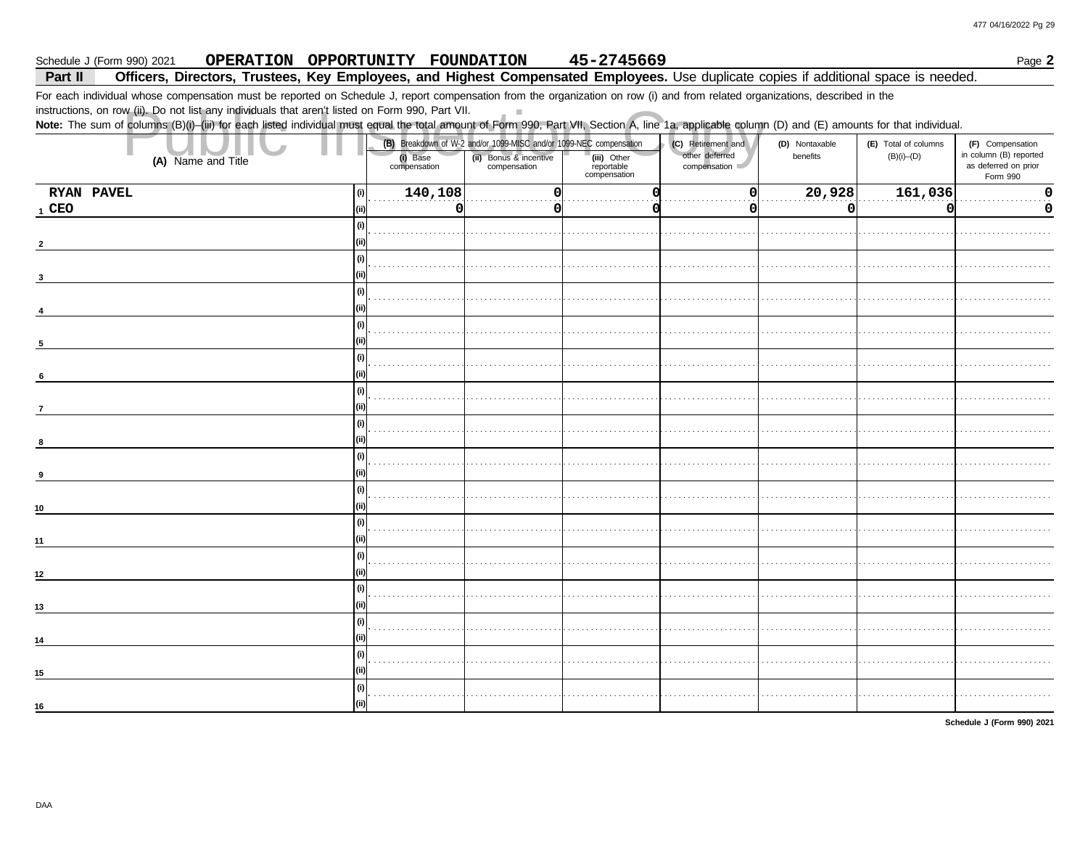Page 2

#### 45-2745669 Schedule J (Form 990) 2021 OPERATION OPPORTUNITY FOUNDATION

### Part II Officers, Directors, Trustees, Key Employees, and Highest Compensated Employees. Use duplicate copies if additional space is needed.

 $\mathbb{R}^n$ 

For each individual whose compensation must be reported on Schedule J, report compensation from the organization on row (i) and from related organizations, described in the

instructions, on row (ii). Do not list any individuals that aren't listed on Form 990, Part VII.

Note: The sum of columns (B)(i)-(iii) for each listed individual must equal the total amount of Form 990, Part VII, Section A, line 1a, applicable column (D) and (E) amounts for that individual.

| (A) Name and Title                | (i) Base<br>compensation | (B) Breakdown of W-2 and/or 1099-MISC and/or 1099-NEC compensation<br>(ii) Bonus & incentive<br>compensation | (iii) Other<br>reportable<br>compensation | (C) Retirement and<br>other deferred<br>compensation | (D) Nontaxable<br>benefits | (E) Total of columns<br>$(B)(i)$ - $(D)$ | (F) Compensation<br>in column (B) reported<br>as deferred on prior<br>Form 990 |
|-----------------------------------|--------------------------|--------------------------------------------------------------------------------------------------------------|-------------------------------------------|------------------------------------------------------|----------------------------|------------------------------------------|--------------------------------------------------------------------------------|
| RYAN PAVEL<br>$\vert$ (i) $\vert$ | 140,108                  |                                                                                                              |                                           | O                                                    | [20, 928]                  | $\boxed{161,036}$                        |                                                                                |
| $1$ CEO                           | (ii)<br>0                | 0                                                                                                            |                                           | 0                                                    | $\Omega$                   | 0                                        | 0                                                                              |
| (i)                               |                          |                                                                                                              |                                           |                                                      |                            |                                          |                                                                                |
| (i)<br>(ii                        |                          |                                                                                                              |                                           |                                                      |                            |                                          |                                                                                |
|                                   | (i)                      |                                                                                                              |                                           |                                                      |                            |                                          |                                                                                |
| 5                                 | (i)                      |                                                                                                              |                                           |                                                      |                            |                                          |                                                                                |
| (i)<br>6                          |                          |                                                                                                              |                                           |                                                      |                            |                                          |                                                                                |
| (i)<br>$\overline{7}$             | (ii)                     |                                                                                                              |                                           |                                                      |                            |                                          |                                                                                |
| (i)<br>я                          | (ii)                     |                                                                                                              |                                           |                                                      |                            |                                          |                                                                                |
| (i)<br>9                          | (ii)                     |                                                                                                              |                                           |                                                      |                            |                                          |                                                                                |
| (i)<br>10                         |                          |                                                                                                              |                                           |                                                      |                            |                                          |                                                                                |
| (i)<br>11                         | (ii)                     |                                                                                                              |                                           |                                                      |                            |                                          |                                                                                |
| (i)<br>12 <sub>2</sub>            |                          |                                                                                                              |                                           |                                                      |                            |                                          |                                                                                |
| (i)<br>13                         | (ii)                     |                                                                                                              |                                           |                                                      |                            |                                          |                                                                                |
| (i)<br>14                         |                          |                                                                                                              |                                           |                                                      |                            |                                          |                                                                                |
| (i)<br>$15\,$                     | (ii)                     |                                                                                                              |                                           |                                                      |                            |                                          |                                                                                |
| (i)<br>16                         | (ii)                     |                                                                                                              |                                           |                                                      |                            |                                          |                                                                                |

Schedule J (Form 990) 2021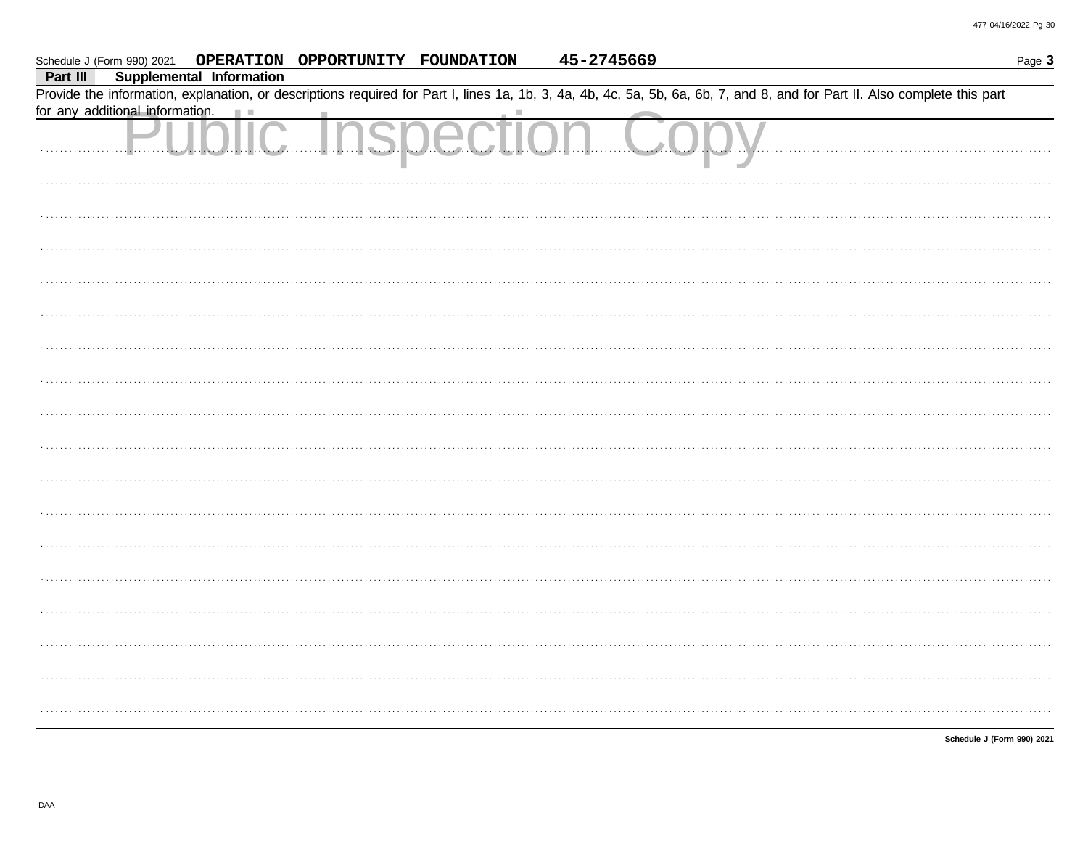|          |                                 |                                 | Schedule J (Form 990) 2021  OPERATION  OPPORTUNITY  FOUNDATION |                 | 45-2745669 |                                                                                                                                                                            | Page 3 |
|----------|---------------------------------|---------------------------------|----------------------------------------------------------------|-----------------|------------|----------------------------------------------------------------------------------------------------------------------------------------------------------------------------|--------|
| Part III |                                 | <b>Supplemental Information</b> |                                                                |                 |            |                                                                                                                                                                            |        |
|          | for any additional information. |                                 |                                                                |                 |            | Provide the information, explanation, or descriptions required for Part I, lines 1a, 1b, 3, 4a, 4b, 4c, 5a, 5b, 6a, 6b, 7, and 8, and for Part II. Also complete this part |        |
|          |                                 |                                 |                                                                | ublic Inspectic |            |                                                                                                                                                                            |        |
|          |                                 |                                 |                                                                |                 |            |                                                                                                                                                                            |        |
|          |                                 |                                 |                                                                |                 |            |                                                                                                                                                                            |        |
|          |                                 |                                 |                                                                |                 |            |                                                                                                                                                                            |        |
|          |                                 |                                 |                                                                |                 |            |                                                                                                                                                                            |        |
|          |                                 |                                 |                                                                |                 |            |                                                                                                                                                                            |        |
|          |                                 |                                 |                                                                |                 |            |                                                                                                                                                                            |        |
|          |                                 |                                 |                                                                |                 |            |                                                                                                                                                                            |        |
|          |                                 |                                 |                                                                |                 |            |                                                                                                                                                                            |        |
|          |                                 |                                 |                                                                |                 |            |                                                                                                                                                                            |        |
|          |                                 |                                 |                                                                |                 |            |                                                                                                                                                                            |        |
|          |                                 |                                 |                                                                |                 |            |                                                                                                                                                                            |        |
|          |                                 |                                 |                                                                |                 |            |                                                                                                                                                                            |        |
|          |                                 |                                 |                                                                |                 |            |                                                                                                                                                                            |        |
|          |                                 |                                 |                                                                |                 |            |                                                                                                                                                                            |        |
|          |                                 |                                 |                                                                |                 |            |                                                                                                                                                                            |        |
|          |                                 |                                 |                                                                |                 |            |                                                                                                                                                                            |        |
|          |                                 |                                 |                                                                |                 |            |                                                                                                                                                                            |        |

Schedule J (Form 990) 2021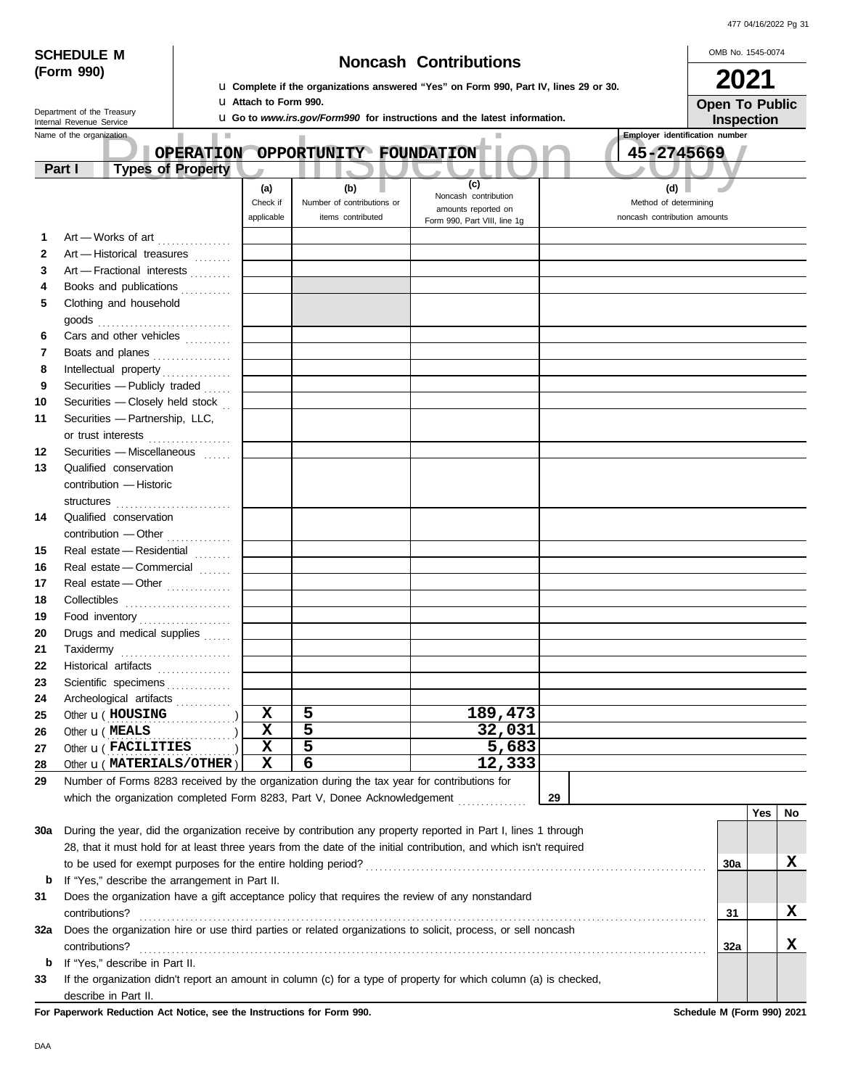| 477 04/16/2022 Pg 31 |
|----------------------|
|----------------------|

|              | <b>SCHEDULE M</b>                                    |                                                                   |                                                |                              |                                                                                             | <b>Noncash Contributions</b>                                                                                       |                                       | OMB No. 1545-0074                   |     |    |
|--------------|------------------------------------------------------|-------------------------------------------------------------------|------------------------------------------------|------------------------------|---------------------------------------------------------------------------------------------|--------------------------------------------------------------------------------------------------------------------|---------------------------------------|-------------------------------------|-----|----|
|              | (Form 990)                                           |                                                                   |                                                |                              |                                                                                             |                                                                                                                    |                                       | 2021                                |     |    |
|              |                                                      |                                                                   |                                                | <b>u</b> Attach to Form 990. |                                                                                             | <b>u</b> Complete if the organizations answered "Yes" on Form 990, Part IV, lines 29 or 30.                        |                                       |                                     |     |    |
|              | Department of the Treasury                           |                                                                   |                                                |                              |                                                                                             | <b>u</b> Go to www.irs.gov/Form990 for instructions and the latest information.                                    |                                       | <b>Open To Public</b><br>Inspection |     |    |
|              | Internal Revenue Service<br>Name of the organization |                                                                   |                                                |                              |                                                                                             |                                                                                                                    | <b>Employer identification number</b> |                                     |     |    |
|              |                                                      |                                                                   | <b>OPERATION</b>                               |                              | OPPORTUNITY FOUNDATION                                                                      |                                                                                                                    | 45-2745669                            |                                     |     |    |
|              | Part I                                               | <b>Types of Property</b>                                          |                                                |                              | V.                                                                                          | D                                                                                                                  |                                       |                                     |     |    |
|              |                                                      |                                                                   |                                                | (a)                          | (b)                                                                                         | (c)                                                                                                                | (d)                                   |                                     |     |    |
|              |                                                      |                                                                   |                                                | Check if                     | Number of contributions or                                                                  | Noncash contribution<br>amounts reported on                                                                        | Method of determining                 |                                     |     |    |
|              |                                                      |                                                                   |                                                | applicable                   | items contributed                                                                           | Form 990, Part VIII, line 1g                                                                                       | noncash contribution amounts          |                                     |     |    |
| 1            |                                                      | Art - Works of art                                                |                                                |                              |                                                                                             |                                                                                                                    |                                       |                                     |     |    |
| $\mathbf{2}$ |                                                      | Art - Historical treasures                                        |                                                |                              |                                                                                             |                                                                                                                    |                                       |                                     |     |    |
| 3            |                                                      | Art - Fractional interests                                        |                                                |                              |                                                                                             |                                                                                                                    |                                       |                                     |     |    |
| 4            |                                                      | Books and publications                                            |                                                |                              |                                                                                             |                                                                                                                    |                                       |                                     |     |    |
| 5            |                                                      | Clothing and household                                            |                                                |                              |                                                                                             |                                                                                                                    |                                       |                                     |     |    |
|              |                                                      | $\mathsf{goods}\xrightarrow{\hspace{0.5cm}}$                      |                                                |                              |                                                                                             |                                                                                                                    |                                       |                                     |     |    |
| 6            |                                                      | Cars and other vehicles                                           |                                                |                              |                                                                                             |                                                                                                                    |                                       |                                     |     |    |
| 7            |                                                      | Boats and planes                                                  |                                                |                              |                                                                                             |                                                                                                                    |                                       |                                     |     |    |
| 8            |                                                      |                                                                   |                                                |                              |                                                                                             |                                                                                                                    |                                       |                                     |     |    |
| 9            |                                                      | Securities - Publicly traded                                      |                                                |                              |                                                                                             |                                                                                                                    |                                       |                                     |     |    |
| 10<br>11     |                                                      | Securities - Closely held stock<br>Securities - Partnership, LLC, |                                                |                              |                                                                                             |                                                                                                                    |                                       |                                     |     |    |
|              | or trust interests                                   |                                                                   |                                                |                              |                                                                                             |                                                                                                                    |                                       |                                     |     |    |
| 12           |                                                      | Securities - Miscellaneous                                        | .                                              |                              |                                                                                             |                                                                                                                    |                                       |                                     |     |    |
| 13           |                                                      | Qualified conservation                                            | <b>Section</b>                                 |                              |                                                                                             |                                                                                                                    |                                       |                                     |     |    |
|              |                                                      | contribution - Historic                                           |                                                |                              |                                                                                             |                                                                                                                    |                                       |                                     |     |    |
|              |                                                      |                                                                   |                                                |                              |                                                                                             |                                                                                                                    |                                       |                                     |     |    |
| 14           |                                                      | Qualified conservation                                            |                                                |                              |                                                                                             |                                                                                                                    |                                       |                                     |     |    |
|              |                                                      | contribution - Other                                              |                                                |                              |                                                                                             |                                                                                                                    |                                       |                                     |     |    |
| 15           |                                                      | Real estate - Residential                                         |                                                |                              |                                                                                             |                                                                                                                    |                                       |                                     |     |    |
| 16           |                                                      | Real estate - Commercial                                          |                                                |                              |                                                                                             |                                                                                                                    |                                       |                                     |     |    |
| 17           |                                                      | Real estate - Other                                               |                                                |                              |                                                                                             |                                                                                                                    |                                       |                                     |     |    |
| 18           | Collectibles                                         |                                                                   |                                                |                              |                                                                                             |                                                                                                                    |                                       |                                     |     |    |
| 19           |                                                      | Food inventory                                                    |                                                |                              |                                                                                             |                                                                                                                    |                                       |                                     |     |    |
| 20           |                                                      | Drugs and medical supplies                                        |                                                |                              |                                                                                             |                                                                                                                    |                                       |                                     |     |    |
| 21           | Taxidermy                                            |                                                                   |                                                |                              |                                                                                             |                                                                                                                    |                                       |                                     |     |    |
| 22           | Historical artifacts                                 |                                                                   |                                                |                              |                                                                                             |                                                                                                                    |                                       |                                     |     |    |
| 23           |                                                      | Scientific specimens                                              |                                                |                              |                                                                                             |                                                                                                                    |                                       |                                     |     |    |
| 24           |                                                      | Archeological artifacts                                           |                                                | $\mathbf x$                  | $\overline{5}$                                                                              | 189,473                                                                                                            |                                       |                                     |     |    |
| 25<br>26     | Other <b>u</b> (MEALS                                | Other <b>u</b> (HOUSING                                           |                                                | $\mathbf x$                  | 5                                                                                           | 32,031                                                                                                             |                                       |                                     |     |    |
| 27           |                                                      | Other <b>u</b> (FACILITIES                                        |                                                | $\mathbf x$                  | 5                                                                                           | 5,683                                                                                                              |                                       |                                     |     |    |
| 28           |                                                      | Other <b>u</b> (MATERIALS/OTHER)                                  |                                                | $\mathbf x$                  | $\overline{6}$                                                                              | 12,333                                                                                                             |                                       |                                     |     |    |
| 29           |                                                      |                                                                   |                                                |                              | Number of Forms 8283 received by the organization during the tax year for contributions for |                                                                                                                    |                                       |                                     |     |    |
|              |                                                      |                                                                   |                                                |                              | which the organization completed Form 8283, Part V, Donee Acknowledgement                   |                                                                                                                    | 29                                    |                                     |     |    |
|              |                                                      |                                                                   |                                                |                              |                                                                                             |                                                                                                                    |                                       |                                     | Yes | No |
| 30a          |                                                      |                                                                   |                                                |                              |                                                                                             | During the year, did the organization receive by contribution any property reported in Part I, lines 1 through     |                                       |                                     |     |    |
|              |                                                      |                                                                   |                                                |                              |                                                                                             | 28, that it must hold for at least three years from the date of the initial contribution, and which isn't required |                                       |                                     |     |    |
|              |                                                      |                                                                   |                                                |                              |                                                                                             |                                                                                                                    |                                       | 30a                                 |     | X  |
| b            |                                                      |                                                                   | If "Yes," describe the arrangement in Part II. |                              |                                                                                             |                                                                                                                    |                                       |                                     |     |    |
| 31           |                                                      |                                                                   |                                                |                              |                                                                                             | Does the organization have a gift acceptance policy that requires the review of any nonstandard                    |                                       |                                     |     |    |
|              | contributions?                                       |                                                                   |                                                |                              |                                                                                             |                                                                                                                    |                                       | 31                                  |     | X  |
| 32a          |                                                      |                                                                   |                                                |                              |                                                                                             | Does the organization hire or use third parties or related organizations to solicit, process, or sell noncash      |                                       |                                     |     |    |
|              | contributions?                                       |                                                                   |                                                |                              |                                                                                             |                                                                                                                    |                                       | 32a                                 |     | х  |
|              |                                                      | <b>b</b> If "Yes," describe in Part II.                           |                                                |                              |                                                                                             |                                                                                                                    |                                       |                                     |     |    |
| 33           |                                                      |                                                                   |                                                |                              |                                                                                             | If the organization didn't report an amount in column (c) for a type of property for which column (a) is checked,  |                                       |                                     |     |    |
|              | describe in Part II.                                 |                                                                   |                                                |                              |                                                                                             |                                                                                                                    |                                       |                                     |     |    |

**For Paperwork Reduction Act Notice, see the Instructions for Form 990. Schedule M (Form 990) 2021**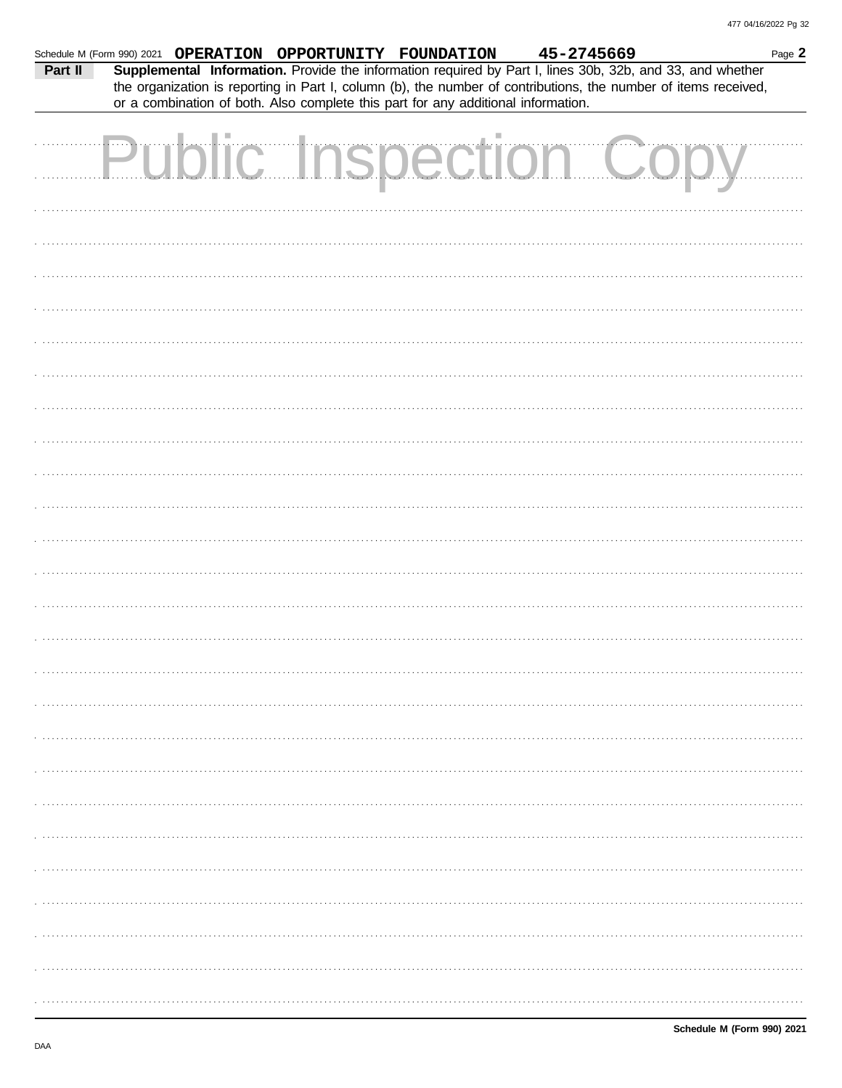| Schedule M (Form 990) 2021 OPERATION OPPORTUNITY FOUNDATION 45-2745669 |  |  |  |                                                                                   |                                                                                                                                                                                                                              | Page 2 |
|------------------------------------------------------------------------|--|--|--|-----------------------------------------------------------------------------------|------------------------------------------------------------------------------------------------------------------------------------------------------------------------------------------------------------------------------|--------|
| Part II                                                                |  |  |  | or a combination of both. Also complete this part for any additional information. | Supplemental Information. Provide the information required by Part I, lines 30b, 32b, and 33, and whether<br>the organization is reporting in Part I, column (b), the number of contributions, the number of items received, |        |
|                                                                        |  |  |  |                                                                                   |                                                                                                                                                                                                                              |        |
|                                                                        |  |  |  |                                                                                   | <b>Public Inspection Cop</b>                                                                                                                                                                                                 |        |
|                                                                        |  |  |  |                                                                                   |                                                                                                                                                                                                                              |        |
|                                                                        |  |  |  |                                                                                   |                                                                                                                                                                                                                              |        |
|                                                                        |  |  |  |                                                                                   |                                                                                                                                                                                                                              |        |
|                                                                        |  |  |  |                                                                                   |                                                                                                                                                                                                                              |        |
|                                                                        |  |  |  |                                                                                   |                                                                                                                                                                                                                              |        |
|                                                                        |  |  |  |                                                                                   |                                                                                                                                                                                                                              |        |
|                                                                        |  |  |  |                                                                                   |                                                                                                                                                                                                                              |        |
|                                                                        |  |  |  |                                                                                   |                                                                                                                                                                                                                              |        |
|                                                                        |  |  |  |                                                                                   |                                                                                                                                                                                                                              |        |
|                                                                        |  |  |  |                                                                                   |                                                                                                                                                                                                                              |        |
|                                                                        |  |  |  |                                                                                   |                                                                                                                                                                                                                              |        |
|                                                                        |  |  |  |                                                                                   |                                                                                                                                                                                                                              |        |
|                                                                        |  |  |  |                                                                                   |                                                                                                                                                                                                                              |        |
|                                                                        |  |  |  |                                                                                   |                                                                                                                                                                                                                              |        |
|                                                                        |  |  |  |                                                                                   |                                                                                                                                                                                                                              |        |
|                                                                        |  |  |  |                                                                                   |                                                                                                                                                                                                                              |        |
|                                                                        |  |  |  |                                                                                   |                                                                                                                                                                                                                              |        |
|                                                                        |  |  |  |                                                                                   |                                                                                                                                                                                                                              |        |
|                                                                        |  |  |  |                                                                                   |                                                                                                                                                                                                                              |        |
|                                                                        |  |  |  |                                                                                   |                                                                                                                                                                                                                              |        |
|                                                                        |  |  |  |                                                                                   |                                                                                                                                                                                                                              |        |
|                                                                        |  |  |  |                                                                                   |                                                                                                                                                                                                                              |        |
|                                                                        |  |  |  |                                                                                   |                                                                                                                                                                                                                              |        |
|                                                                        |  |  |  |                                                                                   |                                                                                                                                                                                                                              |        |
|                                                                        |  |  |  |                                                                                   |                                                                                                                                                                                                                              |        |
|                                                                        |  |  |  |                                                                                   |                                                                                                                                                                                                                              |        |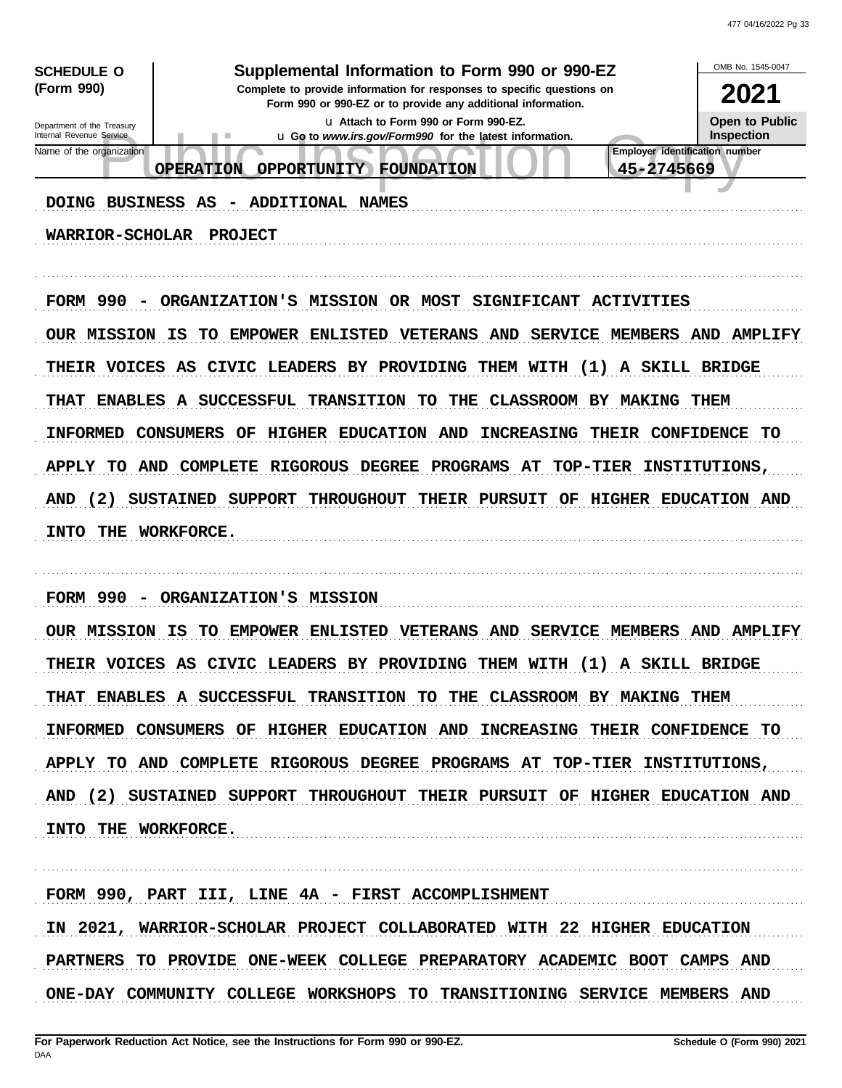| <b>SCHEDULE O</b>                                      | Supplemental Information to Form 990 or 990-EZ                                                                                         | OMB No. 1545-0047     |
|--------------------------------------------------------|----------------------------------------------------------------------------------------------------------------------------------------|-----------------------|
| (Form 990)                                             | Complete to provide information for responses to specific questions on<br>Form 990 or 990-EZ or to provide any additional information. | 2021                  |
| Department of the Treasury<br>Internal Revenue Service | La Attach to Form 990 or Form 990-EZ.                                                                                                  | Open to Public        |
| Name of the organization                               | u Go to www.irs.gov/Form990 for the latest information.<br><b>Employer identification number</b>                                       | <b>Inspection</b>     |
|                                                        | 45-2745669<br>OPPORTUNITY FOUNDATION<br><b>OPERATION</b>                                                                               |                       |
| DOING BUSINESS AS                                      | <b>ADDITIONAL NAMES</b>                                                                                                                |                       |
| <b>WARRIOR-SCHOLAR</b>                                 | <b>PROJECT</b>                                                                                                                         |                       |
|                                                        |                                                                                                                                        |                       |
| FORM 990<br>$\overline{\phantom{a}}$                   | ORGANIZATION'S MISSION OR MOST<br>SIGNIFICANT ACTIVITIES                                                                               |                       |
| OUR MISSION                                            | TO EMPOWER ENLISTED<br><b>VETERANS AND</b><br><b>SERVICE</b><br><b>MEMBERS AND</b><br>IS.                                              | <b>AMPLIFY</b>        |
|                                                        | THEM WITH (1)<br>THEIR VOICES AS CIVIC LEADERS BY PROVIDING<br>A SKILL BRIDGE                                                          |                       |
| THAT                                                   | ENABLES A SUCCESSFUL TRANSITION<br>THE<br><b>CLASSROOM BY MAKING</b><br>TO.                                                            | THEM                  |
| <b>INFORMED</b>                                        | <b>CONSUMERS</b><br>HIGHER EDUCATION AND<br><b>INCREASING</b><br>THEIR CONFIDENCE<br>OF                                                | TO                    |
| <b>APPLY</b><br>TO.                                    | AND<br>COMPLETE RIGOROUS<br><b>DEGREE</b><br>PROGRAMS AT<br><b>TOP-TIER</b>                                                            | INSTITUTIONS,         |
| (2)<br><b>AND</b>                                      | SUSTAINED SUPPORT<br><b>THROUGHOUT</b><br>THEIR PURSUIT<br>HIGHER EDUCATION AND<br>OF                                                  |                       |
| <b>INTO</b>                                            | THE WORKFORCE.                                                                                                                         |                       |
|                                                        |                                                                                                                                        |                       |
| FORM 990                                               | <b>ORGANIZATION'S</b><br><b>MISSION</b>                                                                                                |                       |
| OUR MISSION                                            | EMPOWER ENLISTED VETERANS AND<br>IS.<br>TO.<br>SERVICE MEMBERS                                                                         | <b>AMPLIFY</b><br>AND |
|                                                        | THEIR VOICES AS CIVIC LEADERS BY PROVIDING THEM WITH (1) A SKILL BRIDGE                                                                |                       |
|                                                        | THAT ENABLES A SUCCESSFUL TRANSITION TO THE CLASSROOM BY MAKING THEM                                                                   |                       |
|                                                        | INFORMED CONSUMERS OF HIGHER EDUCATION AND INCREASING THEIR CONFIDENCE TO                                                              |                       |
|                                                        | APPLY TO AND COMPLETE RIGOROUS DEGREE PROGRAMS AT TOP-TIER INSTITUTIONS,                                                               |                       |
|                                                        | AND (2) SUSTAINED SUPPORT THROUGHOUT THEIR PURSUIT OF HIGHER EDUCATION AND                                                             |                       |
| INTO THE WORKFORCE.                                    |                                                                                                                                        |                       |
|                                                        |                                                                                                                                        |                       |
|                                                        | FORM 990, PART III, LINE 4A - FIRST ACCOMPLISHMENT                                                                                     |                       |
|                                                        | IN 2021, WARRIOR-SCHOLAR PROJECT COLLABORATED WITH 22 HIGHER EDUCATION                                                                 |                       |
|                                                        | PARTNERS TO PROVIDE ONE-WEEK COLLEGE PREPARATORY ACADEMIC BOOT CAMPS AND                                                               |                       |

ONE-DAY COMMUNITY COLLEGE WORKSHOPS TO TRANSITIONING SERVICE MEMBERS AND . . . . .